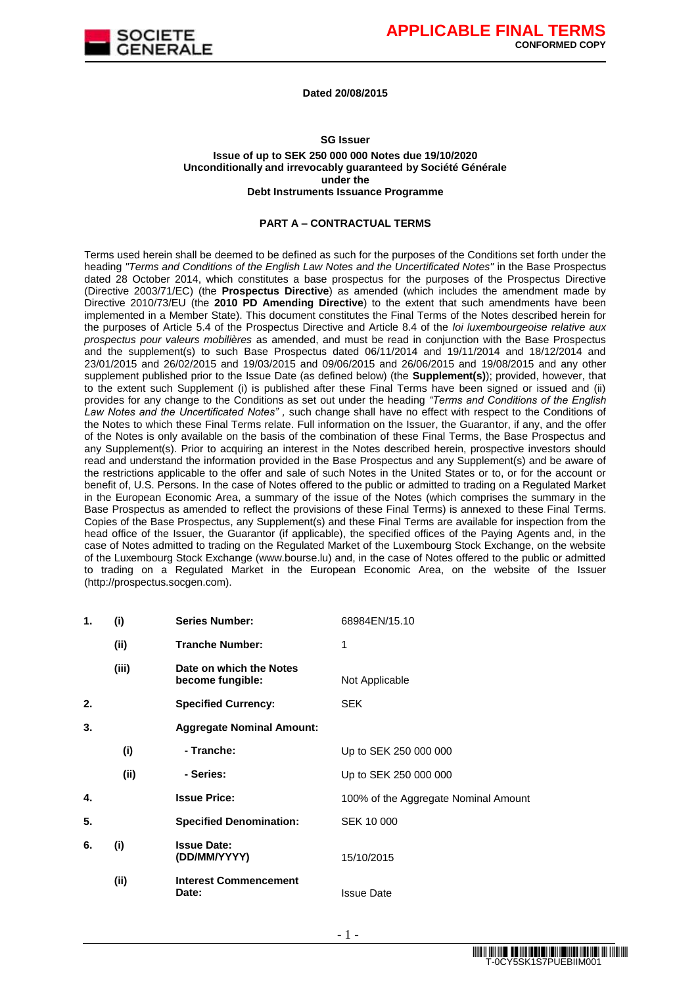

#### **Dated 20/08/2015**

#### **SG Issuer**

#### **Issue of up to SEK 250 000 000 Notes due 19/10/2020 Unconditionally and irrevocably guaranteed by Société Générale under the Debt Instruments Issuance Programme**

#### **PART A – CONTRACTUAL TERMS**

Terms used herein shall be deemed to be defined as such for the purposes of the Conditions set forth under the heading *"Terms and Conditions of the English Law Notes and the Uncertificated Notes"* in the Base Prospectus dated 28 October 2014, which constitutes a base prospectus for the purposes of the Prospectus Directive (Directive 2003/71/EC) (the **Prospectus Directive**) as amended (which includes the amendment made by Directive 2010/73/EU (the **2010 PD Amending Directive**) to the extent that such amendments have been implemented in a Member State). This document constitutes the Final Terms of the Notes described herein for the purposes of Article 5.4 of the Prospectus Directive and Article 8.4 of the *loi luxembourgeoise relative aux prospectus pour valeurs mobilières* as amended, and must be read in conjunction with the Base Prospectus and the supplement(s) to such Base Prospectus dated 06/11/2014 and 19/11/2014 and 18/12/2014 and 23/01/2015 and 26/02/2015 and 19/03/2015 and 09/06/2015 and 26/06/2015 and 19/08/2015 and any other supplement published prior to the Issue Date (as defined below) (the **Supplement(s)**); provided, however, that to the extent such Supplement (i) is published after these Final Terms have been signed or issued and (ii) provides for any change to the Conditions as set out under the heading *"Terms and Conditions of the English Law Notes and the Uncertificated Notes" ,* such change shall have no effect with respect to the Conditions of the Notes to which these Final Terms relate. Full information on the Issuer, the Guarantor, if any, and the offer of the Notes is only available on the basis of the combination of these Final Terms, the Base Prospectus and any Supplement(s). Prior to acquiring an interest in the Notes described herein, prospective investors should read and understand the information provided in the Base Prospectus and any Supplement(s) and be aware of the restrictions applicable to the offer and sale of such Notes in the United States or to, or for the account or benefit of, U.S. Persons. In the case of Notes offered to the public or admitted to trading on a Regulated Market in the European Economic Area, a summary of the issue of the Notes (which comprises the summary in the Base Prospectus as amended to reflect the provisions of these Final Terms) is annexed to these Final Terms. Copies of the Base Prospectus, any Supplement(s) and these Final Terms are available for inspection from the head office of the Issuer, the Guarantor (if applicable), the specified offices of the Paying Agents and, in the case of Notes admitted to trading on the Regulated Market of the Luxembourg Stock Exchange, on the website of the Luxembourg Stock Exchange (www.bourse.lu) and, in the case of Notes offered to the public or admitted to trading on a Regulated Market in the European Economic Area, on the website of the Issuer (http://prospectus.socgen.com).

| 1.<br>(i) |       | <b>Series Number:</b>                       | 68984EN/15.10                        |  |  |
|-----------|-------|---------------------------------------------|--------------------------------------|--|--|
|           | (ii)  | <b>Tranche Number:</b>                      | 1                                    |  |  |
|           | (iii) | Date on which the Notes<br>become fungible: | Not Applicable                       |  |  |
| 2.        |       | <b>Specified Currency:</b>                  | <b>SEK</b>                           |  |  |
| 3.        |       | <b>Aggregate Nominal Amount:</b>            |                                      |  |  |
|           | (i)   | - Tranche:                                  | Up to SEK 250 000 000                |  |  |
|           | (ii)  | - Series:                                   | Up to SEK 250 000 000                |  |  |
| 4.        |       | <b>Issue Price:</b>                         | 100% of the Aggregate Nominal Amount |  |  |
| 5.        |       | <b>Specified Denomination:</b>              | SEK 10 000                           |  |  |
| 6.        | (i)   | <b>Issue Date:</b><br>(DD/MM/YYYY)          | 15/10/2015                           |  |  |
|           | (ii)  | <b>Interest Commencement</b><br>Date:       | <b>Issue Date</b>                    |  |  |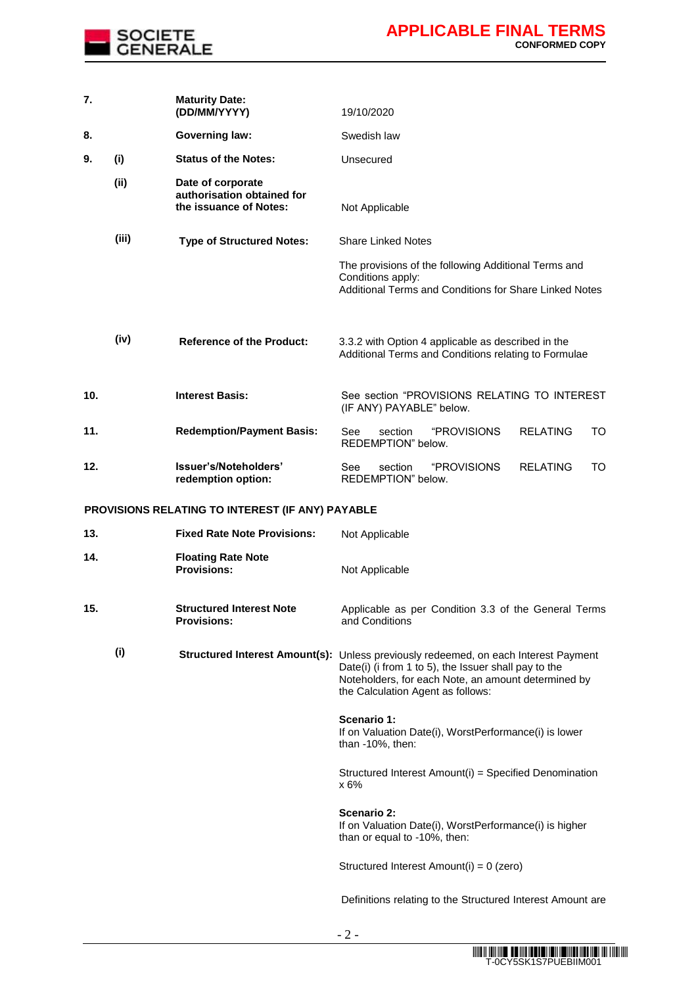

| 7.  |       | <b>Maturity Date:</b><br>(DD/MM/YYYY)                                     | 19/10/2020                                                                                                                                                                                                                              |
|-----|-------|---------------------------------------------------------------------------|-----------------------------------------------------------------------------------------------------------------------------------------------------------------------------------------------------------------------------------------|
| 8.  |       | <b>Governing law:</b>                                                     | Swedish law                                                                                                                                                                                                                             |
| 9.  | (i)   | <b>Status of the Notes:</b>                                               | Unsecured                                                                                                                                                                                                                               |
|     | (ii)  | Date of corporate<br>authorisation obtained for<br>the issuance of Notes: | Not Applicable                                                                                                                                                                                                                          |
|     | (iii) | <b>Type of Structured Notes:</b>                                          | <b>Share Linked Notes</b>                                                                                                                                                                                                               |
|     |       |                                                                           | The provisions of the following Additional Terms and<br>Conditions apply:<br>Additional Terms and Conditions for Share Linked Notes                                                                                                     |
|     | (iv)  | <b>Reference of the Product:</b>                                          | 3.3.2 with Option 4 applicable as described in the<br>Additional Terms and Conditions relating to Formulae                                                                                                                              |
| 10. |       | <b>Interest Basis:</b>                                                    | See section "PROVISIONS RELATING TO INTEREST<br>(IF ANY) PAYABLE" below.                                                                                                                                                                |
| 11. |       | <b>Redemption/Payment Basis:</b>                                          | "PROVISIONS<br><b>RELATING</b><br>See<br>section<br>TO<br>REDEMPTION" below.                                                                                                                                                            |
| 12. |       | Issuer's/Noteholders'<br>redemption option:                               | "PROVISIONS<br><b>RELATING</b><br>See<br>section<br>TO<br>REDEMPTION" below.                                                                                                                                                            |
|     |       | <b>PROVISIONS RELATING TO INTEREST (IF ANY) PAYABLE</b>                   |                                                                                                                                                                                                                                         |
| 13. |       | <b>Fixed Rate Note Provisions:</b>                                        | Not Applicable                                                                                                                                                                                                                          |
| 14. |       | <b>Floating Rate Note</b><br><b>Provisions:</b>                           | Not Applicable                                                                                                                                                                                                                          |
| 15. |       | <b>Structured Interest Note</b><br><b>Provisions:</b>                     | Applicable as per Condition 3.3 of the General Terms<br>and Conditions                                                                                                                                                                  |
|     | (i)   |                                                                           | Structured Interest Amount(s): Unless previously redeemed, on each Interest Payment<br>Date(i) (i from 1 to 5), the Issuer shall pay to the<br>Noteholders, for each Note, an amount determined by<br>the Calculation Agent as follows: |
|     |       |                                                                           | Scenario 1:<br>If on Valuation Date(i), WorstPerformance(i) is lower<br>than -10%, then:                                                                                                                                                |
|     |       |                                                                           | Structured Interest Amount(i) = Specified Denomination<br>x 6%                                                                                                                                                                          |
|     |       |                                                                           | Scenario 2:<br>If on Valuation Date(i), WorstPerformance(i) is higher<br>than or equal to -10%, then:                                                                                                                                   |
|     |       |                                                                           | Structured Interest Amount(i) = 0 (zero)                                                                                                                                                                                                |
|     |       |                                                                           | Definitions relating to the Structured Interest Amount are                                                                                                                                                                              |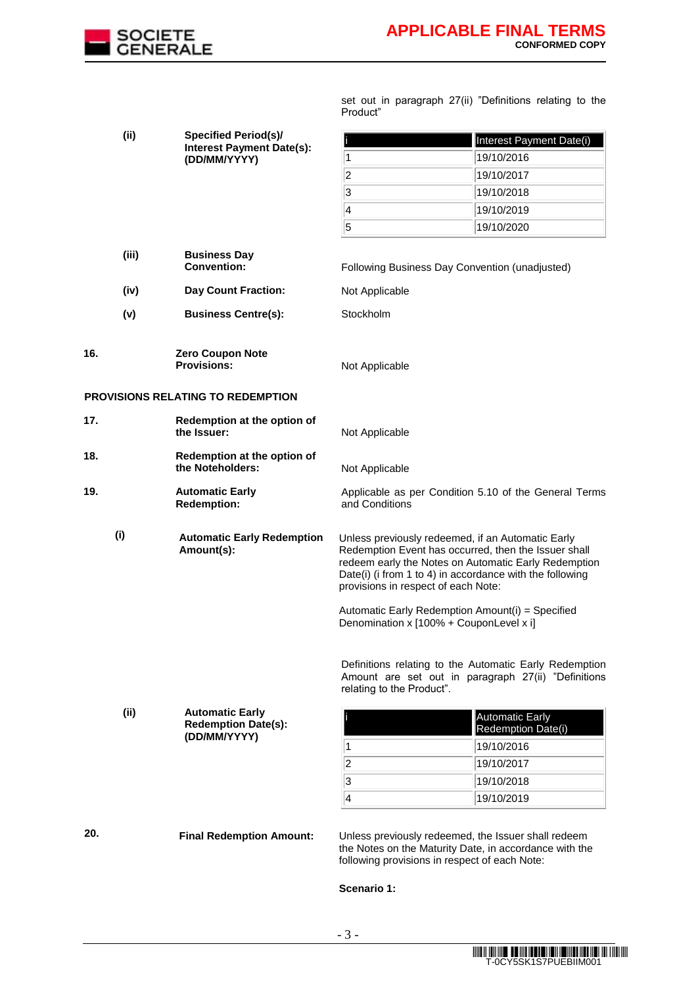

set out in paragraph 27(ii) "Definitions relating to the Product"

|                                                                     | (ii)                                         | <b>Specified Period(s)/</b>                                          | Interest Payment Date(i)                                                                                                                                                                                                                                                                                                 |                                                                                                               |  |  |
|---------------------------------------------------------------------|----------------------------------------------|----------------------------------------------------------------------|--------------------------------------------------------------------------------------------------------------------------------------------------------------------------------------------------------------------------------------------------------------------------------------------------------------------------|---------------------------------------------------------------------------------------------------------------|--|--|
|                                                                     |                                              | <b>Interest Payment Date(s):</b><br>(DD/MM/YYYY)                     | 1                                                                                                                                                                                                                                                                                                                        | 19/10/2016                                                                                                    |  |  |
|                                                                     |                                              |                                                                      | $\overline{\mathbf{2}}$                                                                                                                                                                                                                                                                                                  | 19/10/2017                                                                                                    |  |  |
|                                                                     |                                              |                                                                      | 3                                                                                                                                                                                                                                                                                                                        | 19/10/2018                                                                                                    |  |  |
|                                                                     |                                              |                                                                      | 4                                                                                                                                                                                                                                                                                                                        | 19/10/2019                                                                                                    |  |  |
|                                                                     |                                              |                                                                      | $\overline{5}$                                                                                                                                                                                                                                                                                                           | 19/10/2020                                                                                                    |  |  |
|                                                                     | (iii)                                        | <b>Business Day</b><br><b>Convention:</b>                            | Following Business Day Convention (unadjusted)                                                                                                                                                                                                                                                                           |                                                                                                               |  |  |
|                                                                     | (iv)                                         | <b>Day Count Fraction:</b>                                           | Not Applicable                                                                                                                                                                                                                                                                                                           |                                                                                                               |  |  |
|                                                                     | (v)                                          | <b>Business Centre(s):</b>                                           | Stockholm                                                                                                                                                                                                                                                                                                                |                                                                                                               |  |  |
| 16.                                                                 |                                              | Zero Coupon Note<br><b>Provisions:</b>                               | Not Applicable                                                                                                                                                                                                                                                                                                           |                                                                                                               |  |  |
|                                                                     |                                              | <b>PROVISIONS RELATING TO REDEMPTION</b>                             |                                                                                                                                                                                                                                                                                                                          |                                                                                                               |  |  |
| 17.<br>Redemption at the option of<br>the Issuer:<br>Not Applicable |                                              |                                                                      |                                                                                                                                                                                                                                                                                                                          |                                                                                                               |  |  |
| 18.<br>Redemption at the option of<br>the Noteholders:              |                                              |                                                                      | Not Applicable                                                                                                                                                                                                                                                                                                           |                                                                                                               |  |  |
| 19.                                                                 | <b>Automatic Early</b><br><b>Redemption:</b> |                                                                      | Applicable as per Condition 5.10 of the General Terms<br>and Conditions                                                                                                                                                                                                                                                  |                                                                                                               |  |  |
| (i)<br><b>Automatic Early Redemption</b><br>Amount(s):              |                                              |                                                                      | Unless previously redeemed, if an Automatic Early<br>Redemption Event has occurred, then the Issuer shall<br>redeem early the Notes on Automatic Early Redemption<br>Date(i) (i from 1 to 4) in accordance with the following<br>provisions in respect of each Note:<br>Automatic Early Redemption Amount(i) = Specified |                                                                                                               |  |  |
|                                                                     |                                              |                                                                      | Denomination x [100% + CouponLevel x i]<br>relating to the Product".                                                                                                                                                                                                                                                     | Definitions relating to the Automatic Early Redemption<br>Amount are set out in paragraph 27(ii) "Definitions |  |  |
|                                                                     | (ii)                                         | <b>Automatic Early</b><br><b>Redemption Date(s):</b><br>(DD/MM/YYYY) |                                                                                                                                                                                                                                                                                                                          | Automatic Early<br>Redemption Date(i)                                                                         |  |  |
|                                                                     |                                              |                                                                      | 1                                                                                                                                                                                                                                                                                                                        | 19/10/2016                                                                                                    |  |  |
|                                                                     |                                              |                                                                      | $\overline{\mathbf{c}}$                                                                                                                                                                                                                                                                                                  | 19/10/2017                                                                                                    |  |  |
|                                                                     |                                              |                                                                      | $\overline{\mathbf{3}}$<br>$\vert$ 4                                                                                                                                                                                                                                                                                     | 19/10/2018                                                                                                    |  |  |
|                                                                     |                                              |                                                                      |                                                                                                                                                                                                                                                                                                                          | 19/10/2019                                                                                                    |  |  |
| 20.                                                                 |                                              | <b>Final Redemption Amount:</b>                                      | Unless previously redeemed, the Issuer shall redeem<br>the Notes on the Maturity Date, in accordance with the<br>following provisions in respect of each Note:                                                                                                                                                           |                                                                                                               |  |  |

**Scenario 1:**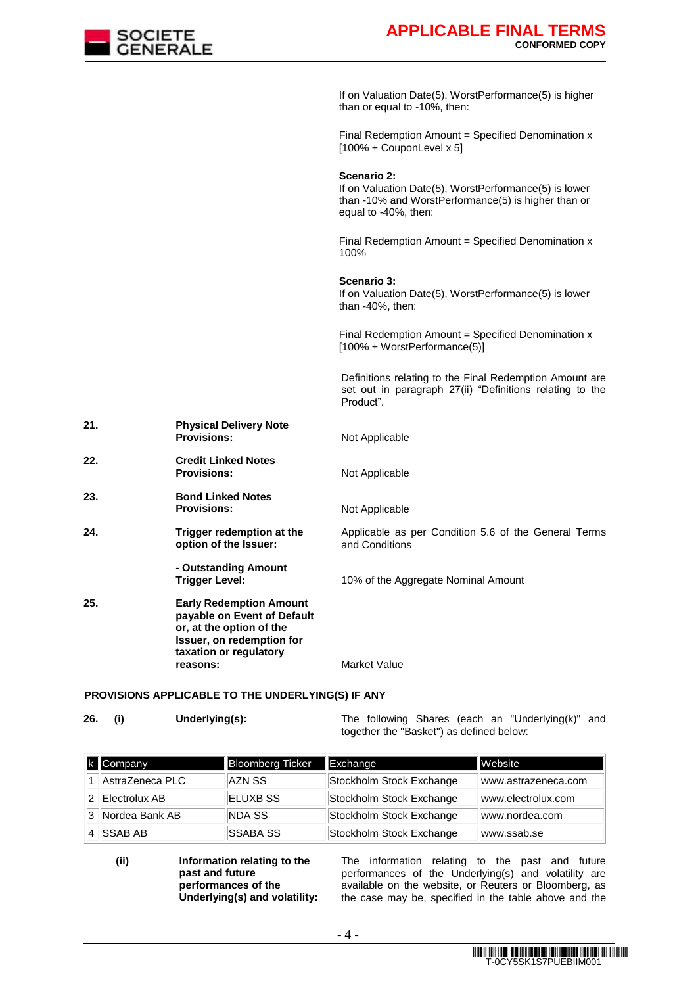

If on Valuation Date(5), WorstPerformance(5) is higher than or equal to -10%, then:

Final Redemption Amount = Specified Denomination x [100% + CouponLevel x 5]

**Scenario 2:** 

If on Valuation Date(5), WorstPerformance(5) is lower than -10% and WorstPerformance(5) is higher than or equal to -40%, then:

Final Redemption Amount = Specified Denomination  $x$ 100%

**Scenario 3:** 

If on Valuation Date(5), WorstPerformance(5) is lower than -40%, then:

Final Redemption Amount = Specified Denomination x [100% + WorstPerformance(5)]

Definitions relating to the Final Redemption Amount are set out in paragraph 27(ii) "Definitions relating to the Product".

**21. Physical Delivery Note Not Applicable 22. Credit Linked Notes Provisions:** Not Applicable **23. Bond Linked Notes Provisions:** Not Applicable **24. Trigger redemption at the option of the Issuer:** Applicable as per Condition 5.6 of the General Terms and Conditions **- Outstanding Amount Trigger Level:** 10% of the Aggregate Nominal Amount **25. Early Redemption Amount payable on Event of Default or, at the option of the Issuer, on redemption for taxation or regulatory reasons:** Market Value

#### **PROVISIONS APPLICABLE TO THE UNDERLYING(S) IF ANY**

**26. (i) Underlying(s):** The following Shares (each an "Underlying(k)" and together the "Basket") as defined below:

| k Company        | <b>Bloomberg Ticker</b> | Exchange                 | Website             |
|------------------|-------------------------|--------------------------|---------------------|
| AstraZeneca PLC  | AZN SS                  | Stockholm Stock Exchange | www.astrazeneca.com |
| Electrolux AB    | ELUXB SS                | Stockholm Stock Exchange | www.electrolux.com  |
| 3 Nordea Bank AB | NDA SS                  | Stockholm Stock Exchange | www.nordea.com      |
| <b>SSAB AB</b>   | <b>SSABA SS</b>         | Stockholm Stock Exchange | www.ssab.se         |

**(ii) Information relating to the past and future performances of the Underlying(s) and volatility:** The information relating to the past and future performances of the Underlying(s) and volatility are available on the website, or Reuters or Bloomberg, as the case may be, specified in the table above and the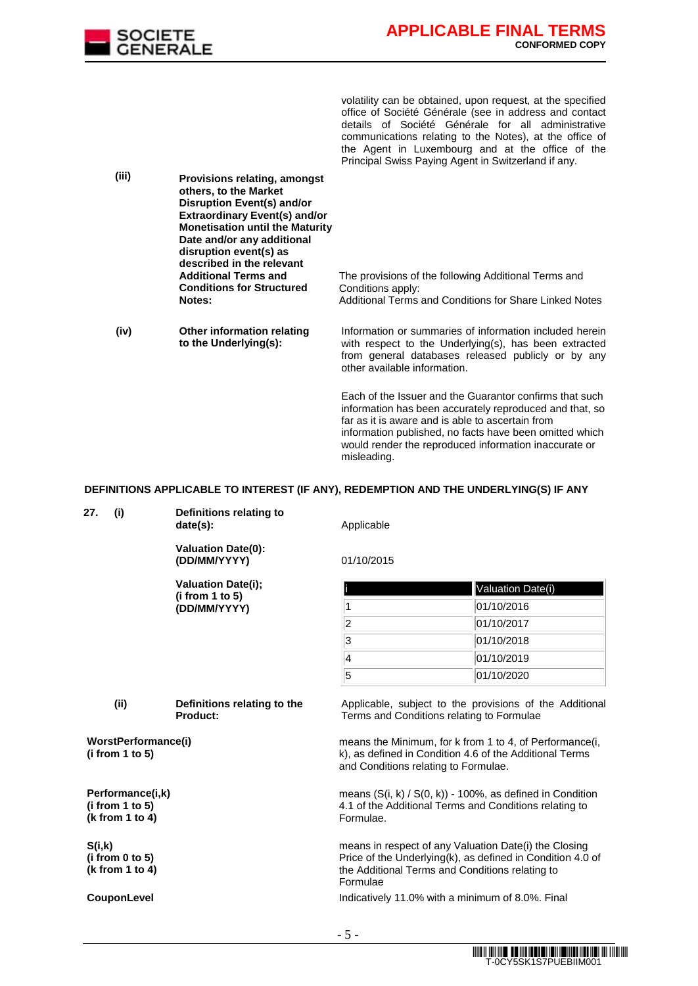

volatility can be obtained, upon request, at the specified office of Société Générale (see in address and contact details of Société Générale for all administrative communications relating to the Notes), at the office of the Agent in Luxembourg and at the office of the Principal Swiss Paying Agent in Switzerland if any.

information published, no facts have been omitted which would render the reproduced information inaccurate or

**(iii) Provisions relating, amongst others, to the Market Disruption Event(s) and/or Extraordinary Event(s) and/or Monetisation until the Maturity Date and/or any additional disruption event(s) as described in the relevant Additional Terms and Conditions for Structured Notes:**  The provisions of the following Additional Terms and Conditions apply: Additional Terms and Conditions for Share Linked Notes **(iv) Other information relating to the Underlying(s):** Information or summaries of information included herein with respect to the Underlying(s), has been extracted from general databases released publicly or by any other available information. Each of the Issuer and the Guarantor confirms that such information has been accurately reproduced and that, so far as it is aware and is able to ascertain from

**DEFINITIONS APPLICABLE TO INTEREST (IF ANY), REDEMPTION AND THE UNDERLYING(S) IF ANY**

misleading.

|                                                        | date(s):                                       | Applicable<br>01/10/2015                                                                                                                                                                                                                                           |                                                            |  |  |
|--------------------------------------------------------|------------------------------------------------|--------------------------------------------------------------------------------------------------------------------------------------------------------------------------------------------------------------------------------------------------------------------|------------------------------------------------------------|--|--|
|                                                        | <b>Valuation Date(0):</b><br>(DD/MM/YYYY)      |                                                                                                                                                                                                                                                                    |                                                            |  |  |
|                                                        | <b>Valuation Date(i);</b>                      |                                                                                                                                                                                                                                                                    | <b>Valuation Date(i)</b>                                   |  |  |
|                                                        | (i from 1 to 5)<br>(DD/MM/YYYY)                | 1                                                                                                                                                                                                                                                                  | 01/10/2016                                                 |  |  |
|                                                        |                                                | $\vert$ 2                                                                                                                                                                                                                                                          | 01/10/2017                                                 |  |  |
|                                                        |                                                | 3                                                                                                                                                                                                                                                                  | 01/10/2018                                                 |  |  |
|                                                        |                                                | $\overline{\mathbf{4}}$                                                                                                                                                                                                                                            | 01/10/2019                                                 |  |  |
|                                                        |                                                | 5                                                                                                                                                                                                                                                                  | 01/10/2020                                                 |  |  |
| (ii)                                                   | Definitions relating to the<br><b>Product:</b> | Applicable, subject to the provisions of the Additional<br>Terms and Conditions relating to Formulae<br>means the Minimum, for k from 1 to 4, of Performance(i,<br>k), as defined in Condition 4.6 of the Additional Terms<br>and Conditions relating to Formulae. |                                                            |  |  |
| WorstPerformance(i)<br>(i from 1 to 5)                 |                                                |                                                                                                                                                                                                                                                                    |                                                            |  |  |
| Performance(i,k)<br>(i from 1 to 5)<br>(k from 1 to 4) |                                                | means $(S(i, k) / S(0, k)) - 100\%$ , as defined in Condition<br>4.1 of the Additional Terms and Conditions relating to<br>Formulae.                                                                                                                               |                                                            |  |  |
| S(i,k)<br>(i from $0$ to $5$ )<br>(k from 1 to 4)      |                                                | means in respect of any Valuation Date(i) the Closing<br>the Additional Terms and Conditions relating to<br>Formulae                                                                                                                                               | Price of the Underlying(k), as defined in Condition 4.0 of |  |  |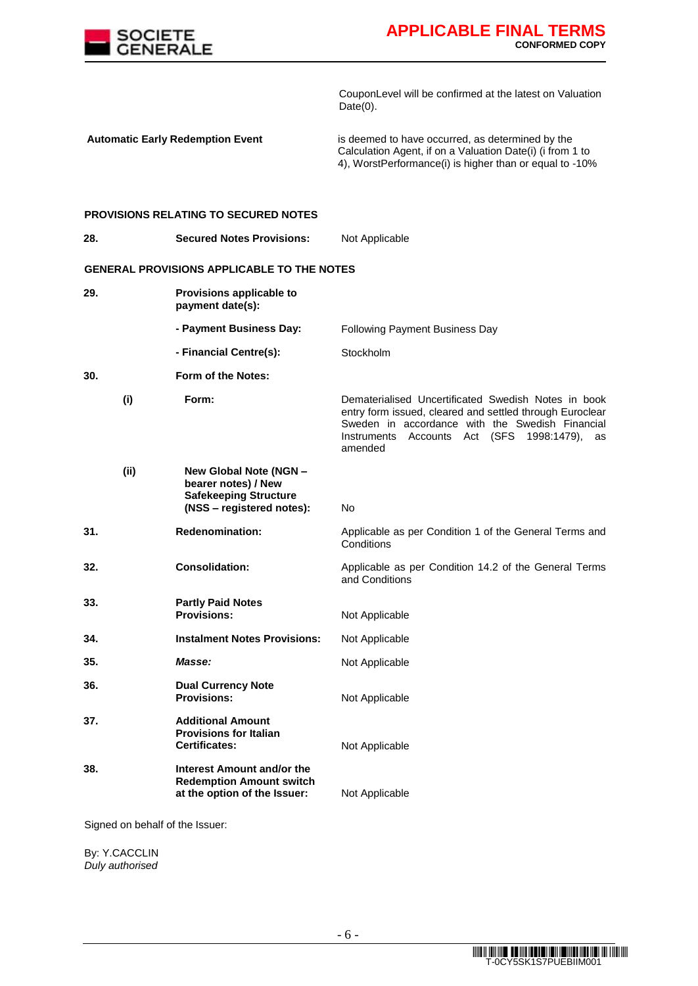

CouponLevel will be confirmed at the latest on Valuation  $Date(0)$ .

**Automatic Early Redemption Event** is deemed to have occurred, as determined by the Calculation Agent, if on a Valuation Date(i) (i from 1 to 4), WorstPerformance(i) is higher than or equal to -10%

#### **PROVISIONS RELATING TO SECURED NOTES**

| <b>GENERAL PROVISIONS APPLICABLE TO THE NOTES</b><br>29.<br>Provisions applicable to<br>payment date(s):<br>- Payment Business Day:<br><b>Following Payment Business Day</b><br>- Financial Centre(s):<br>Stockholm<br>30.<br>Form of the Notes:<br>(i)<br>Form:<br><b>Instruments</b><br>Accounts<br>Act (SFS 1998:1479),<br>amended<br>(ii)<br>New Global Note (NGN -<br>bearer notes) / New<br><b>Safekeeping Structure</b><br>(NSS - registered notes):<br><b>No</b><br>31.<br><b>Redenomination:</b><br>Conditions<br>32.<br><b>Consolidation:</b><br>and Conditions<br>33.<br><b>Partly Paid Notes</b><br><b>Provisions:</b><br>Not Applicable<br>34.<br><b>Instalment Notes Provisions:</b><br>Not Applicable<br>35.<br>Masse:<br>Not Applicable<br>36.<br><b>Dual Currency Note</b><br><b>Provisions:</b><br>Not Applicable<br>37.<br><b>Additional Amount</b><br><b>Provisions for Italian</b><br><b>Certificates:</b><br>Not Applicable<br>38.<br>Interest Amount and/or the<br><b>Redemption Amount switch</b><br>at the option of the Issuer:<br>Not Applicable | 28. | <b>Secured Notes Provisions:</b> | Not Applicable                                                                                                                                                           |
|-----------------------------------------------------------------------------------------------------------------------------------------------------------------------------------------------------------------------------------------------------------------------------------------------------------------------------------------------------------------------------------------------------------------------------------------------------------------------------------------------------------------------------------------------------------------------------------------------------------------------------------------------------------------------------------------------------------------------------------------------------------------------------------------------------------------------------------------------------------------------------------------------------------------------------------------------------------------------------------------------------------------------------------------------------------------------------|-----|----------------------------------|--------------------------------------------------------------------------------------------------------------------------------------------------------------------------|
|                                                                                                                                                                                                                                                                                                                                                                                                                                                                                                                                                                                                                                                                                                                                                                                                                                                                                                                                                                                                                                                                             |     |                                  |                                                                                                                                                                          |
|                                                                                                                                                                                                                                                                                                                                                                                                                                                                                                                                                                                                                                                                                                                                                                                                                                                                                                                                                                                                                                                                             |     |                                  |                                                                                                                                                                          |
|                                                                                                                                                                                                                                                                                                                                                                                                                                                                                                                                                                                                                                                                                                                                                                                                                                                                                                                                                                                                                                                                             |     |                                  |                                                                                                                                                                          |
|                                                                                                                                                                                                                                                                                                                                                                                                                                                                                                                                                                                                                                                                                                                                                                                                                                                                                                                                                                                                                                                                             |     |                                  |                                                                                                                                                                          |
|                                                                                                                                                                                                                                                                                                                                                                                                                                                                                                                                                                                                                                                                                                                                                                                                                                                                                                                                                                                                                                                                             |     |                                  |                                                                                                                                                                          |
|                                                                                                                                                                                                                                                                                                                                                                                                                                                                                                                                                                                                                                                                                                                                                                                                                                                                                                                                                                                                                                                                             |     |                                  | Dematerialised Uncertificated Swedish Notes in book<br>entry form issued, cleared and settled through Euroclear<br>Sweden in accordance with the Swedish Financial<br>as |
|                                                                                                                                                                                                                                                                                                                                                                                                                                                                                                                                                                                                                                                                                                                                                                                                                                                                                                                                                                                                                                                                             |     |                                  |                                                                                                                                                                          |
|                                                                                                                                                                                                                                                                                                                                                                                                                                                                                                                                                                                                                                                                                                                                                                                                                                                                                                                                                                                                                                                                             |     |                                  | Applicable as per Condition 1 of the General Terms and                                                                                                                   |
|                                                                                                                                                                                                                                                                                                                                                                                                                                                                                                                                                                                                                                                                                                                                                                                                                                                                                                                                                                                                                                                                             |     |                                  | Applicable as per Condition 14.2 of the General Terms                                                                                                                    |
|                                                                                                                                                                                                                                                                                                                                                                                                                                                                                                                                                                                                                                                                                                                                                                                                                                                                                                                                                                                                                                                                             |     |                                  |                                                                                                                                                                          |
|                                                                                                                                                                                                                                                                                                                                                                                                                                                                                                                                                                                                                                                                                                                                                                                                                                                                                                                                                                                                                                                                             |     |                                  |                                                                                                                                                                          |
|                                                                                                                                                                                                                                                                                                                                                                                                                                                                                                                                                                                                                                                                                                                                                                                                                                                                                                                                                                                                                                                                             |     |                                  |                                                                                                                                                                          |
|                                                                                                                                                                                                                                                                                                                                                                                                                                                                                                                                                                                                                                                                                                                                                                                                                                                                                                                                                                                                                                                                             |     |                                  |                                                                                                                                                                          |
|                                                                                                                                                                                                                                                                                                                                                                                                                                                                                                                                                                                                                                                                                                                                                                                                                                                                                                                                                                                                                                                                             |     |                                  |                                                                                                                                                                          |
|                                                                                                                                                                                                                                                                                                                                                                                                                                                                                                                                                                                                                                                                                                                                                                                                                                                                                                                                                                                                                                                                             |     |                                  |                                                                                                                                                                          |

Signed on behalf of the Issuer:

By: Y.CACCLIN *Duly authorised*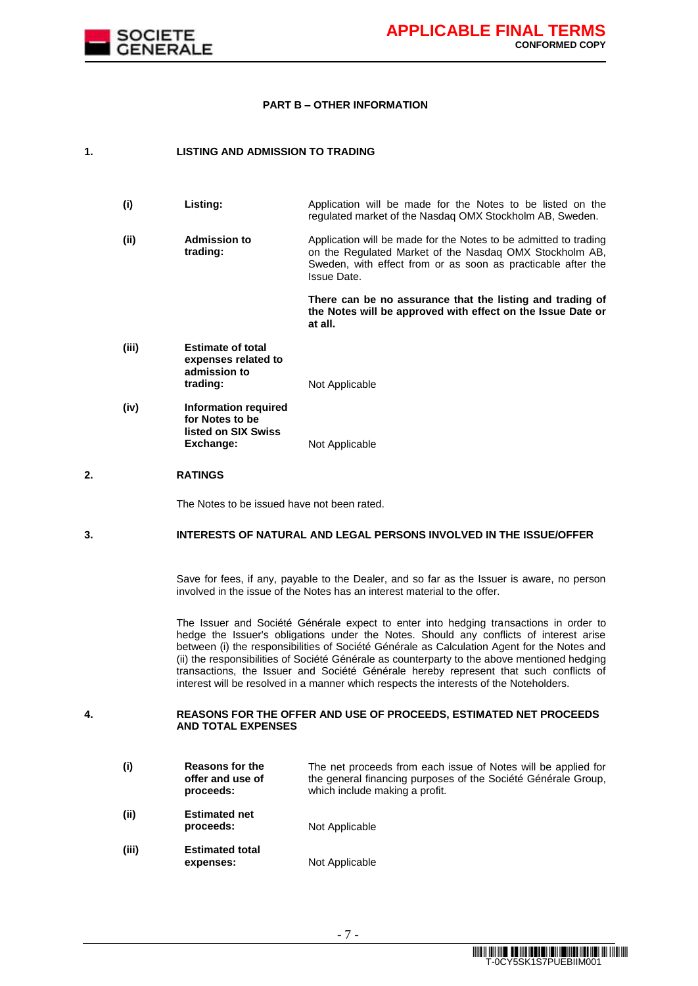

#### **PART B – OTHER INFORMATION**

### **1. LISTING AND ADMISSION TO TRADING**

| (i) | Listing: | Application will be made for the Notes to be listed on the |  |  |  |  |
|-----|----------|------------------------------------------------------------|--|--|--|--|
|     |          | regulated market of the Nasdag OMX Stockholm AB, Sweden.   |  |  |  |  |

**(ii) Admission to trading:** Application will be made for the Notes to be admitted to trading on the Regulated Market of the Nasdaq OMX Stockholm AB, Sweden, with effect from or as soon as practicable after the Issue Date.

> **There can be no assurance that the listing and trading of the Notes will be approved with effect on the Issue Date or at all.**

- **(iii) Estimate of total expenses related to admission to Not Applicable**
- **(iv) Information required for Notes to be listed on SIX Swiss Not Applicable**

## **2. RATINGS**

The Notes to be issued have not been rated.

## **3. INTERESTS OF NATURAL AND LEGAL PERSONS INVOLVED IN THE ISSUE/OFFER**

Save for fees, if any, payable to the Dealer, and so far as the Issuer is aware, no person involved in the issue of the Notes has an interest material to the offer.

The Issuer and Société Générale expect to enter into hedging transactions in order to hedge the Issuer's obligations under the Notes. Should any conflicts of interest arise between (i) the responsibilities of Société Générale as Calculation Agent for the Notes and (ii) the responsibilities of Société Générale as counterparty to the above mentioned hedging transactions, the Issuer and Société Générale hereby represent that such conflicts of interest will be resolved in a manner which respects the interests of the Noteholders.

#### **4. REASONS FOR THE OFFER AND USE OF PROCEEDS, ESTIMATED NET PROCEEDS AND TOTAL EXPENSES**

**(i) Reasons for the offer and use of proceeds:** The net proceeds from each issue of Notes will be applied for the general financing purposes of the Société Générale Group, which include making a profit. **(ii) Estimated net Not Applicable (iii) Estimated total expenses:** Not Applicable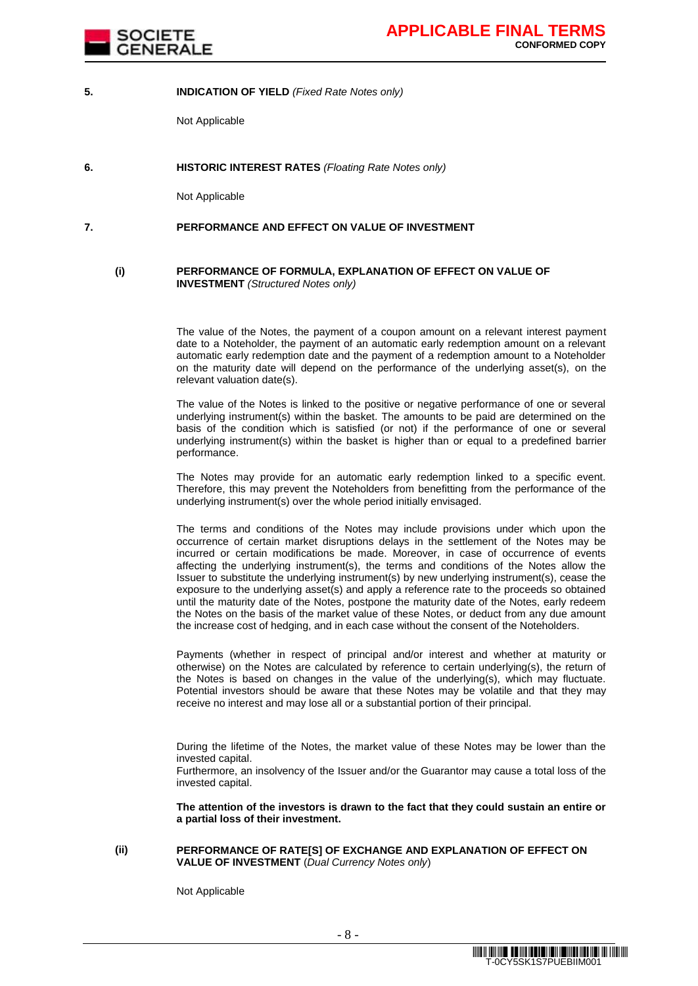

#### **5. INDICATION OF YIELD** *(Fixed Rate Notes only)*

Not Applicable

**6. HISTORIC INTEREST RATES** *(Floating Rate Notes only)*

Not Applicable

### **7. PERFORMANCE AND EFFECT ON VALUE OF INVESTMENT**

#### **(i) PERFORMANCE OF FORMULA, EXPLANATION OF EFFECT ON VALUE OF INVESTMENT** *(Structured Notes only)*

The value of the Notes, the payment of a coupon amount on a relevant interest payment date to a Noteholder, the payment of an automatic early redemption amount on a relevant automatic early redemption date and the payment of a redemption amount to a Noteholder on the maturity date will depend on the performance of the underlying asset(s), on the relevant valuation date(s).

The value of the Notes is linked to the positive or negative performance of one or several underlying instrument(s) within the basket. The amounts to be paid are determined on the basis of the condition which is satisfied (or not) if the performance of one or several underlying instrument(s) within the basket is higher than or equal to a predefined barrier performance.

The Notes may provide for an automatic early redemption linked to a specific event. Therefore, this may prevent the Noteholders from benefitting from the performance of the underlying instrument(s) over the whole period initially envisaged.

The terms and conditions of the Notes may include provisions under which upon the occurrence of certain market disruptions delays in the settlement of the Notes may be incurred or certain modifications be made. Moreover, in case of occurrence of events affecting the underlying instrument(s), the terms and conditions of the Notes allow the Issuer to substitute the underlying instrument(s) by new underlying instrument(s), cease the exposure to the underlying asset(s) and apply a reference rate to the proceeds so obtained until the maturity date of the Notes, postpone the maturity date of the Notes, early redeem the Notes on the basis of the market value of these Notes, or deduct from any due amount the increase cost of hedging, and in each case without the consent of the Noteholders.

Payments (whether in respect of principal and/or interest and whether at maturity or otherwise) on the Notes are calculated by reference to certain underlying(s), the return of the Notes is based on changes in the value of the underlying(s), which may fluctuate. Potential investors should be aware that these Notes may be volatile and that they may receive no interest and may lose all or a substantial portion of their principal.

During the lifetime of the Notes, the market value of these Notes may be lower than the invested capital.

Furthermore, an insolvency of the Issuer and/or the Guarantor may cause a total loss of the invested capital.

**The attention of the investors is drawn to the fact that they could sustain an entire or a partial loss of their investment.**

#### **(ii) PERFORMANCE OF RATE[S] OF EXCHANGE AND EXPLANATION OF EFFECT ON VALUE OF INVESTMENT** (*Dual Currency Notes only*)

Not Applicable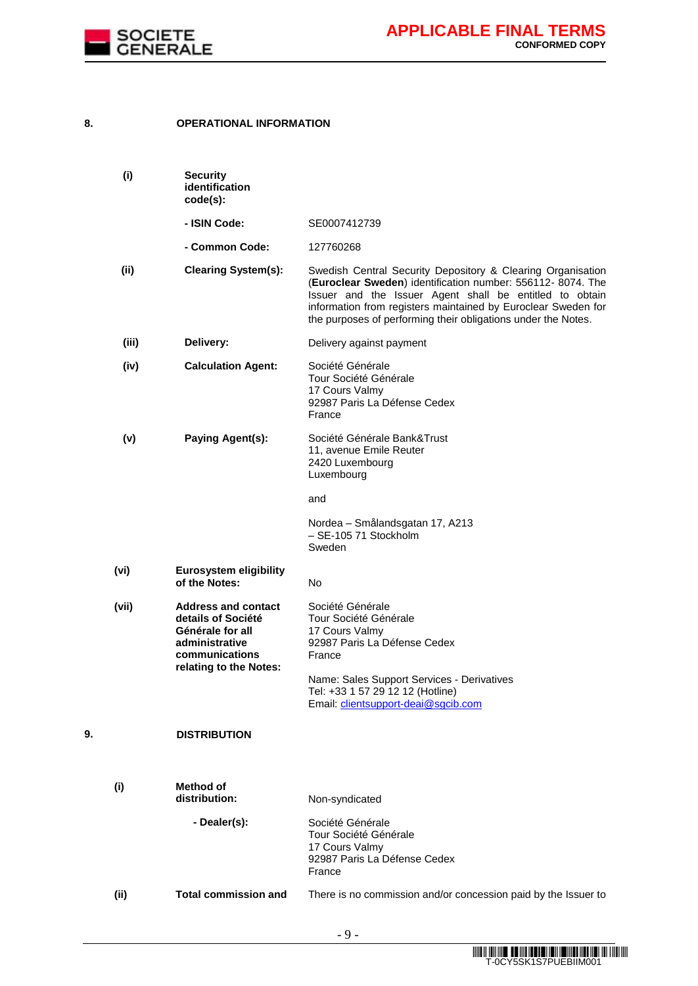

## **8. OPERATIONAL INFORMATION**

|    | (i)   | <b>Security</b><br>identification<br>code(s):                                                                                      |                                                                                                                                                                                                                                                                                                                        |
|----|-------|------------------------------------------------------------------------------------------------------------------------------------|------------------------------------------------------------------------------------------------------------------------------------------------------------------------------------------------------------------------------------------------------------------------------------------------------------------------|
|    |       | - ISIN Code:                                                                                                                       | SE0007412739                                                                                                                                                                                                                                                                                                           |
|    |       | - Common Code:                                                                                                                     | 127760268                                                                                                                                                                                                                                                                                                              |
|    | (ii)  | <b>Clearing System(s):</b>                                                                                                         | Swedish Central Security Depository & Clearing Organisation<br>(Euroclear Sweden) identification number: 556112-8074. The<br>Issuer and the Issuer Agent shall be entitled to obtain<br>information from registers maintained by Euroclear Sweden for<br>the purposes of performing their obligations under the Notes. |
|    | (iii) | Delivery:                                                                                                                          | Delivery against payment                                                                                                                                                                                                                                                                                               |
|    | (iv)  | <b>Calculation Agent:</b>                                                                                                          | Société Générale<br>Tour Société Générale<br>17 Cours Valmy<br>92987 Paris La Défense Cedex<br>France                                                                                                                                                                                                                  |
|    | (v)   | Paying Agent(s):                                                                                                                   | Société Générale Bank&Trust<br>11, avenue Emile Reuter<br>2420 Luxembourg<br>Luxembourg                                                                                                                                                                                                                                |
|    |       |                                                                                                                                    | and                                                                                                                                                                                                                                                                                                                    |
|    |       |                                                                                                                                    | Nordea - Smålandsgatan 17, A213<br>- SE-105 71 Stockholm<br>Sweden                                                                                                                                                                                                                                                     |
|    | (vi)  | <b>Eurosystem eligibility</b><br>of the Notes:                                                                                     | No                                                                                                                                                                                                                                                                                                                     |
|    | (vii) | <b>Address and contact</b><br>details of Société<br>Générale for all<br>administrative<br>communications<br>relating to the Notes: | Société Générale<br>Tour Société Générale<br>17 Cours Valmy<br>92987 Paris La Défense Cedex<br>France<br>Name: Sales Support Services - Derivatives<br>Tel: +33 1 57 29 12 12 (Hotline)<br>Email: clientsupport-deai@sgcib.com                                                                                         |
| 9. |       | <b>DISTRIBUTION</b>                                                                                                                |                                                                                                                                                                                                                                                                                                                        |
|    | (i)   | Method of<br>distribution:                                                                                                         | Non-syndicated                                                                                                                                                                                                                                                                                                         |
|    |       | - Dealer(s):                                                                                                                       | Société Générale<br>Tour Société Générale<br>17 Cours Valmy<br>92987 Paris La Défense Cedex<br>France                                                                                                                                                                                                                  |
|    | (ii)  | <b>Total commission and</b>                                                                                                        | There is no commission and/or concession paid by the Issuer to                                                                                                                                                                                                                                                         |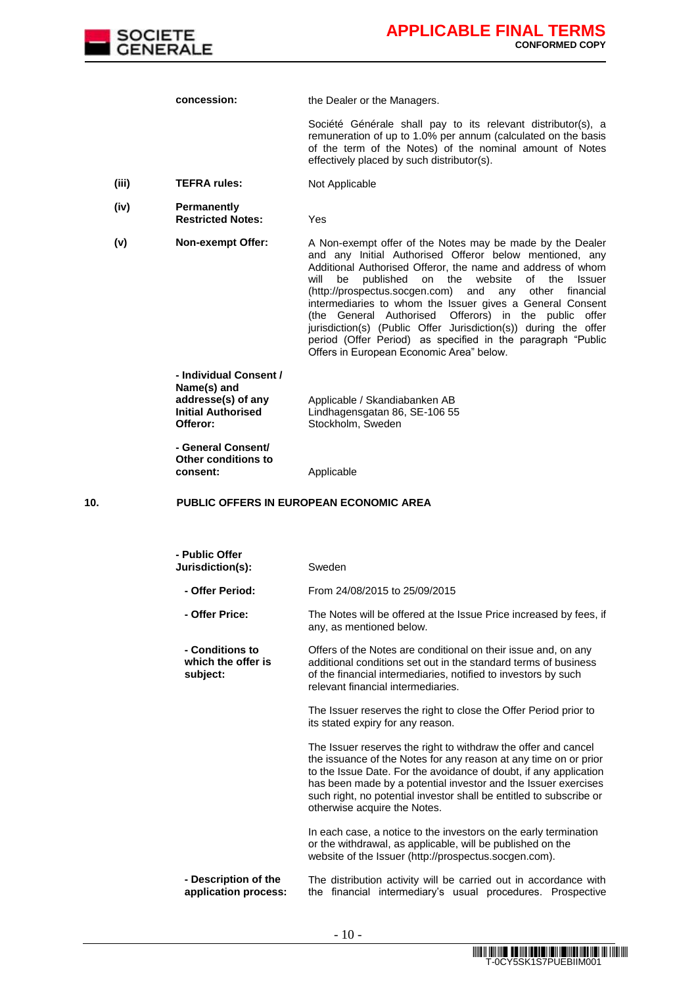

**concession:** the Dealer or the Managers.

Société Générale shall pay to its relevant distributor(s), a remuneration of up to 1.0% per annum (calculated on the basis of the term of the Notes) of the nominal amount of Notes effectively placed by such distributor(s).

- **(iii) TEFRA rules:** Not Applicable
- **(iv) Permanently Restricted Notes:** Yes

**(v) Non-exempt Offer:** A Non-exempt offer of the Notes may be made by the Dealer and any Initial Authorised Offeror below mentioned, any Additional Authorised Offeror, the name and address of whom will be published on the website of the Issuer (http://prospectus.socgen.com) and any other financial intermediaries to whom the Issuer gives a General Consent (the General Authorised Offerors) in the public offer jurisdiction(s) (Public Offer Jurisdiction(s)) during the offer period (Offer Period) as specified in the paragraph "Public Offers in European Economic Area" below.

> **- Individual Consent / Name(s) and addresse(s) of any Initial Authorised Offeror:**

Applicable / Skandiabanken AB Lindhagensgatan 86, SE-106 55 Stockholm, Sweden

**- General Consent/ Other conditions to** 

#### **10. PUBLIC OFFERS IN EUROPEAN ECONOMIC AREA**

**consent:** Applicable

| - Public Offer<br>Jurisdiction(s):                | Sweden                                                                                                                                                                                                                                                                                                                                                                           |  |  |  |
|---------------------------------------------------|----------------------------------------------------------------------------------------------------------------------------------------------------------------------------------------------------------------------------------------------------------------------------------------------------------------------------------------------------------------------------------|--|--|--|
| - Offer Period:                                   | From 24/08/2015 to 25/09/2015                                                                                                                                                                                                                                                                                                                                                    |  |  |  |
| - Offer Price:                                    | The Notes will be offered at the Issue Price increased by fees, if<br>any, as mentioned below.                                                                                                                                                                                                                                                                                   |  |  |  |
| - Conditions to<br>which the offer is<br>subject: | Offers of the Notes are conditional on their issue and, on any<br>additional conditions set out in the standard terms of business<br>of the financial intermediaries, notified to investors by such<br>relevant financial intermediaries.                                                                                                                                        |  |  |  |
|                                                   | The Issuer reserves the right to close the Offer Period prior to<br>its stated expiry for any reason.                                                                                                                                                                                                                                                                            |  |  |  |
|                                                   | The Issuer reserves the right to withdraw the offer and cancel<br>the issuance of the Notes for any reason at any time on or prior<br>to the Issue Date. For the avoidance of doubt, if any application<br>has been made by a potential investor and the Issuer exercises<br>such right, no potential investor shall be entitled to subscribe or<br>otherwise acquire the Notes. |  |  |  |
|                                                   | In each case, a notice to the investors on the early termination<br>or the withdrawal, as applicable, will be published on the<br>website of the Issuer (http://prospectus.socgen.com).                                                                                                                                                                                          |  |  |  |
| - Description of the<br>application process:      | The distribution activity will be carried out in accordance with<br>the financial intermediary's usual procedures. Prospective                                                                                                                                                                                                                                                   |  |  |  |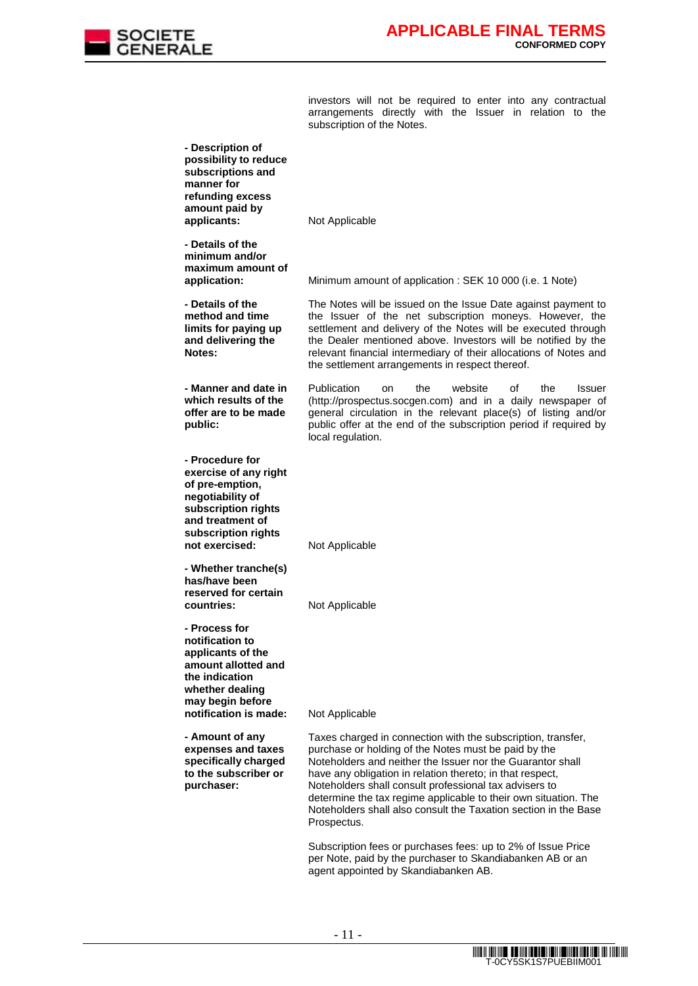

investors will not be required to enter into any contractual arrangements directly with the Issuer in relation to the subscription of the Notes.

| - Description of<br>possibility to reduce<br>subscriptions and<br>manner for<br>refunding excess<br>amount paid by                                                  |                                                                                                                                                                                                                                                                                                                                                                                                                                                                |
|---------------------------------------------------------------------------------------------------------------------------------------------------------------------|----------------------------------------------------------------------------------------------------------------------------------------------------------------------------------------------------------------------------------------------------------------------------------------------------------------------------------------------------------------------------------------------------------------------------------------------------------------|
| applicants:                                                                                                                                                         | Not Applicable                                                                                                                                                                                                                                                                                                                                                                                                                                                 |
| - Details of the<br>minimum and/or<br>maximum amount of<br>application:                                                                                             | Minimum amount of application: SEK 10 000 (i.e. 1 Note)                                                                                                                                                                                                                                                                                                                                                                                                        |
| - Details of the<br>method and time<br>limits for paying up<br>and delivering the<br>Notes:                                                                         | The Notes will be issued on the Issue Date against payment to<br>the Issuer of the net subscription moneys. However, the<br>settlement and delivery of the Notes will be executed through<br>the Dealer mentioned above. Investors will be notified by the<br>relevant financial intermediary of their allocations of Notes and<br>the settlement arrangements in respect thereof.                                                                             |
| - Manner and date in<br>which results of the<br>offer are to be made<br>public:                                                                                     | Publication<br>website<br>the<br>οf<br>the<br>Issuer<br>on<br>(http://prospectus.socgen.com) and in a daily newspaper of<br>general circulation in the relevant place(s) of listing and/or<br>public offer at the end of the subscription period if required by<br>local regulation.                                                                                                                                                                           |
| - Procedure for<br>exercise of any right<br>of pre-emption,<br>negotiability of<br>subscription rights<br>and treatment of<br>subscription rights<br>not exercised: | Not Applicable                                                                                                                                                                                                                                                                                                                                                                                                                                                 |
| - Whether tranche(s)<br>has/have been<br>reserved for certain<br>countries:                                                                                         | Not Applicable                                                                                                                                                                                                                                                                                                                                                                                                                                                 |
| - Process for<br>notification to<br>applicants of the<br>amount allotted and<br>the indication<br>whether dealing<br>may begin before<br>notification is made:      | Not Applicable                                                                                                                                                                                                                                                                                                                                                                                                                                                 |
| - Amount of any<br>expenses and taxes<br>specifically charged<br>to the subscriber or<br>purchaser:                                                                 | Taxes charged in connection with the subscription, transfer,<br>purchase or holding of the Notes must be paid by the<br>Noteholders and neither the Issuer nor the Guarantor shall<br>have any obligation in relation thereto; in that respect,<br>Noteholders shall consult professional tax advisers to<br>determine the tax regime applicable to their own situation. The<br>Noteholders shall also consult the Taxation section in the Base<br>Prospectus. |
|                                                                                                                                                                     | Subscription fees or purchases fees: up to 2% of Issue Price<br>per Note, paid by the purchaser to Skandiabanken AB or an<br>agent appointed by Skandiabanken AB.                                                                                                                                                                                                                                                                                              |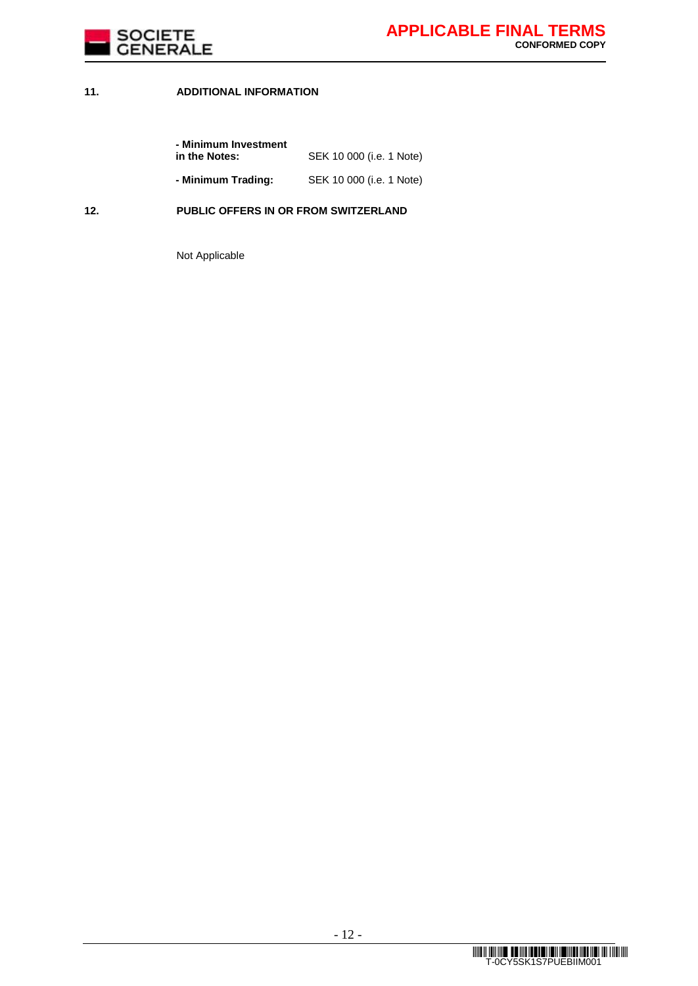

## **11. ADDITIONAL INFORMATION**

| - Minimum Investment |                          |
|----------------------|--------------------------|
| in the Notes:        | SEK 10 000 (i.e. 1 Note) |
| - Minimum Trading:   | SEK 10 000 (i.e. 1 Note) |

## **12. PUBLIC OFFERS IN OR FROM SWITZERLAND**

Not Applicable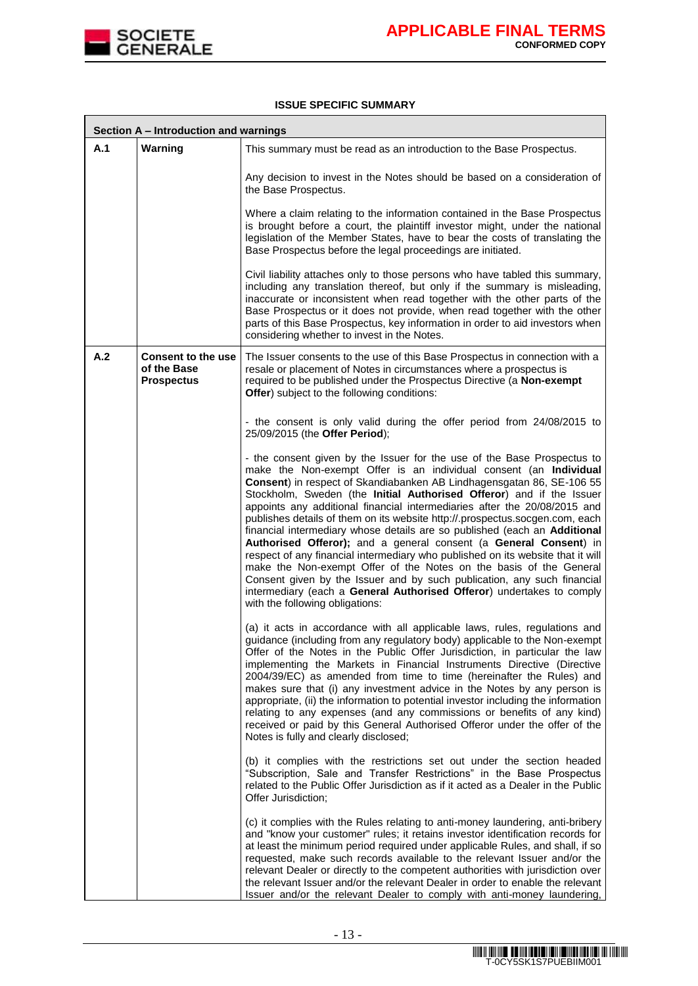

.

### **ISSUE SPECIFIC SUMMARY**

|     | Section A - Introduction and warnings                         |                                                                                                                                                                                                                                                                                                                                                                                                                                                                                                                                                                                                                                                                                                                                                                                                                                                                                                                                                              |  |  |  |
|-----|---------------------------------------------------------------|--------------------------------------------------------------------------------------------------------------------------------------------------------------------------------------------------------------------------------------------------------------------------------------------------------------------------------------------------------------------------------------------------------------------------------------------------------------------------------------------------------------------------------------------------------------------------------------------------------------------------------------------------------------------------------------------------------------------------------------------------------------------------------------------------------------------------------------------------------------------------------------------------------------------------------------------------------------|--|--|--|
| A.1 | Warning                                                       | This summary must be read as an introduction to the Base Prospectus.                                                                                                                                                                                                                                                                                                                                                                                                                                                                                                                                                                                                                                                                                                                                                                                                                                                                                         |  |  |  |
|     |                                                               | Any decision to invest in the Notes should be based on a consideration of<br>the Base Prospectus.                                                                                                                                                                                                                                                                                                                                                                                                                                                                                                                                                                                                                                                                                                                                                                                                                                                            |  |  |  |
|     |                                                               | Where a claim relating to the information contained in the Base Prospectus<br>is brought before a court, the plaintiff investor might, under the national<br>legislation of the Member States, have to bear the costs of translating the<br>Base Prospectus before the legal proceedings are initiated.                                                                                                                                                                                                                                                                                                                                                                                                                                                                                                                                                                                                                                                      |  |  |  |
|     |                                                               | Civil liability attaches only to those persons who have tabled this summary,<br>including any translation thereof, but only if the summary is misleading,<br>inaccurate or inconsistent when read together with the other parts of the<br>Base Prospectus or it does not provide, when read together with the other<br>parts of this Base Prospectus, key information in order to aid investors when<br>considering whether to invest in the Notes.                                                                                                                                                                                                                                                                                                                                                                                                                                                                                                          |  |  |  |
| A.2 | <b>Consent to the use</b><br>of the Base<br><b>Prospectus</b> | The Issuer consents to the use of this Base Prospectus in connection with a<br>resale or placement of Notes in circumstances where a prospectus is<br>required to be published under the Prospectus Directive (a Non-exempt<br>Offer) subject to the following conditions:                                                                                                                                                                                                                                                                                                                                                                                                                                                                                                                                                                                                                                                                                   |  |  |  |
|     |                                                               | - the consent is only valid during the offer period from 24/08/2015 to<br>25/09/2015 (the Offer Period);                                                                                                                                                                                                                                                                                                                                                                                                                                                                                                                                                                                                                                                                                                                                                                                                                                                     |  |  |  |
|     |                                                               | - the consent given by the Issuer for the use of the Base Prospectus to<br>make the Non-exempt Offer is an individual consent (an Individual<br>Consent) in respect of Skandiabanken AB Lindhagensgatan 86, SE-106 55<br>Stockholm, Sweden (the Initial Authorised Offeror) and if the Issuer<br>appoints any additional financial intermediaries after the 20/08/2015 and<br>publishes details of them on its website http://.prospectus.socgen.com, each<br>financial intermediary whose details are so published (each an Additional<br>Authorised Offeror); and a general consent (a General Consent) in<br>respect of any financial intermediary who published on its website that it will<br>make the Non-exempt Offer of the Notes on the basis of the General<br>Consent given by the Issuer and by such publication, any such financial<br>intermediary (each a General Authorised Offeror) undertakes to comply<br>with the following obligations: |  |  |  |
|     |                                                               | (a) it acts in accordance with all applicable laws, rules, regulations and<br>guidance (including from any regulatory body) applicable to the Non-exempt<br>Offer of the Notes in the Public Offer Jurisdiction, in particular the law<br>implementing the Markets in Financial Instruments Directive (Directive<br>2004/39/EC) as amended from time to time (hereinafter the Rules) and<br>makes sure that (i) any investment advice in the Notes by any person is<br>appropriate, (ii) the information to potential investor including the information<br>relating to any expenses (and any commissions or benefits of any kind)<br>received or paid by this General Authorised Offeror under the offer of the<br>Notes is fully and clearly disclosed;                                                                                                                                                                                                    |  |  |  |
|     |                                                               | (b) it complies with the restrictions set out under the section headed<br>"Subscription, Sale and Transfer Restrictions" in the Base Prospectus<br>related to the Public Offer Jurisdiction as if it acted as a Dealer in the Public<br>Offer Jurisdiction;                                                                                                                                                                                                                                                                                                                                                                                                                                                                                                                                                                                                                                                                                                  |  |  |  |
|     |                                                               | (c) it complies with the Rules relating to anti-money laundering, anti-bribery<br>and "know your customer" rules; it retains investor identification records for<br>at least the minimum period required under applicable Rules, and shall, if so<br>requested, make such records available to the relevant Issuer and/or the<br>relevant Dealer or directly to the competent authorities with jurisdiction over<br>the relevant Issuer and/or the relevant Dealer in order to enable the relevant<br>Issuer and/or the relevant Dealer to comply with anti-money laundering,                                                                                                                                                                                                                                                                                                                                                                                |  |  |  |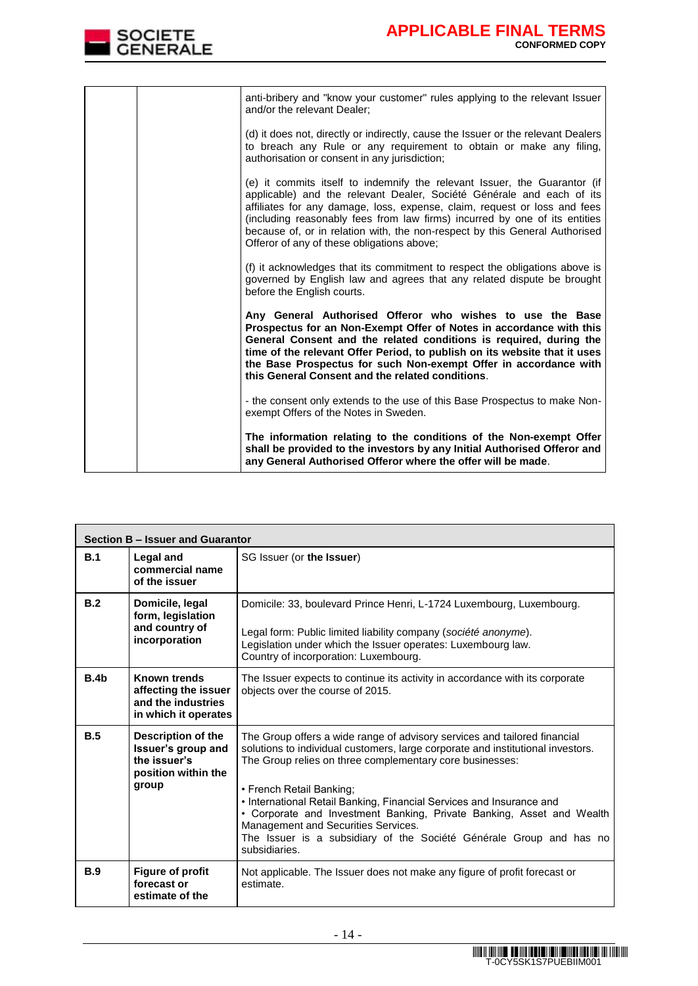

|  | anti-bribery and "know your customer" rules applying to the relevant Issuer<br>and/or the relevant Dealer;                                                                                                                                                                                                                                                                                                                                 |
|--|--------------------------------------------------------------------------------------------------------------------------------------------------------------------------------------------------------------------------------------------------------------------------------------------------------------------------------------------------------------------------------------------------------------------------------------------|
|  | (d) it does not, directly or indirectly, cause the Issuer or the relevant Dealers<br>to breach any Rule or any requirement to obtain or make any filing,<br>authorisation or consent in any jurisdiction;                                                                                                                                                                                                                                  |
|  | (e) it commits itself to indemnify the relevant Issuer, the Guarantor (if<br>applicable) and the relevant Dealer, Société Générale and each of its<br>affiliates for any damage, loss, expense, claim, request or loss and fees<br>(including reasonably fees from law firms) incurred by one of its entities<br>because of, or in relation with, the non-respect by this General Authorised<br>Offeror of any of these obligations above; |
|  | (f) it acknowledges that its commitment to respect the obligations above is<br>governed by English law and agrees that any related dispute be brought<br>before the English courts.                                                                                                                                                                                                                                                        |
|  | Any General Authorised Offeror who wishes to use the Base<br>Prospectus for an Non-Exempt Offer of Notes in accordance with this<br>General Consent and the related conditions is required, during the<br>time of the relevant Offer Period, to publish on its website that it uses<br>the Base Prospectus for such Non-exempt Offer in accordance with<br>this General Consent and the related conditions.                                |
|  | - the consent only extends to the use of this Base Prospectus to make Non-<br>exempt Offers of the Notes in Sweden.                                                                                                                                                                                                                                                                                                                        |
|  | The information relating to the conditions of the Non-exempt Offer<br>shall be provided to the investors by any Initial Authorised Offeror and<br>any General Authorised Offeror where the offer will be made.                                                                                                                                                                                                                             |

|                  | Section B - Issuer and Guarantor                                                                |                                                                                                                                                                                                                                                                                                                                                                                                                                                                                                                                      |  |  |  |
|------------------|-------------------------------------------------------------------------------------------------|--------------------------------------------------------------------------------------------------------------------------------------------------------------------------------------------------------------------------------------------------------------------------------------------------------------------------------------------------------------------------------------------------------------------------------------------------------------------------------------------------------------------------------------|--|--|--|
| B.1              | Legal and<br>commercial name<br>of the issuer                                                   | SG Issuer (or the Issuer)                                                                                                                                                                                                                                                                                                                                                                                                                                                                                                            |  |  |  |
| B.2              | Domicile, legal<br>form, legislation<br>and country of<br>incorporation                         | Domicile: 33, boulevard Prince Henri, L-1724 Luxembourg, Luxembourg.<br>Legal form: Public limited liability company (société anonyme).<br>Legislation under which the Issuer operates: Luxembourg law.<br>Country of incorporation: Luxembourg.                                                                                                                                                                                                                                                                                     |  |  |  |
| B.4 <sub>b</sub> | Known trends<br>affecting the issuer<br>and the industries<br>in which it operates              | The Issuer expects to continue its activity in accordance with its corporate<br>objects over the course of 2015.                                                                                                                                                                                                                                                                                                                                                                                                                     |  |  |  |
| B.5              | <b>Description of the</b><br>Issuer's group and<br>the issuer's<br>position within the<br>group | The Group offers a wide range of advisory services and tailored financial<br>solutions to individual customers, large corporate and institutional investors.<br>The Group relies on three complementary core businesses:<br>• French Retail Banking;<br>• International Retail Banking, Financial Services and Insurance and<br>• Corporate and Investment Banking, Private Banking, Asset and Wealth<br>Management and Securities Services.<br>The Issuer is a subsidiary of the Société Générale Group and has no<br>subsidiaries. |  |  |  |
| B.9              | <b>Figure of profit</b><br>forecast or<br>estimate of the                                       | Not applicable. The Issuer does not make any figure of profit forecast or<br>estimate.                                                                                                                                                                                                                                                                                                                                                                                                                                               |  |  |  |

 $\overline{\phantom{a}}$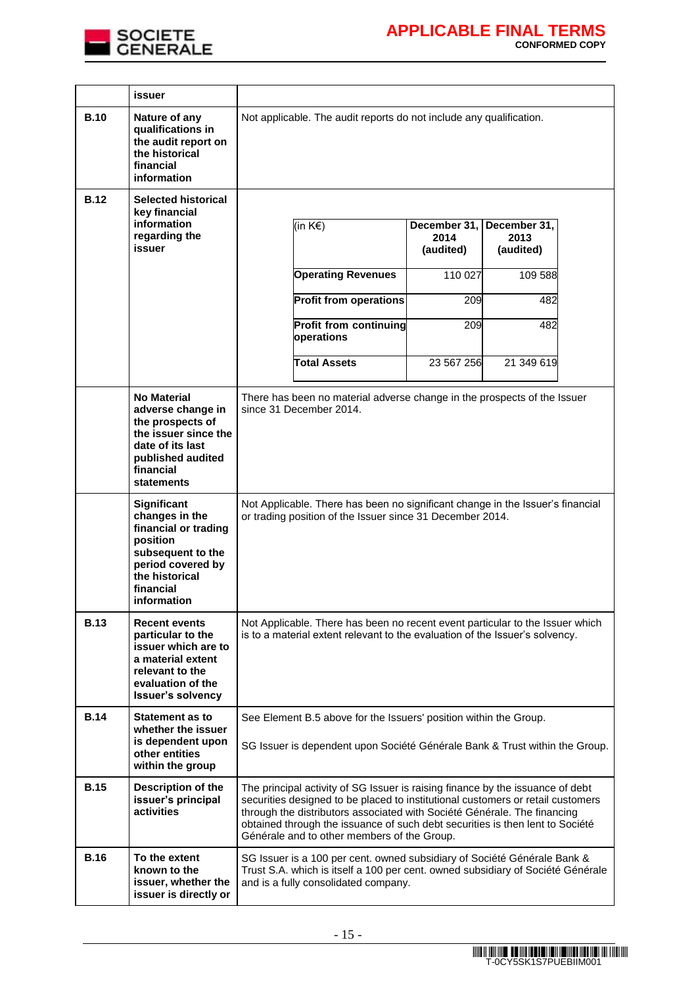

|             | issuer                                                                                                                                                           |                                                                                                                                                                                                                                                                                                                                                                               |                                   |                                   |  |
|-------------|------------------------------------------------------------------------------------------------------------------------------------------------------------------|-------------------------------------------------------------------------------------------------------------------------------------------------------------------------------------------------------------------------------------------------------------------------------------------------------------------------------------------------------------------------------|-----------------------------------|-----------------------------------|--|
| <b>B.10</b> | Nature of any<br>qualifications in<br>the audit report on<br>the historical<br>financial<br>information                                                          | Not applicable. The audit reports do not include any qualification.                                                                                                                                                                                                                                                                                                           |                                   |                                   |  |
| <b>B.12</b> | <b>Selected historical</b><br>key financial<br>information<br>regarding the<br>issuer                                                                            | (in K€)                                                                                                                                                                                                                                                                                                                                                                       | December 31,<br>2014<br>(audited) | December 31,<br>2013<br>(audited) |  |
|             |                                                                                                                                                                  | <b>Operating Revenues</b>                                                                                                                                                                                                                                                                                                                                                     | 110 027                           | 109 588                           |  |
|             |                                                                                                                                                                  | <b>Profit from operations</b>                                                                                                                                                                                                                                                                                                                                                 | 209                               | 482                               |  |
|             |                                                                                                                                                                  | Profit from continuing<br>operations                                                                                                                                                                                                                                                                                                                                          | 209                               | 482                               |  |
|             |                                                                                                                                                                  | <b>Total Assets</b>                                                                                                                                                                                                                                                                                                                                                           | 23 567 256                        | 21 349 619                        |  |
|             | <b>No Material</b><br>adverse change in<br>the prospects of<br>the issuer since the<br>date of its last<br>published audited<br>financial<br>statements          | There has been no material adverse change in the prospects of the Issuer<br>since 31 December 2014.                                                                                                                                                                                                                                                                           |                                   |                                   |  |
|             | <b>Significant</b><br>changes in the<br>financial or trading<br>position<br>subsequent to the<br>period covered by<br>the historical<br>financial<br>information | Not Applicable. There has been no significant change in the Issuer's financial<br>or trading position of the Issuer since 31 December 2014.                                                                                                                                                                                                                                   |                                   |                                   |  |
| <b>B.13</b> | <b>Recent events</b><br>particular to the<br>issuer which are to<br>a material extent<br>relevant to the<br>evaluation of the<br><b>Issuer's solvency</b>        | Not Applicable. There has been no recent event particular to the Issuer which<br>is to a material extent relevant to the evaluation of the Issuer's solvency.                                                                                                                                                                                                                 |                                   |                                   |  |
| <b>B.14</b> | <b>Statement as to</b><br>whether the issuer<br>is dependent upon<br>other entities<br>within the group                                                          | See Element B.5 above for the Issuers' position within the Group.<br>SG Issuer is dependent upon Société Générale Bank & Trust within the Group.                                                                                                                                                                                                                              |                                   |                                   |  |
| <b>B.15</b> | Description of the<br>issuer's principal<br>activities                                                                                                           | The principal activity of SG Issuer is raising finance by the issuance of debt<br>securities designed to be placed to institutional customers or retail customers<br>through the distributors associated with Société Générale. The financing<br>obtained through the issuance of such debt securities is then lent to Société<br>Générale and to other members of the Group. |                                   |                                   |  |
| <b>B.16</b> | To the extent<br>known to the<br>issuer, whether the<br>issuer is directly or                                                                                    | SG Issuer is a 100 per cent. owned subsidiary of Société Générale Bank &<br>Trust S.A. which is itself a 100 per cent. owned subsidiary of Société Générale<br>and is a fully consolidated company.                                                                                                                                                                           |                                   |                                   |  |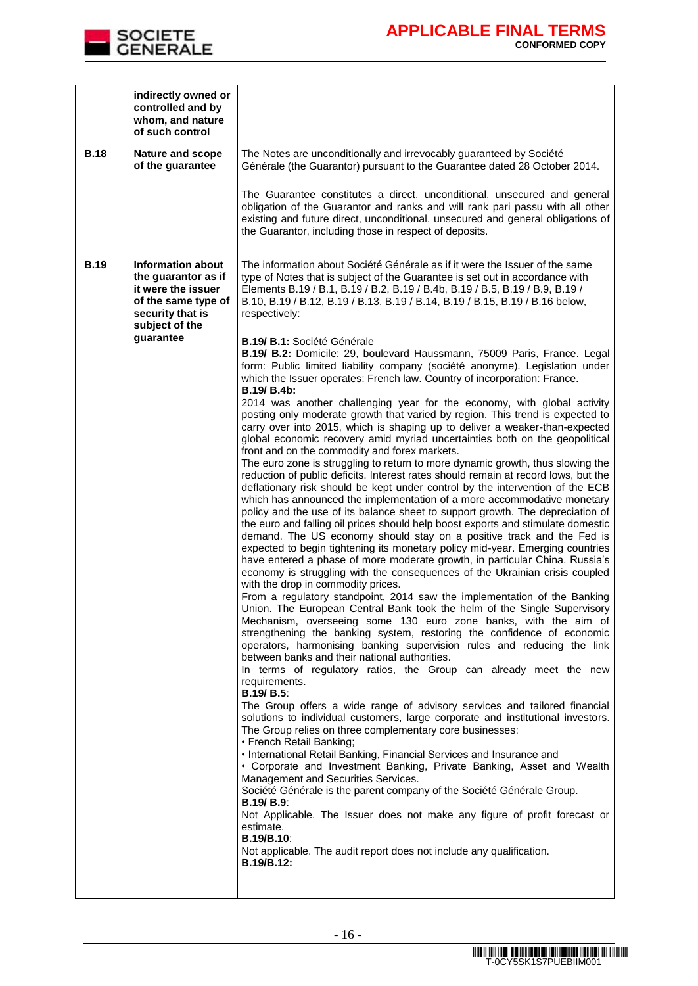

|             | indirectly owned or<br>controlled and by<br>whom, and nature<br>of such control                                                                 |                                                                                                                                                                                                                                                                                                                                                                                                                                                                                                                                                                                                                                                                                                                                                                                                                                                                                                                                                                                                                                                                                                                                                                                                                                                                                                                                                                                                                                                                                                                                                                                                                                                                                                                                                                                                                                                                                                                                                                                                                                                                                                                                                                                                                                                                                                                                                                                                                                                                                                                                                                                                                                                                                                                                                                                                                                                                                                                                                                                                                                                                                                                                                                                           |
|-------------|-------------------------------------------------------------------------------------------------------------------------------------------------|-------------------------------------------------------------------------------------------------------------------------------------------------------------------------------------------------------------------------------------------------------------------------------------------------------------------------------------------------------------------------------------------------------------------------------------------------------------------------------------------------------------------------------------------------------------------------------------------------------------------------------------------------------------------------------------------------------------------------------------------------------------------------------------------------------------------------------------------------------------------------------------------------------------------------------------------------------------------------------------------------------------------------------------------------------------------------------------------------------------------------------------------------------------------------------------------------------------------------------------------------------------------------------------------------------------------------------------------------------------------------------------------------------------------------------------------------------------------------------------------------------------------------------------------------------------------------------------------------------------------------------------------------------------------------------------------------------------------------------------------------------------------------------------------------------------------------------------------------------------------------------------------------------------------------------------------------------------------------------------------------------------------------------------------------------------------------------------------------------------------------------------------------------------------------------------------------------------------------------------------------------------------------------------------------------------------------------------------------------------------------------------------------------------------------------------------------------------------------------------------------------------------------------------------------------------------------------------------------------------------------------------------------------------------------------------------------------------------------------------------------------------------------------------------------------------------------------------------------------------------------------------------------------------------------------------------------------------------------------------------------------------------------------------------------------------------------------------------------------------------------------------------------------------------------------------------|
| <b>B.18</b> | <b>Nature and scope</b><br>of the guarantee                                                                                                     | The Notes are unconditionally and irrevocably guaranteed by Société<br>Générale (the Guarantor) pursuant to the Guarantee dated 28 October 2014.                                                                                                                                                                                                                                                                                                                                                                                                                                                                                                                                                                                                                                                                                                                                                                                                                                                                                                                                                                                                                                                                                                                                                                                                                                                                                                                                                                                                                                                                                                                                                                                                                                                                                                                                                                                                                                                                                                                                                                                                                                                                                                                                                                                                                                                                                                                                                                                                                                                                                                                                                                                                                                                                                                                                                                                                                                                                                                                                                                                                                                          |
|             |                                                                                                                                                 | The Guarantee constitutes a direct, unconditional, unsecured and general<br>obligation of the Guarantor and ranks and will rank pari passu with all other<br>existing and future direct, unconditional, unsecured and general obligations of<br>the Guarantor, including those in respect of deposits.                                                                                                                                                                                                                                                                                                                                                                                                                                                                                                                                                                                                                                                                                                                                                                                                                                                                                                                                                                                                                                                                                                                                                                                                                                                                                                                                                                                                                                                                                                                                                                                                                                                                                                                                                                                                                                                                                                                                                                                                                                                                                                                                                                                                                                                                                                                                                                                                                                                                                                                                                                                                                                                                                                                                                                                                                                                                                    |
| <b>B.19</b> | <b>Information about</b><br>the guarantor as if<br>it were the issuer<br>of the same type of<br>security that is<br>subject of the<br>guarantee | The information about Société Générale as if it were the Issuer of the same<br>type of Notes that is subject of the Guarantee is set out in accordance with<br>Elements B.19 / B.1, B.19 / B.2, B.19 / B.4b, B.19 / B.5, B.19 / B.9, B.19 /<br>B.10, B.19 / B.12, B.19 / B.13, B.19 / B.14, B.19 / B.15, B.19 / B.16 below,<br>respectively:<br><b>B.19/ B.1: Société Générale</b><br>B.19/ B.2: Domicile: 29, boulevard Haussmann, 75009 Paris, France. Legal<br>form: Public limited liability company (société anonyme). Legislation under<br>which the Issuer operates: French law. Country of incorporation: France.<br>B.19/ B.4b:<br>2014 was another challenging year for the economy, with global activity<br>posting only moderate growth that varied by region. This trend is expected to<br>carry over into 2015, which is shaping up to deliver a weaker-than-expected<br>global economic recovery amid myriad uncertainties both on the geopolitical<br>front and on the commodity and forex markets.<br>The euro zone is struggling to return to more dynamic growth, thus slowing the<br>reduction of public deficits. Interest rates should remain at record lows, but the<br>deflationary risk should be kept under control by the intervention of the ECB<br>which has announced the implementation of a more accommodative monetary<br>policy and the use of its balance sheet to support growth. The depreciation of<br>the euro and falling oil prices should help boost exports and stimulate domestic<br>demand. The US economy should stay on a positive track and the Fed is<br>expected to begin tightening its monetary policy mid-year. Emerging countries<br>have entered a phase of more moderate growth, in particular China. Russia's<br>economy is struggling with the consequences of the Ukrainian crisis coupled<br>with the drop in commodity prices.<br>From a regulatory standpoint, 2014 saw the implementation of the Banking<br>Union. The European Central Bank took the helm of the Single Supervisory<br>Mechanism, overseeing some 130 euro zone banks, with the aim of<br>strengthening the banking system, restoring the confidence of economic<br>operators, harmonising banking supervision rules and reducing the link<br>between banks and their national authorities.<br>In terms of regulatory ratios, the Group can already meet the new<br>requirements.<br><b>B.19/ B.5:</b><br>The Group offers a wide range of advisory services and tailored financial<br>solutions to individual customers, large corporate and institutional investors.<br>The Group relies on three complementary core businesses:<br>• French Retail Banking;<br>• International Retail Banking, Financial Services and Insurance and<br>• Corporate and Investment Banking, Private Banking, Asset and Wealth<br>Management and Securities Services.<br>Société Générale is the parent company of the Société Générale Group.<br><b>B.19/ B.9:</b><br>Not Applicable. The Issuer does not make any figure of profit forecast or<br>estimate.<br><b>B.19/B.10:</b><br>Not applicable. The audit report does not include any qualification.<br>B.19/B.12: |
|             |                                                                                                                                                 |                                                                                                                                                                                                                                                                                                                                                                                                                                                                                                                                                                                                                                                                                                                                                                                                                                                                                                                                                                                                                                                                                                                                                                                                                                                                                                                                                                                                                                                                                                                                                                                                                                                                                                                                                                                                                                                                                                                                                                                                                                                                                                                                                                                                                                                                                                                                                                                                                                                                                                                                                                                                                                                                                                                                                                                                                                                                                                                                                                                                                                                                                                                                                                                           |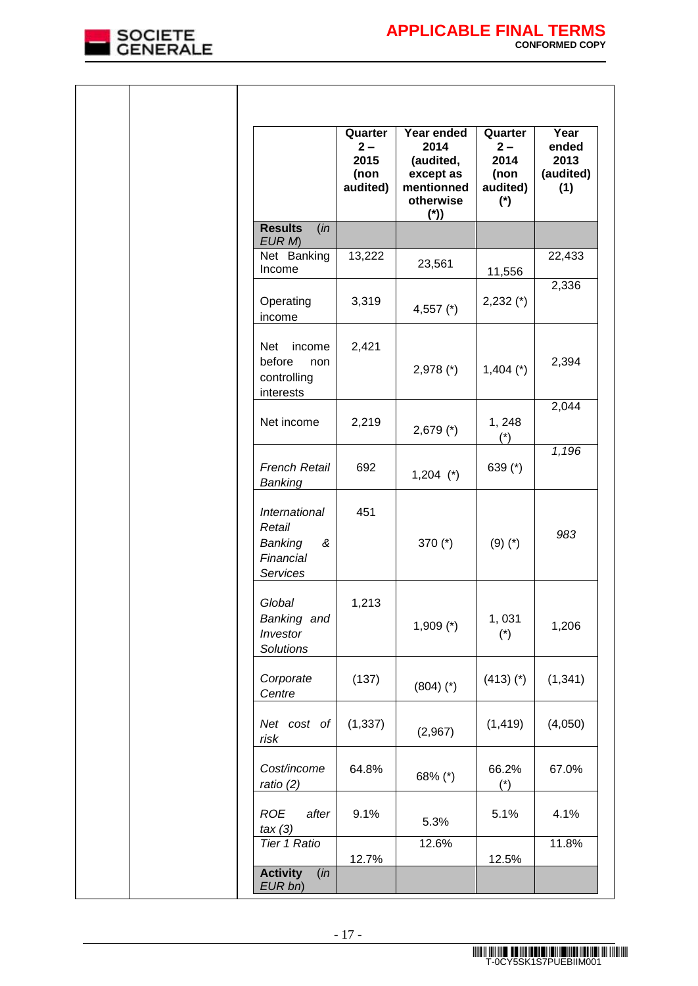

|                                                                   | Quarter<br>$2-$<br>2015<br>(non<br>audited) | Year ended<br>2014<br>(audited,<br>except as<br>mentionned<br>otherwise<br>$(*)$ | Quarter<br>$2-$<br>2014<br>(non<br>audited)<br>$(*)$ | Year<br>ended<br>2013<br>(audited)<br>(1) |
|-------------------------------------------------------------------|---------------------------------------------|----------------------------------------------------------------------------------|------------------------------------------------------|-------------------------------------------|
| <b>Results</b><br>(in<br>EUR M                                    |                                             |                                                                                  |                                                      |                                           |
| Net Banking<br>Income                                             | 13,222                                      | 23,561                                                                           | 11,556                                               | 22,433                                    |
| Operating<br>income                                               | 3,319                                       | 4,557 $(*)$                                                                      | $2,232 (*)$                                          | 2,336                                     |
| <b>Net</b><br>income<br>before<br>non<br>controlling<br>interests | 2,421                                       | $2,978$ (*)                                                                      | $1,404$ (*)                                          | 2,394                                     |
| Net income                                                        | 2,219                                       | $2,679$ (*)                                                                      | 1, 248<br>$(*)$                                      | 2,044                                     |
| <b>French Retail</b><br>Banking                                   | 692                                         | $1,204$ (*)                                                                      | 639 $(*)$                                            | 1,196                                     |
| International<br>Retail<br>Banking<br>&<br>Financial<br>Services  | 451                                         | 370 $(*)$                                                                        | $(9)(*)$                                             | 983                                       |
| Global<br>Banking and<br>Investor<br>Solutions                    | 1,213                                       | $1,909$ (*)                                                                      | 1,031<br>$(*)$                                       | 1,206                                     |
| Corporate<br>Centre                                               | (137)                                       | $(804)$ (*)                                                                      | $(413)$ (*)                                          | (1, 341)                                  |
| Net cost of<br>risk                                               | (1, 337)                                    | (2,967)                                                                          | (1, 419)                                             | (4,050)                                   |
| Cost/income<br>ratio $(2)$                                        | 64.8%                                       | 68% (*)                                                                          | 66.2%<br>$(*)$                                       | 67.0%                                     |
| <b>ROE</b><br>after<br>tax(3)                                     | 9.1%                                        | 5.3%                                                                             | 5.1%                                                 | 4.1%                                      |
| <b>Tier 1 Ratio</b>                                               | 12.7%                                       | 12.6%                                                                            | 12.5%                                                | 11.8%                                     |
| <b>Activity</b><br>(in<br>EUR bn)                                 |                                             |                                                                                  |                                                      |                                           |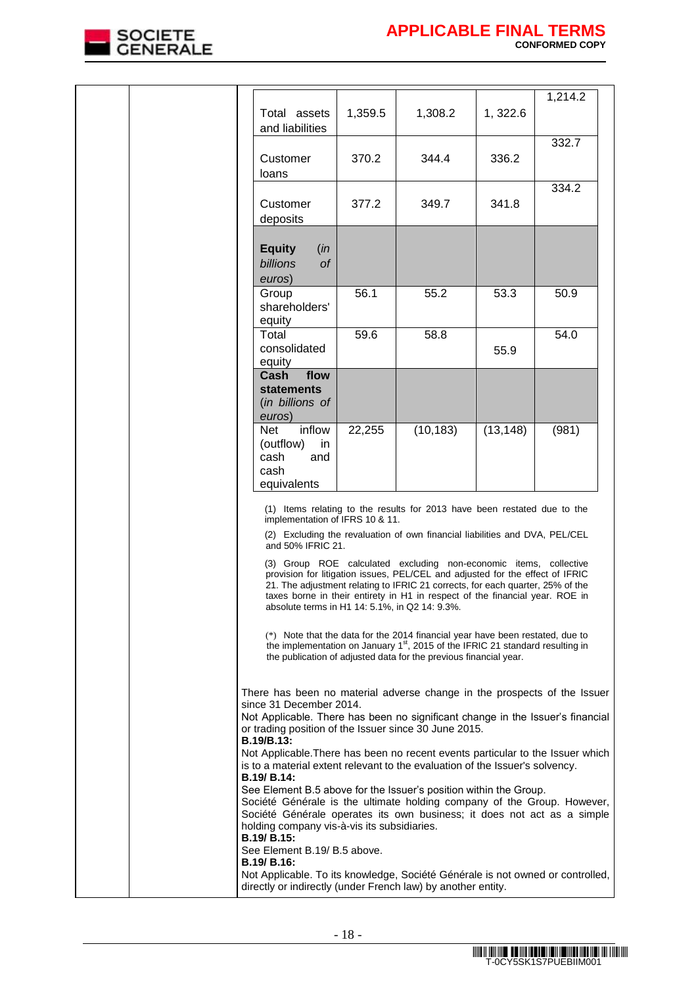

|  |                                                                                                                                                                                                                                                                                                                              |         |                                                                                                                                                                                                                                                                                                                      |           | 1,214.2 |
|--|------------------------------------------------------------------------------------------------------------------------------------------------------------------------------------------------------------------------------------------------------------------------------------------------------------------------------|---------|----------------------------------------------------------------------------------------------------------------------------------------------------------------------------------------------------------------------------------------------------------------------------------------------------------------------|-----------|---------|
|  | Total assets<br>and liabilities                                                                                                                                                                                                                                                                                              | 1,359.5 | 1,308.2                                                                                                                                                                                                                                                                                                              | 1, 322.6  |         |
|  | Customer<br>loans                                                                                                                                                                                                                                                                                                            | 370.2   | 344.4                                                                                                                                                                                                                                                                                                                | 336.2     | 332.7   |
|  | Customer<br>deposits                                                                                                                                                                                                                                                                                                         | 377.2   | 349.7                                                                                                                                                                                                                                                                                                                | 341.8     | 334.2   |
|  | <b>Equity</b><br>(in<br>billions<br><b>of</b><br>euros)                                                                                                                                                                                                                                                                      |         |                                                                                                                                                                                                                                                                                                                      |           |         |
|  | Group<br>shareholders'<br>equity                                                                                                                                                                                                                                                                                             | 56.1    | 55.2                                                                                                                                                                                                                                                                                                                 | 53.3      | 50.9    |
|  | Total<br>consolidated<br>equity                                                                                                                                                                                                                                                                                              | 59.6    | 58.8                                                                                                                                                                                                                                                                                                                 | 55.9      | 54.0    |
|  | Cash<br>flow<br><b>statements</b><br>(in billions of<br>euros)                                                                                                                                                                                                                                                               |         |                                                                                                                                                                                                                                                                                                                      |           |         |
|  | inflow<br>Net<br>(outflow)<br>in<br>cash<br>and<br>cash<br>equivalents                                                                                                                                                                                                                                                       | 22,255  | (10, 183)                                                                                                                                                                                                                                                                                                            | (13, 148) | (981)   |
|  | implementation of IFRS 10 & 11.                                                                                                                                                                                                                                                                                              |         | (1) Items relating to the results for 2013 have been restated due to the                                                                                                                                                                                                                                             |           |         |
|  | and 50% IFRIC 21.                                                                                                                                                                                                                                                                                                            |         | (2) Excluding the revaluation of own financial liabilities and DVA, PEL/CEL                                                                                                                                                                                                                                          |           |         |
|  | absolute terms in H1 14: 5.1%, in Q2 14: 9.3%.                                                                                                                                                                                                                                                                               |         | (3) Group ROE calculated excluding non-economic items, collective<br>provision for litigation issues, PEL/CEL and adjusted for the effect of IFRIC<br>21. The adjustment relating to IFRIC 21 corrects, for each quarter, 25% of the<br>taxes borne in their entirety in H1 in respect of the financial year. ROE in |           |         |
|  |                                                                                                                                                                                                                                                                                                                              |         | (*) Note that the data for the 2014 financial year have been restated, due to<br>the implementation on January 1 <sup>st</sup> , 2015 of the IFRIC 21 standard resulting in<br>the publication of adjusted data for the previous financial year.                                                                     |           |         |
|  | There has been no material adverse change in the prospects of the Issuer<br>since 31 December 2014.<br>Not Applicable. There has been no significant change in the Issuer's financial<br>or trading position of the Issuer since 30 June 2015.<br><b>B.19/B.13:</b>                                                          |         |                                                                                                                                                                                                                                                                                                                      |           |         |
|  | Not Applicable. There has been no recent events particular to the Issuer which<br>is to a material extent relevant to the evaluation of the Issuer's solvency.<br><b>B.19/ B.14:</b>                                                                                                                                         |         |                                                                                                                                                                                                                                                                                                                      |           |         |
|  | See Element B.5 above for the Issuer's position within the Group.<br>Société Générale is the ultimate holding company of the Group. However,<br>Société Générale operates its own business; it does not act as a simple<br>holding company vis-à-vis its subsidiaries.<br><b>B.19/ B.15:</b><br>See Element B.19/ B.5 above. |         |                                                                                                                                                                                                                                                                                                                      |           |         |
|  | B.19/ B.16:<br>Not Applicable. To its knowledge, Société Générale is not owned or controlled,<br>directly or indirectly (under French law) by another entity.                                                                                                                                                                |         |                                                                                                                                                                                                                                                                                                                      |           |         |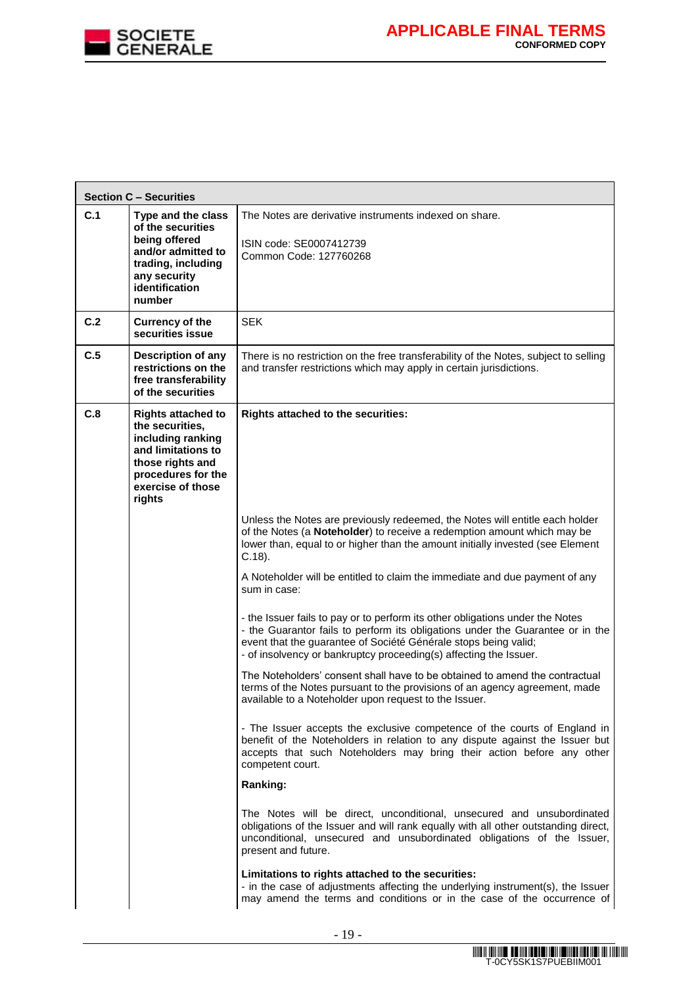

|     | <b>Section C - Securities</b>                                                                                                                                    |                                                                                                                                                                                                                                                                                                         |
|-----|------------------------------------------------------------------------------------------------------------------------------------------------------------------|---------------------------------------------------------------------------------------------------------------------------------------------------------------------------------------------------------------------------------------------------------------------------------------------------------|
| C.1 | Type and the class<br>of the securities<br>being offered<br>and/or admitted to<br>trading, including<br>any security<br>identification<br>number                 | The Notes are derivative instruments indexed on share.<br>ISIN code: SE0007412739<br>Common Code: 127760268                                                                                                                                                                                             |
| C.2 | <b>Currency of the</b><br>securities issue                                                                                                                       | <b>SEK</b>                                                                                                                                                                                                                                                                                              |
| C.5 | Description of any<br>restrictions on the<br>free transferability<br>of the securities                                                                           | There is no restriction on the free transferability of the Notes, subject to selling<br>and transfer restrictions which may apply in certain jurisdictions.                                                                                                                                             |
| C.8 | <b>Rights attached to</b><br>the securities,<br>including ranking<br>and limitations to<br>those rights and<br>procedures for the<br>exercise of those<br>rights | Rights attached to the securities:                                                                                                                                                                                                                                                                      |
|     |                                                                                                                                                                  | Unless the Notes are previously redeemed, the Notes will entitle each holder<br>of the Notes (a Noteholder) to receive a redemption amount which may be<br>lower than, equal to or higher than the amount initially invested (see Element<br>$C.18$ ).                                                  |
|     |                                                                                                                                                                  | A Noteholder will be entitled to claim the immediate and due payment of any<br>sum in case:                                                                                                                                                                                                             |
|     |                                                                                                                                                                  | - the Issuer fails to pay or to perform its other obligations under the Notes<br>- the Guarantor fails to perform its obligations under the Guarantee or in the<br>event that the guarantee of Société Générale stops being valid;<br>- of insolvency or bankruptcy proceeding(s) affecting the Issuer. |
|     |                                                                                                                                                                  | The Noteholders' consent shall have to be obtained to amend the contractual<br>terms of the Notes pursuant to the provisions of an agency agreement, made<br>available to a Noteholder upon request to the Issuer.                                                                                      |
|     |                                                                                                                                                                  | - The Issuer accepts the exclusive competence of the courts of England in<br>benefit of the Noteholders in relation to any dispute against the Issuer but<br>accepts that such Noteholders may bring their action before any other<br>competent court.                                                  |
|     |                                                                                                                                                                  | Ranking:                                                                                                                                                                                                                                                                                                |
|     |                                                                                                                                                                  | The Notes will be direct, unconditional, unsecured and unsubordinated<br>obligations of the Issuer and will rank equally with all other outstanding direct,<br>unconditional, unsecured and unsubordinated obligations of the Issuer,<br>present and future.                                            |
|     |                                                                                                                                                                  | Limitations to rights attached to the securities:<br>- in the case of adjustments affecting the underlying instrument(s), the Issuer<br>may amend the terms and conditions or in the case of the occurrence of                                                                                          |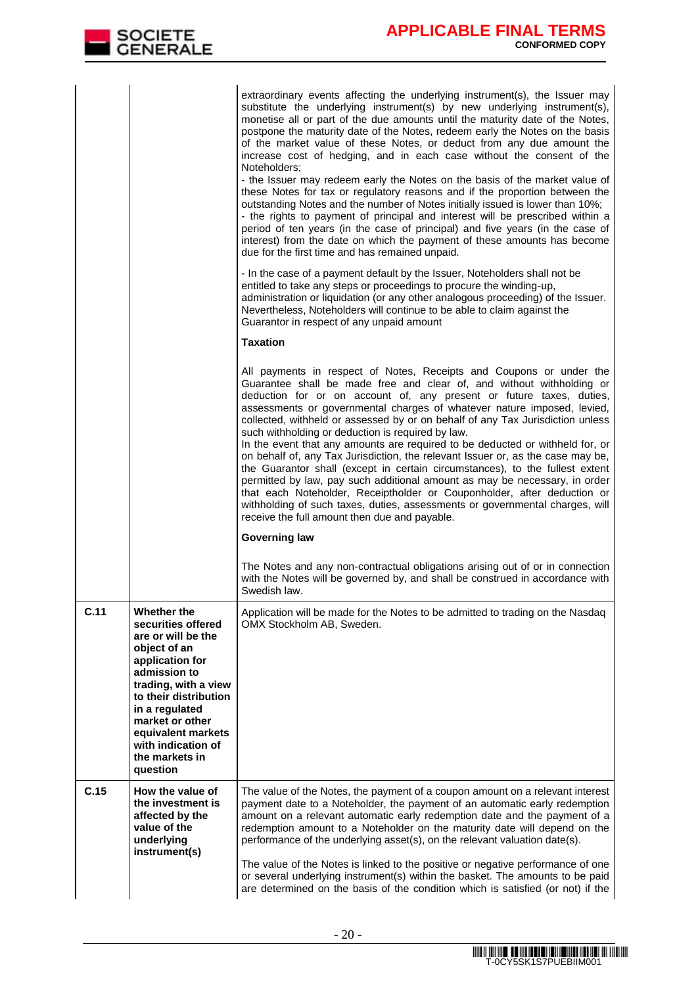|      |                                                                                                                                                                                                                                                                            | extraordinary events affecting the underlying instrument(s), the Issuer may<br>substitute the underlying instrument(s) by new underlying instrument(s),<br>monetise all or part of the due amounts until the maturity date of the Notes,<br>postpone the maturity date of the Notes, redeem early the Notes on the basis<br>of the market value of these Notes, or deduct from any due amount the<br>increase cost of hedging, and in each case without the consent of the<br>Noteholders:<br>- the Issuer may redeem early the Notes on the basis of the market value of<br>these Notes for tax or regulatory reasons and if the proportion between the<br>outstanding Notes and the number of Notes initially issued is lower than 10%;<br>- the rights to payment of principal and interest will be prescribed within a<br>period of ten years (in the case of principal) and five years (in the case of<br>interest) from the date on which the payment of these amounts has become<br>due for the first time and has remained unpaid.<br>- In the case of a payment default by the Issuer, Noteholders shall not be<br>entitled to take any steps or proceedings to procure the winding-up,<br>administration or liquidation (or any other analogous proceeding) of the Issuer.<br>Nevertheless, Noteholders will continue to be able to claim against the<br>Guarantor in respect of any unpaid amount<br><b>Taxation</b><br>All payments in respect of Notes, Receipts and Coupons or under the<br>Guarantee shall be made free and clear of, and without withholding or<br>deduction for or on account of, any present or future taxes, duties,<br>assessments or governmental charges of whatever nature imposed, levied,<br>collected, withheld or assessed by or on behalf of any Tax Jurisdiction unless<br>such withholding or deduction is required by law.<br>In the event that any amounts are required to be deducted or withheld for, or<br>on behalf of, any Tax Jurisdiction, the relevant Issuer or, as the case may be,<br>the Guarantor shall (except in certain circumstances), to the fullest extent<br>permitted by law, pay such additional amount as may be necessary, in order<br>that each Noteholder, Receiptholder or Couponholder, after deduction or<br>withholding of such taxes, duties, assessments or governmental charges, will<br>receive the full amount then due and payable.<br><b>Governing law</b> |
|------|----------------------------------------------------------------------------------------------------------------------------------------------------------------------------------------------------------------------------------------------------------------------------|-------------------------------------------------------------------------------------------------------------------------------------------------------------------------------------------------------------------------------------------------------------------------------------------------------------------------------------------------------------------------------------------------------------------------------------------------------------------------------------------------------------------------------------------------------------------------------------------------------------------------------------------------------------------------------------------------------------------------------------------------------------------------------------------------------------------------------------------------------------------------------------------------------------------------------------------------------------------------------------------------------------------------------------------------------------------------------------------------------------------------------------------------------------------------------------------------------------------------------------------------------------------------------------------------------------------------------------------------------------------------------------------------------------------------------------------------------------------------------------------------------------------------------------------------------------------------------------------------------------------------------------------------------------------------------------------------------------------------------------------------------------------------------------------------------------------------------------------------------------------------------------------------------------------------------------------------------------------------------------------------------------------------------------------------------------------------------------------------------------------------------------------------------------------------------------------------------------------------------------------------------------------------------------------------------------------------------------------------------------------------------------------------------------------------------------------------|
|      |                                                                                                                                                                                                                                                                            | The Notes and any non-contractual obligations arising out of or in connection<br>with the Notes will be governed by, and shall be construed in accordance with<br>Swedish law.                                                                                                                                                                                                                                                                                                                                                                                                                                                                                                                                                                                                                                                                                                                                                                                                                                                                                                                                                                                                                                                                                                                                                                                                                                                                                                                                                                                                                                                                                                                                                                                                                                                                                                                                                                                                                                                                                                                                                                                                                                                                                                                                                                                                                                                                  |
| C.11 | Whether the<br>securities offered<br>are or will be the<br>object of an<br>application for<br>admission to<br>trading, with a view<br>to their distribution<br>in a regulated<br>market or other<br>equivalent markets<br>with indication of<br>the markets in<br>question | Application will be made for the Notes to be admitted to trading on the Nasdaq<br>OMX Stockholm AB, Sweden.                                                                                                                                                                                                                                                                                                                                                                                                                                                                                                                                                                                                                                                                                                                                                                                                                                                                                                                                                                                                                                                                                                                                                                                                                                                                                                                                                                                                                                                                                                                                                                                                                                                                                                                                                                                                                                                                                                                                                                                                                                                                                                                                                                                                                                                                                                                                     |
| C.15 | How the value of<br>the investment is<br>affected by the<br>value of the<br>underlying<br>instrument(s)                                                                                                                                                                    | The value of the Notes, the payment of a coupon amount on a relevant interest<br>payment date to a Noteholder, the payment of an automatic early redemption<br>amount on a relevant automatic early redemption date and the payment of a<br>redemption amount to a Noteholder on the maturity date will depend on the<br>performance of the underlying asset(s), on the relevant valuation date(s).<br>The value of the Notes is linked to the positive or negative performance of one<br>or several underlying instrument(s) within the basket. The amounts to be paid<br>are determined on the basis of the condition which is satisfied (or not) if the                                                                                                                                                                                                                                                                                                                                                                                                                                                                                                                                                                                                                                                                                                                                                                                                                                                                                                                                                                                                                                                                                                                                                                                                                                                                                                                                                                                                                                                                                                                                                                                                                                                                                                                                                                                      |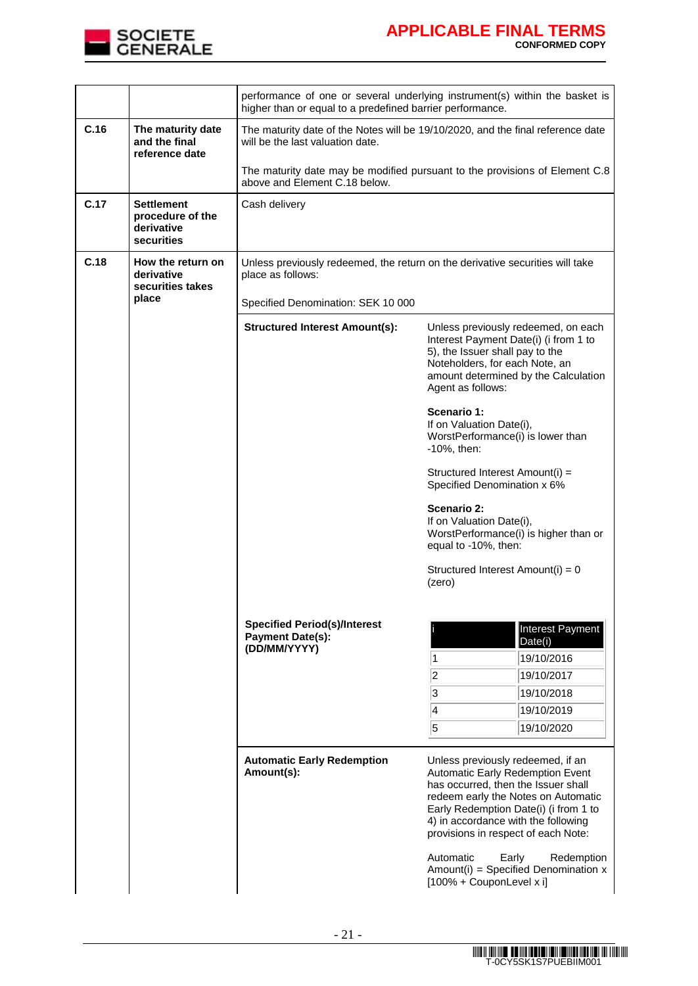

|      |                                                                   | performance of one or several underlying instrument(s) within the basket is<br>higher than or equal to a predefined barrier performance. |                                                                                                                                                                                                                                                                                                                                                                                      |  |  |  |
|------|-------------------------------------------------------------------|------------------------------------------------------------------------------------------------------------------------------------------|--------------------------------------------------------------------------------------------------------------------------------------------------------------------------------------------------------------------------------------------------------------------------------------------------------------------------------------------------------------------------------------|--|--|--|
| C.16 | The maturity date<br>and the final<br>reference date              | The maturity date of the Notes will be 19/10/2020, and the final reference date<br>will be the last valuation date.                      |                                                                                                                                                                                                                                                                                                                                                                                      |  |  |  |
|      |                                                                   | The maturity date may be modified pursuant to the provisions of Element C.8<br>above and Element C.18 below.                             |                                                                                                                                                                                                                                                                                                                                                                                      |  |  |  |
| C.17 | <b>Settlement</b><br>procedure of the<br>derivative<br>securities | Cash delivery                                                                                                                            |                                                                                                                                                                                                                                                                                                                                                                                      |  |  |  |
| C.18 | How the return on<br>derivative<br>securities takes<br>place      | place as follows:                                                                                                                        | Unless previously redeemed, the return on the derivative securities will take                                                                                                                                                                                                                                                                                                        |  |  |  |
|      |                                                                   | Specified Denomination: SEK 10 000                                                                                                       |                                                                                                                                                                                                                                                                                                                                                                                      |  |  |  |
|      |                                                                   | <b>Structured Interest Amount(s):</b>                                                                                                    | Unless previously redeemed, on each<br>Interest Payment Date(i) (i from 1 to<br>5), the Issuer shall pay to the<br>Noteholders, for each Note, an<br>amount determined by the Calculation<br>Agent as follows:                                                                                                                                                                       |  |  |  |
|      |                                                                   |                                                                                                                                          | Scenario 1:<br>If on Valuation Date(i),<br>WorstPerformance(i) is lower than<br>$-10\%$ , then:                                                                                                                                                                                                                                                                                      |  |  |  |
|      |                                                                   |                                                                                                                                          | Structured Interest Amount(i) =<br>Specified Denomination x 6%                                                                                                                                                                                                                                                                                                                       |  |  |  |
|      |                                                                   |                                                                                                                                          | Scenario 2:<br>If on Valuation Date(i),<br>WorstPerformance(i) is higher than or<br>equal to -10%, then:                                                                                                                                                                                                                                                                             |  |  |  |
|      |                                                                   |                                                                                                                                          | Structured Interest Amount(i) = 0<br>(zero)                                                                                                                                                                                                                                                                                                                                          |  |  |  |
|      |                                                                   | <b>Specified Period(s)/Interest</b>                                                                                                      | Interest Payment                                                                                                                                                                                                                                                                                                                                                                     |  |  |  |
|      |                                                                   | <b>Payment Date(s):</b><br>(DD/MM/YYYY)                                                                                                  | Date(i)                                                                                                                                                                                                                                                                                                                                                                              |  |  |  |
|      |                                                                   |                                                                                                                                          | 19/10/2016<br>1                                                                                                                                                                                                                                                                                                                                                                      |  |  |  |
|      |                                                                   |                                                                                                                                          | 2 <br>19/10/2017<br>$\overline{3}$<br>19/10/2018                                                                                                                                                                                                                                                                                                                                     |  |  |  |
|      |                                                                   |                                                                                                                                          | 4<br>19/10/2019                                                                                                                                                                                                                                                                                                                                                                      |  |  |  |
|      |                                                                   |                                                                                                                                          | 5<br>19/10/2020                                                                                                                                                                                                                                                                                                                                                                      |  |  |  |
|      |                                                                   | <b>Automatic Early Redemption</b><br>Amount(s):                                                                                          | Unless previously redeemed, if an<br>Automatic Early Redemption Event<br>has occurred, then the Issuer shall<br>redeem early the Notes on Automatic<br>Early Redemption Date(i) (i from 1 to<br>4) in accordance with the following<br>provisions in respect of each Note:<br>Automatic<br>Early<br>Redemption<br>Amount(i) = Specified Denomination $x$<br>[100% + CouponLevel x i] |  |  |  |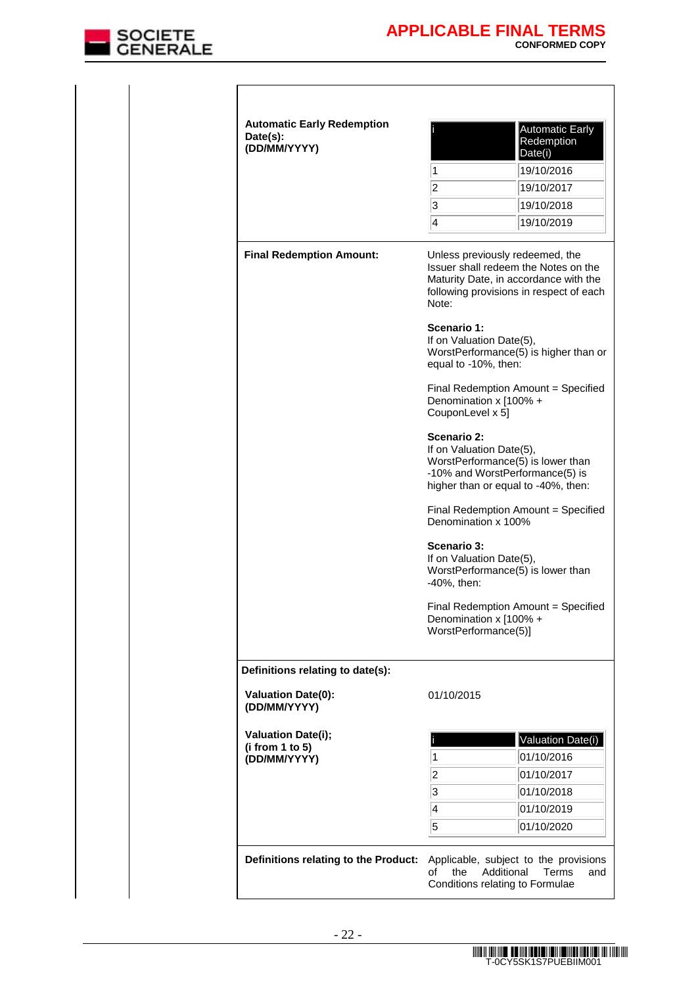

| 1<br>$\overline{c}$<br>3<br>$\overline{\mathcal{A}}$<br>Note:<br><b>Scenario 1:</b><br>If on Valuation Date(5),<br>equal to -10%, then:<br>Denomination x [100% +<br>CouponLevel x 5]<br>Scenario 2:<br>If on Valuation Date(5),<br>Denomination x 100% | 19/10/2016<br>19/10/2017<br>19/10/2018<br>19/10/2019<br>Unless previously redeemed, the<br>Issuer shall redeem the Notes on the<br>Maturity Date, in accordance with the<br>following provisions in respect of each<br>WorstPerformance(5) is higher than or<br>Final Redemption Amount = Specified<br>WorstPerformance(5) is lower than<br>-10% and WorstPerformance(5) is<br>higher than or equal to -40%, then:<br>Final Redemption Amount = Specified |
|---------------------------------------------------------------------------------------------------------------------------------------------------------------------------------------------------------------------------------------------------------|-----------------------------------------------------------------------------------------------------------------------------------------------------------------------------------------------------------------------------------------------------------------------------------------------------------------------------------------------------------------------------------------------------------------------------------------------------------|
|                                                                                                                                                                                                                                                         |                                                                                                                                                                                                                                                                                                                                                                                                                                                           |
|                                                                                                                                                                                                                                                         |                                                                                                                                                                                                                                                                                                                                                                                                                                                           |
|                                                                                                                                                                                                                                                         |                                                                                                                                                                                                                                                                                                                                                                                                                                                           |
|                                                                                                                                                                                                                                                         |                                                                                                                                                                                                                                                                                                                                                                                                                                                           |
|                                                                                                                                                                                                                                                         |                                                                                                                                                                                                                                                                                                                                                                                                                                                           |
|                                                                                                                                                                                                                                                         |                                                                                                                                                                                                                                                                                                                                                                                                                                                           |
|                                                                                                                                                                                                                                                         |                                                                                                                                                                                                                                                                                                                                                                                                                                                           |
|                                                                                                                                                                                                                                                         |                                                                                                                                                                                                                                                                                                                                                                                                                                                           |
|                                                                                                                                                                                                                                                         |                                                                                                                                                                                                                                                                                                                                                                                                                                                           |
| Scenario 3:<br>If on Valuation Date(5),                                                                                                                                                                                                                 | WorstPerformance(5) is lower than                                                                                                                                                                                                                                                                                                                                                                                                                         |
| Denomination x [100% +<br>WorstPerformance(5)]                                                                                                                                                                                                          | Final Redemption Amount = Specified                                                                                                                                                                                                                                                                                                                                                                                                                       |
|                                                                                                                                                                                                                                                         |                                                                                                                                                                                                                                                                                                                                                                                                                                                           |
| 01/10/2015                                                                                                                                                                                                                                              |                                                                                                                                                                                                                                                                                                                                                                                                                                                           |
|                                                                                                                                                                                                                                                         | Valuation Date(i)                                                                                                                                                                                                                                                                                                                                                                                                                                         |
| 1                                                                                                                                                                                                                                                       | 01/10/2016                                                                                                                                                                                                                                                                                                                                                                                                                                                |
| $\overline{c}$                                                                                                                                                                                                                                          | 01/10/2017                                                                                                                                                                                                                                                                                                                                                                                                                                                |
| 3                                                                                                                                                                                                                                                       | 01/10/2018                                                                                                                                                                                                                                                                                                                                                                                                                                                |
| $\overline{\mathbf{4}}$                                                                                                                                                                                                                                 | 01/10/2019                                                                                                                                                                                                                                                                                                                                                                                                                                                |
| 5                                                                                                                                                                                                                                                       | 01/10/2020                                                                                                                                                                                                                                                                                                                                                                                                                                                |
|                                                                                                                                                                                                                                                         | -40%, then:<br>Applicable, subject to the provisions<br>the<br>Additional<br>οf<br>Conditions relating to Formulae                                                                                                                                                                                                                                                                                                                                        |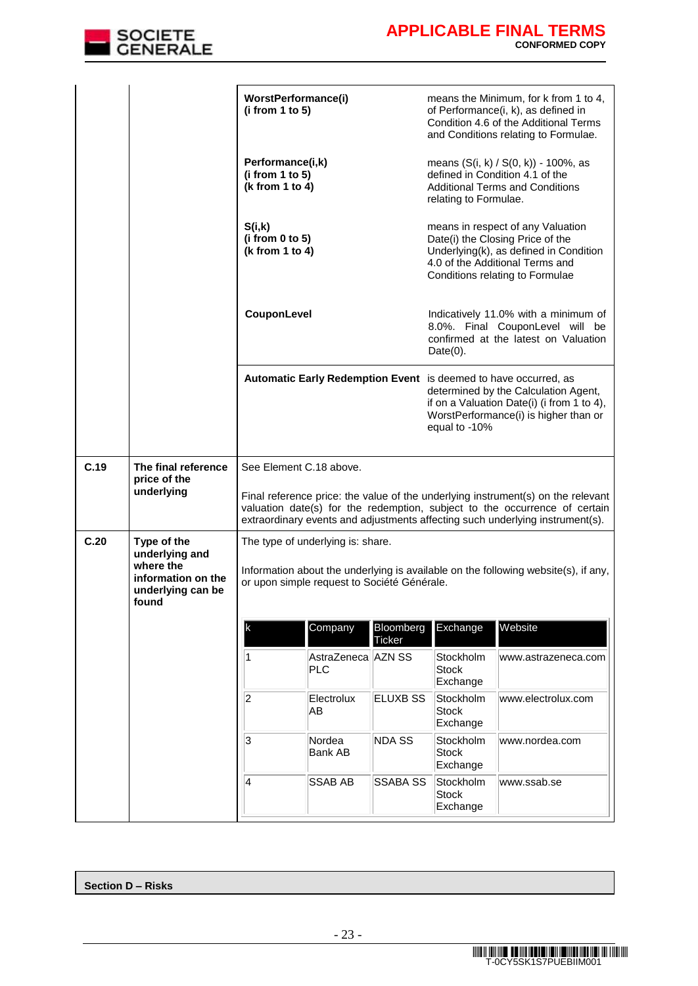

|      |                                                               | WorstPerformance(i)<br>(i from 1 to 5)                 |                                             | means the Minimum, for k from 1 to 4,<br>of Performance(i, k), as defined in<br>Condition 4.6 of the Additional Terms<br>and Conditions relating to Formulae. |                                                                                                                                |                                                                                                                                                                                                                                                 |
|------|---------------------------------------------------------------|--------------------------------------------------------|---------------------------------------------|---------------------------------------------------------------------------------------------------------------------------------------------------------------|--------------------------------------------------------------------------------------------------------------------------------|-------------------------------------------------------------------------------------------------------------------------------------------------------------------------------------------------------------------------------------------------|
|      |                                                               | Performance(i,k)<br>(i from 1 to 5)<br>(k from 1 to 4) |                                             |                                                                                                                                                               | relating to Formulae.                                                                                                          | means (S(i, k) / S(0, k)) - 100%, as<br>defined in Condition 4.1 of the<br><b>Additional Terms and Conditions</b>                                                                                                                               |
|      |                                                               | S(i,k)<br>(i from 0 to 5)<br>(k from 1 to 4)           |                                             |                                                                                                                                                               |                                                                                                                                | means in respect of any Valuation<br>Date(i) the Closing Price of the<br>Underlying(k), as defined in Condition<br>4.0 of the Additional Terms and<br>Conditions relating to Formulae                                                           |
|      |                                                               | CouponLevel                                            |                                             |                                                                                                                                                               | Indicatively 11.0% with a minimum of<br>8.0%. Final CouponLevel will be<br>confirmed at the latest on Valuation<br>$Date(0)$ . |                                                                                                                                                                                                                                                 |
|      |                                                               |                                                        |                                             |                                                                                                                                                               | equal to -10%                                                                                                                  | Automatic Early Redemption Event is deemed to have occurred, as<br>determined by the Calculation Agent,<br>if on a Valuation Date(i) (i from 1 to 4),<br>WorstPerformance(i) is higher than or                                                  |
| C.19 | The final reference                                           | See Element C.18 above.                                |                                             |                                                                                                                                                               |                                                                                                                                |                                                                                                                                                                                                                                                 |
|      | price of the<br>underlying                                    |                                                        |                                             |                                                                                                                                                               |                                                                                                                                | Final reference price: the value of the underlying instrument(s) on the relevant<br>valuation date(s) for the redemption, subject to the occurrence of certain<br>extraordinary events and adjustments affecting such underlying instrument(s). |
| C.20 | Type of the<br>underlying and                                 |                                                        | The type of underlying is: share.           |                                                                                                                                                               |                                                                                                                                |                                                                                                                                                                                                                                                 |
|      | where the<br>information on the<br>underlying can be<br>found |                                                        | or upon simple request to Société Générale. |                                                                                                                                                               |                                                                                                                                | Information about the underlying is available on the following website(s), if any,                                                                                                                                                              |
|      |                                                               | k                                                      | Company                                     | Bloomberg<br><b>Ticker</b>                                                                                                                                    | Exchange                                                                                                                       | Website                                                                                                                                                                                                                                         |
|      |                                                               | 1                                                      | AstraZeneca AZN SS<br><b>PLC</b>            |                                                                                                                                                               | Stockholm<br><b>Stock</b><br>Exchange                                                                                          | www.astrazeneca.com                                                                                                                                                                                                                             |
|      |                                                               | 2                                                      | Electrolux<br>AB                            | <b>ELUXB SS</b>                                                                                                                                               | Stockholm<br><b>Stock</b><br>Exchange                                                                                          | www.electrolux.com                                                                                                                                                                                                                              |
|      |                                                               | 3                                                      | Nordea<br><b>Bank AB</b>                    | <b>NDA SS</b>                                                                                                                                                 | Stockholm<br><b>Stock</b><br>Exchange                                                                                          | www.nordea.com                                                                                                                                                                                                                                  |
|      |                                                               | 4                                                      | <b>SSAB AB</b>                              | <b>SSABA SS</b>                                                                                                                                               | Stockholm<br><b>Stock</b><br>Exchange                                                                                          | www.ssab.se                                                                                                                                                                                                                                     |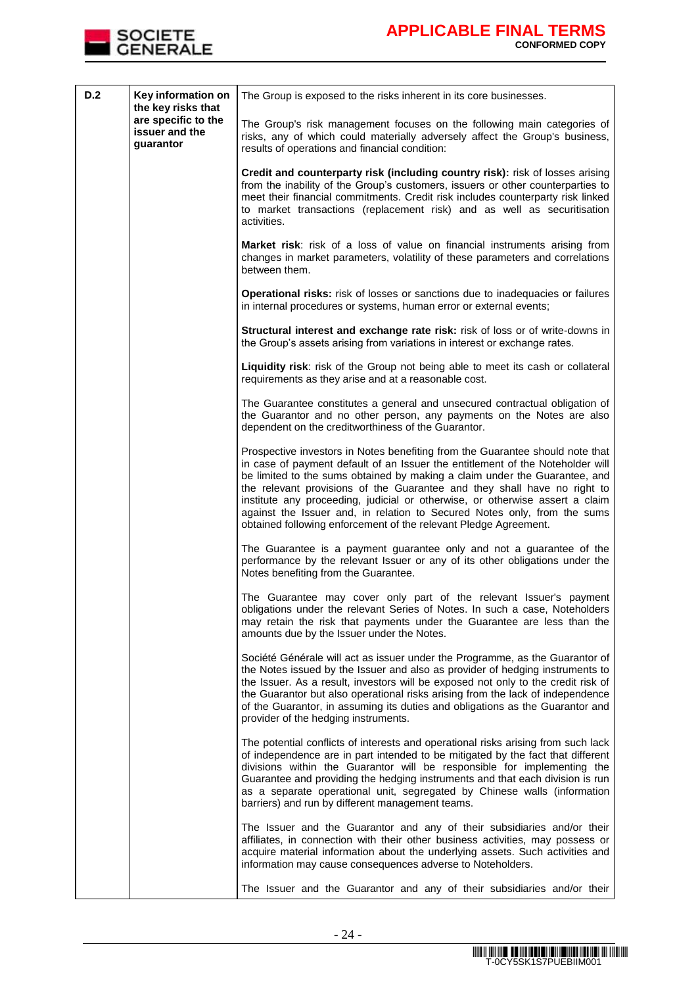

| D.2 | Key information on<br>the key risks that           | The Group is exposed to the risks inherent in its core businesses.                                                                                                                                                                                                                                                                                                                                                                                                                                                                                        |
|-----|----------------------------------------------------|-----------------------------------------------------------------------------------------------------------------------------------------------------------------------------------------------------------------------------------------------------------------------------------------------------------------------------------------------------------------------------------------------------------------------------------------------------------------------------------------------------------------------------------------------------------|
|     | are specific to the<br>issuer and the<br>guarantor | The Group's risk management focuses on the following main categories of<br>risks, any of which could materially adversely affect the Group's business,<br>results of operations and financial condition:                                                                                                                                                                                                                                                                                                                                                  |
|     |                                                    | Credit and counterparty risk (including country risk): risk of losses arising<br>from the inability of the Group's customers, issuers or other counterparties to<br>meet their financial commitments. Credit risk includes counterparty risk linked<br>to market transactions (replacement risk) and as well as securitisation<br>activities.                                                                                                                                                                                                             |
|     |                                                    | Market risk: risk of a loss of value on financial instruments arising from<br>changes in market parameters, volatility of these parameters and correlations<br>between them.                                                                                                                                                                                                                                                                                                                                                                              |
|     |                                                    | Operational risks: risk of losses or sanctions due to inadequacies or failures<br>in internal procedures or systems, human error or external events;                                                                                                                                                                                                                                                                                                                                                                                                      |
|     |                                                    | Structural interest and exchange rate risk: risk of loss or of write-downs in<br>the Group's assets arising from variations in interest or exchange rates.                                                                                                                                                                                                                                                                                                                                                                                                |
|     |                                                    | Liquidity risk: risk of the Group not being able to meet its cash or collateral<br>requirements as they arise and at a reasonable cost.                                                                                                                                                                                                                                                                                                                                                                                                                   |
|     |                                                    | The Guarantee constitutes a general and unsecured contractual obligation of<br>the Guarantor and no other person, any payments on the Notes are also<br>dependent on the creditworthiness of the Guarantor.                                                                                                                                                                                                                                                                                                                                               |
|     |                                                    | Prospective investors in Notes benefiting from the Guarantee should note that<br>in case of payment default of an Issuer the entitlement of the Noteholder will<br>be limited to the sums obtained by making a claim under the Guarantee, and<br>the relevant provisions of the Guarantee and they shall have no right to<br>institute any proceeding, judicial or otherwise, or otherwise assert a claim<br>against the Issuer and, in relation to Secured Notes only, from the sums<br>obtained following enforcement of the relevant Pledge Agreement. |
|     |                                                    | The Guarantee is a payment guarantee only and not a guarantee of the<br>performance by the relevant Issuer or any of its other obligations under the<br>Notes benefiting from the Guarantee.                                                                                                                                                                                                                                                                                                                                                              |
|     |                                                    | The Guarantee may cover only part of the relevant Issuer's payment<br>obligations under the relevant Series of Notes. In such a case. Noteholders<br>may retain the risk that payments under the Guarantee are less than the<br>amounts due by the Issuer under the Notes.                                                                                                                                                                                                                                                                                |
|     |                                                    | Société Générale will act as issuer under the Programme, as the Guarantor of<br>the Notes issued by the Issuer and also as provider of hedging instruments to<br>the Issuer. As a result, investors will be exposed not only to the credit risk of<br>the Guarantor but also operational risks arising from the lack of independence<br>of the Guarantor, in assuming its duties and obligations as the Guarantor and<br>provider of the hedging instruments.                                                                                             |
|     |                                                    | The potential conflicts of interests and operational risks arising from such lack<br>of independence are in part intended to be mitigated by the fact that different<br>divisions within the Guarantor will be responsible for implementing the<br>Guarantee and providing the hedging instruments and that each division is run<br>as a separate operational unit, segregated by Chinese walls (information<br>barriers) and run by different management teams.                                                                                          |
|     |                                                    | The Issuer and the Guarantor and any of their subsidiaries and/or their<br>affiliates, in connection with their other business activities, may possess or<br>acquire material information about the underlying assets. Such activities and<br>information may cause consequences adverse to Noteholders.                                                                                                                                                                                                                                                  |
|     |                                                    | The Issuer and the Guarantor and any of their subsidiaries and/or their                                                                                                                                                                                                                                                                                                                                                                                                                                                                                   |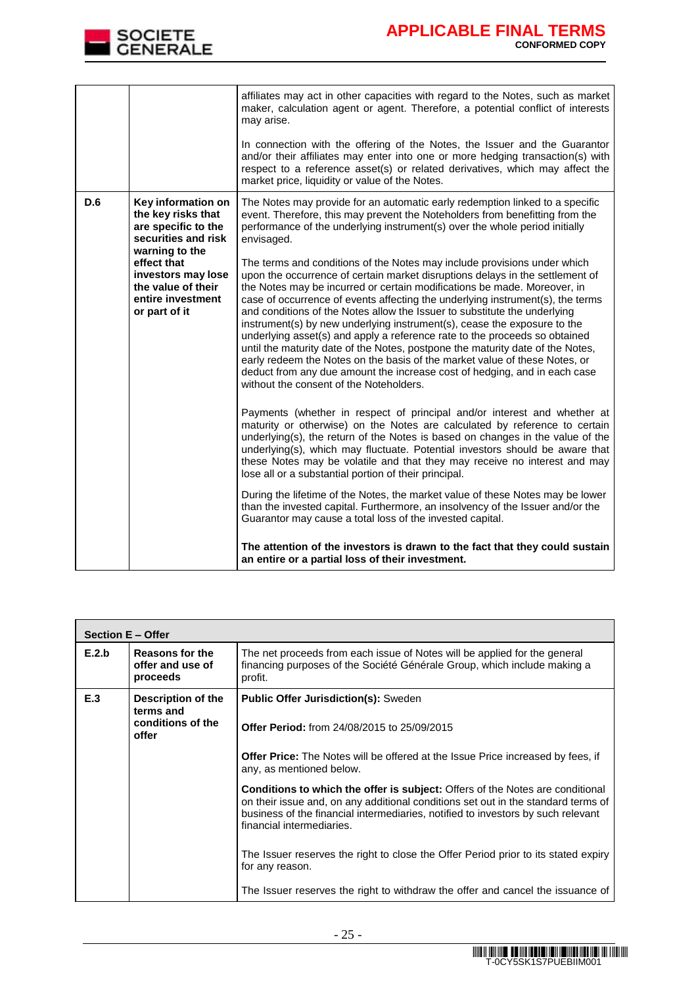

٦

|     |                                                                                                          | affiliates may act in other capacities with regard to the Notes, such as market<br>maker, calculation agent or agent. Therefore, a potential conflict of interests<br>may arise.<br>In connection with the offering of the Notes, the Issuer and the Guarantor<br>and/or their affiliates may enter into one or more hedging transaction(s) with<br>respect to a reference asset(s) or related derivatives, which may affect the                                                                                                                                                                                                                                                                                                                                                                                                                       |
|-----|----------------------------------------------------------------------------------------------------------|--------------------------------------------------------------------------------------------------------------------------------------------------------------------------------------------------------------------------------------------------------------------------------------------------------------------------------------------------------------------------------------------------------------------------------------------------------------------------------------------------------------------------------------------------------------------------------------------------------------------------------------------------------------------------------------------------------------------------------------------------------------------------------------------------------------------------------------------------------|
|     |                                                                                                          | market price, liquidity or value of the Notes.                                                                                                                                                                                                                                                                                                                                                                                                                                                                                                                                                                                                                                                                                                                                                                                                         |
| D.6 | Key information on<br>the key risks that<br>are specific to the<br>securities and risk<br>warning to the | The Notes may provide for an automatic early redemption linked to a specific<br>event. Therefore, this may prevent the Noteholders from benefitting from the<br>performance of the underlying instrument(s) over the whole period initially<br>envisaged.                                                                                                                                                                                                                                                                                                                                                                                                                                                                                                                                                                                              |
|     | effect that<br>investors may lose<br>the value of their<br>entire investment<br>or part of it            | The terms and conditions of the Notes may include provisions under which<br>upon the occurrence of certain market disruptions delays in the settlement of<br>the Notes may be incurred or certain modifications be made. Moreover, in<br>case of occurrence of events affecting the underlying instrument(s), the terms<br>and conditions of the Notes allow the Issuer to substitute the underlying<br>instrument(s) by new underlying instrument(s), cease the exposure to the<br>underlying asset(s) and apply a reference rate to the proceeds so obtained<br>until the maturity date of the Notes, postpone the maturity date of the Notes,<br>early redeem the Notes on the basis of the market value of these Notes, or<br>deduct from any due amount the increase cost of hedging, and in each case<br>without the consent of the Noteholders. |
|     |                                                                                                          | Payments (whether in respect of principal and/or interest and whether at<br>maturity or otherwise) on the Notes are calculated by reference to certain<br>underlying(s), the return of the Notes is based on changes in the value of the<br>underlying(s), which may fluctuate. Potential investors should be aware that<br>these Notes may be volatile and that they may receive no interest and may<br>lose all or a substantial portion of their principal.                                                                                                                                                                                                                                                                                                                                                                                         |
|     |                                                                                                          | During the lifetime of the Notes, the market value of these Notes may be lower<br>than the invested capital. Furthermore, an insolvency of the Issuer and/or the<br>Guarantor may cause a total loss of the invested capital.                                                                                                                                                                                                                                                                                                                                                                                                                                                                                                                                                                                                                          |
|     |                                                                                                          | The attention of the investors is drawn to the fact that they could sustain<br>an entire or a partial loss of their investment.                                                                                                                                                                                                                                                                                                                                                                                                                                                                                                                                                                                                                                                                                                                        |

|       | Section E - Offer                                                                                                                                                  |                                                                                                                                                                                                                                                                                            |  |  |  |  |
|-------|--------------------------------------------------------------------------------------------------------------------------------------------------------------------|--------------------------------------------------------------------------------------------------------------------------------------------------------------------------------------------------------------------------------------------------------------------------------------------|--|--|--|--|
| E.2.b | Reasons for the<br>offer and use of<br>proceeds                                                                                                                    | The net proceeds from each issue of Notes will be applied for the general<br>financing purposes of the Société Générale Group, which include making a<br>profit.                                                                                                                           |  |  |  |  |
| E.3   | Description of the<br><b>Public Offer Jurisdiction(s): Sweden</b><br>terms and<br>conditions of the<br><b>Offer Period:</b> from 24/08/2015 to 25/09/2015<br>offer |                                                                                                                                                                                                                                                                                            |  |  |  |  |
|       |                                                                                                                                                                    | <b>Offer Price:</b> The Notes will be offered at the Issue Price increased by fees, if<br>any, as mentioned below.                                                                                                                                                                         |  |  |  |  |
|       |                                                                                                                                                                    | <b>Conditions to which the offer is subject:</b> Offers of the Notes are conditional<br>on their issue and, on any additional conditions set out in the standard terms of<br>business of the financial intermediaries, notified to investors by such relevant<br>financial intermediaries. |  |  |  |  |
|       |                                                                                                                                                                    | The Issuer reserves the right to close the Offer Period prior to its stated expiry<br>for any reason.                                                                                                                                                                                      |  |  |  |  |
|       |                                                                                                                                                                    | The Issuer reserves the right to withdraw the offer and cancel the issuance of                                                                                                                                                                                                             |  |  |  |  |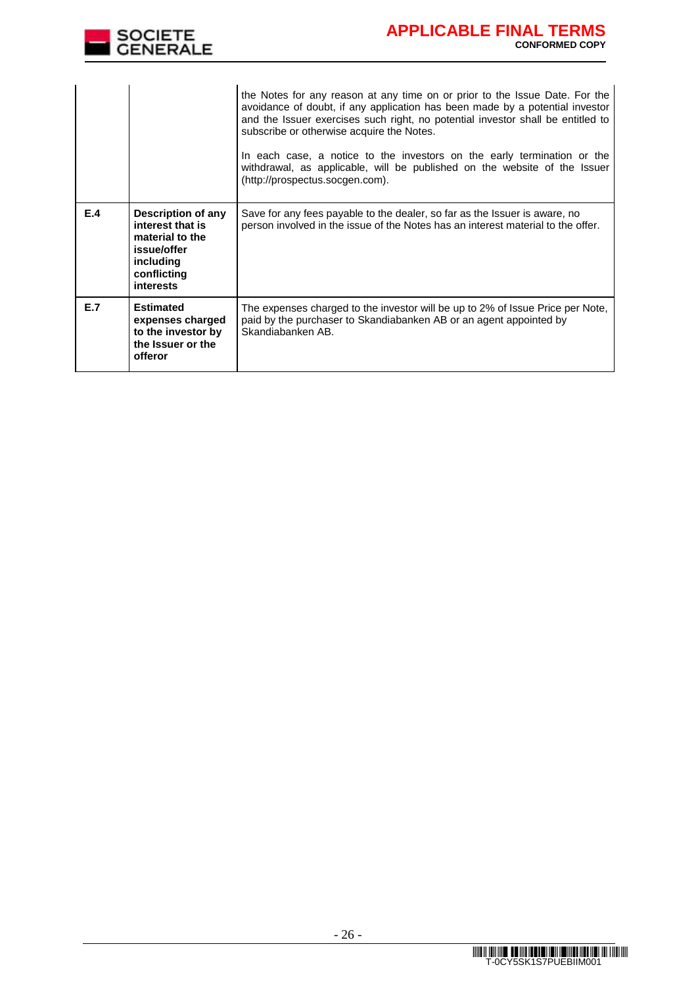

| E.4 | Description of any<br>interest that is                                                     | the Notes for any reason at any time on or prior to the Issue Date. For the<br>avoidance of doubt, if any application has been made by a potential investor<br>and the Issuer exercises such right, no potential investor shall be entitled to<br>subscribe or otherwise acquire the Notes.<br>In each case, a notice to the investors on the early termination or the<br>withdrawal, as applicable, will be published on the website of the Issuer<br>(http://prospectus.socgen.com).<br>Save for any fees payable to the dealer, so far as the Issuer is aware, no<br>person involved in the issue of the Notes has an interest material to the offer. |
|-----|--------------------------------------------------------------------------------------------|----------------------------------------------------------------------------------------------------------------------------------------------------------------------------------------------------------------------------------------------------------------------------------------------------------------------------------------------------------------------------------------------------------------------------------------------------------------------------------------------------------------------------------------------------------------------------------------------------------------------------------------------------------|
|     | material to the<br>issue/offer<br>including<br>conflicting<br><b>interests</b>             |                                                                                                                                                                                                                                                                                                                                                                                                                                                                                                                                                                                                                                                          |
| E.7 | <b>Estimated</b><br>expenses charged<br>to the investor by<br>the Issuer or the<br>offeror | The expenses charged to the investor will be up to 2% of Issue Price per Note,<br>paid by the purchaser to Skandiabanken AB or an agent appointed by<br>Skandiabanken AB.                                                                                                                                                                                                                                                                                                                                                                                                                                                                                |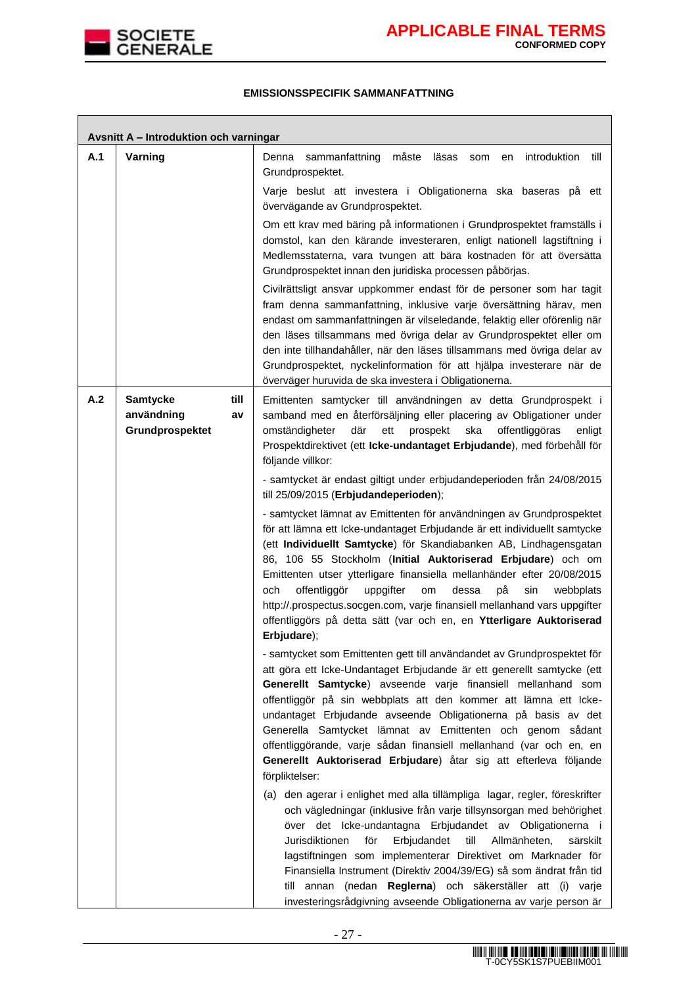

٦

## **EMISSIONSSPECIFIK SAMMANFATTNING**

|     | Avsnitt A - Introduktion och varningar                         |                                                                                                                                                                                                                                                                                                                                                                                                                                                                                                                                                                                                                                                                                                                                        |  |  |  |  |
|-----|----------------------------------------------------------------|----------------------------------------------------------------------------------------------------------------------------------------------------------------------------------------------------------------------------------------------------------------------------------------------------------------------------------------------------------------------------------------------------------------------------------------------------------------------------------------------------------------------------------------------------------------------------------------------------------------------------------------------------------------------------------------------------------------------------------------|--|--|--|--|
| A.1 | Varning                                                        | måste<br>Denna<br>sammanfattning<br>läsas<br>introduktion<br>till<br>som<br>en<br>Grundprospektet.                                                                                                                                                                                                                                                                                                                                                                                                                                                                                                                                                                                                                                     |  |  |  |  |
|     |                                                                | Varje beslut att investera i Obligationerna ska baseras på ett<br>övervägande av Grundprospektet.                                                                                                                                                                                                                                                                                                                                                                                                                                                                                                                                                                                                                                      |  |  |  |  |
|     |                                                                | Om ett krav med bäring på informationen i Grundprospektet framställs i<br>domstol, kan den kärande investeraren, enligt nationell lagstiftning i<br>Medlemsstaterna, vara tvungen att bära kostnaden för att översätta<br>Grundprospektet innan den juridiska processen påbörjas.<br>Civilrättsligt ansvar uppkommer endast för de personer som har tagit                                                                                                                                                                                                                                                                                                                                                                              |  |  |  |  |
|     |                                                                | fram denna sammanfattning, inklusive varje översättning härav, men<br>endast om sammanfattningen är vilseledande, felaktig eller oförenlig när<br>den läses tillsammans med övriga delar av Grundprospektet eller om<br>den inte tillhandahåller, när den läses tillsammans med övriga delar av<br>Grundprospektet, nyckelinformation för att hjälpa investerare när de<br>överväger huruvida de ska investera i Obligationerna.                                                                                                                                                                                                                                                                                                       |  |  |  |  |
| A.2 | <b>Samtycke</b><br>till<br>användning<br>av<br>Grundprospektet | Emittenten samtycker till användningen av detta Grundprospekt i<br>samband med en återförsäljning eller placering av Obligationer under<br>där<br>omständigheter<br>ett<br>prospekt<br>ska<br>offentliggöras<br>enligt<br>Prospektdirektivet (ett Icke-undantaget Erbjudande), med förbehåll för<br>följande villkor:                                                                                                                                                                                                                                                                                                                                                                                                                  |  |  |  |  |
|     |                                                                | - samtycket är endast giltigt under erbjudandeperioden från 24/08/2015<br>till 25/09/2015 (Erbjudandeperioden);                                                                                                                                                                                                                                                                                                                                                                                                                                                                                                                                                                                                                        |  |  |  |  |
|     |                                                                | - samtycket lämnat av Emittenten för användningen av Grundprospektet<br>för att lämna ett Icke-undantaget Erbjudande är ett individuellt samtycke<br>(ett Individuellt Samtycke) för Skandiabanken AB, Lindhagensgatan<br>86, 106 55 Stockholm (Initial Auktoriserad Erbjudare) och om<br>Emittenten utser ytterligare finansiella mellanhänder efter 20/08/2015<br>offentliggör<br>på<br>och<br>uppgifter<br>om<br>dessa<br>sin<br>webbplats<br>http://.prospectus.socgen.com, varje finansiell mellanhand vars uppgifter<br>offentliggörs på detta sätt (var och en, en Ytterligare Auktoriserad<br>Erbjudare);                                                                                                                      |  |  |  |  |
|     |                                                                | - samtycket som Emittenten gett till användandet av Grundprospektet för<br>att göra ett Icke-Undantaget Erbjudande är ett generellt samtycke (ett<br>Generellt Samtycke) avseende varje finansiell mellanhand som<br>offentliggör på sin webbplats att den kommer att lämna ett Icke-<br>undantaget Erbjudande avseende Obligationerna på basis av det<br>Generella Samtycket lämnat av Emittenten och genom sådant<br>offentliggörande, varje sådan finansiell mellanhand (var och en, en<br>Generellt Auktoriserad Erbjudare) åtar sig att efterleva följande<br>förpliktelser:<br>(a) den agerar i enlighet med alla tillämpliga lagar, regler, föreskrifter<br>och vägledningar (inklusive från varje tillsynsorgan med behörighet |  |  |  |  |
|     |                                                                | över det Icke-undantagna Erbjudandet av Obligationerna i<br>Jurisdiktionen<br>för<br>Erbjudandet<br>till<br>Allmänheten,<br>särskilt<br>lagstiftningen som implementerar Direktivet om Marknader för<br>Finansiella Instrument (Direktiv 2004/39/EG) så som ändrat från tid<br>till annan (nedan Reglerna) och säkerställer att (i) varje<br>investeringsrådgivning avseende Obligationerna av varje person är                                                                                                                                                                                                                                                                                                                         |  |  |  |  |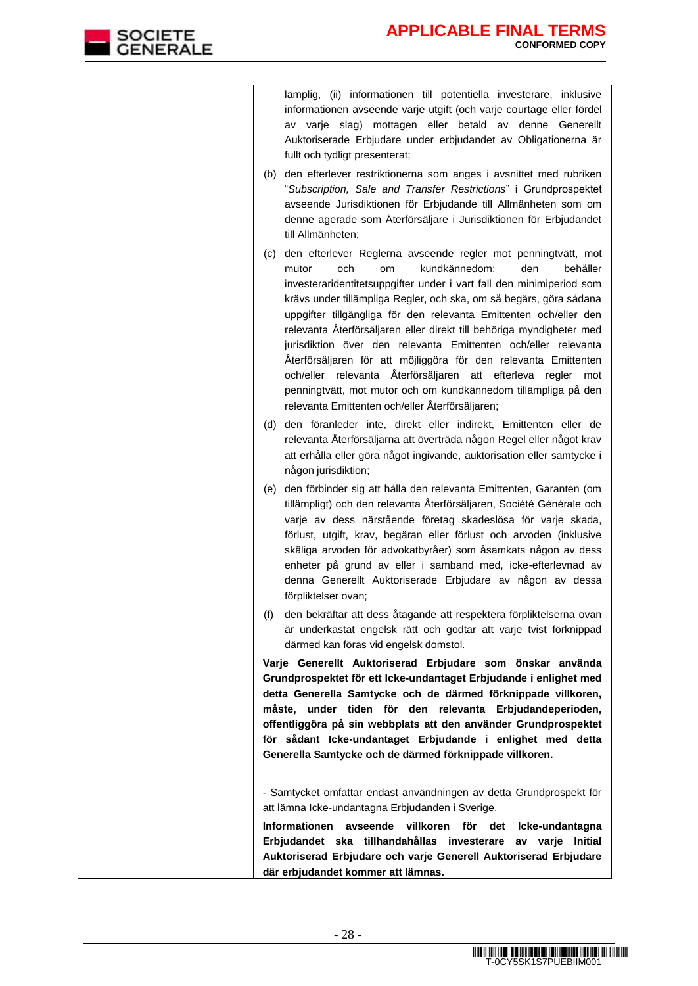| lämplig, (ii) informationen till potentiella investerare, inklusive<br>informationen avseende varje utgift (och varje courtage eller fördel<br>av varje slag) mottagen eller betald av denne Generellt<br>Auktoriserade Erbjudare under erbjudandet av Obligationerna är<br>fullt och tydligt presenterat;                                                                                                                                                                                                                                                                                                                                                                                                                                       |
|--------------------------------------------------------------------------------------------------------------------------------------------------------------------------------------------------------------------------------------------------------------------------------------------------------------------------------------------------------------------------------------------------------------------------------------------------------------------------------------------------------------------------------------------------------------------------------------------------------------------------------------------------------------------------------------------------------------------------------------------------|
| (b) den efterlever restriktionerna som anges i avsnittet med rubriken<br>"Subscription, Sale and Transfer Restrictions" i Grundprospektet<br>avseende Jurisdiktionen för Erbjudande till Allmänheten som om<br>denne agerade som Återförsäljare i Jurisdiktionen för Erbjudandet<br>till Allmänheten;                                                                                                                                                                                                                                                                                                                                                                                                                                            |
| (c) den efterlever Reglerna avseende regler mot penningtvätt, mot<br>behåller<br>mutor<br>och<br>kundkännedom;<br>den<br>om<br>investeraridentitetsuppgifter under i vart fall den minimiperiod som<br>krävs under tillämpliga Regler, och ska, om så begärs, göra sådana<br>uppgifter tillgängliga för den relevanta Emittenten och/eller den<br>relevanta Återförsäljaren eller direkt till behöriga myndigheter med<br>jurisdiktion över den relevanta Emittenten och/eller relevanta<br>Återförsäljaren för att möjliggöra för den relevanta Emittenten<br>och/eller relevanta Återförsäljaren att efterleva regler mot<br>penningtvätt, mot mutor och om kundkännedom tillämpliga på den<br>relevanta Emittenten och/eller Återförsäljaren; |
| (d) den föranleder inte, direkt eller indirekt, Emittenten eller de<br>relevanta Återförsäljarna att överträda någon Regel eller något krav<br>att erhålla eller göra något ingivande, auktorisation eller samtycke i<br>någon jurisdiktion;                                                                                                                                                                                                                                                                                                                                                                                                                                                                                                     |
| (e) den förbinder sig att hålla den relevanta Emittenten, Garanten (om<br>tillämpligt) och den relevanta Återförsäljaren, Société Générale och<br>varje av dess närstående företag skadeslösa för varje skada,<br>förlust, utgift, krav, begäran eller förlust och arvoden (inklusive<br>skäliga arvoden för advokatbyråer) som åsamkats någon av dess<br>enheter på grund av eller i samband med, icke-efterlevnad av<br>denna Generellt Auktoriserade Erbjudare av någon av dessa<br>förpliktelser ovan;                                                                                                                                                                                                                                       |
| den bekräftar att dess åtagande att respektera förpliktelserna ovan<br>(f)<br>är underkastat engelsk rätt och godtar att varje tvist förknippad<br>därmed kan föras vid engelsk domstol.                                                                                                                                                                                                                                                                                                                                                                                                                                                                                                                                                         |
| Varje Generellt Auktoriserad Erbjudare som önskar använda<br>Grundprospektet för ett Icke-undantaget Erbjudande i enlighet med<br>detta Generella Samtycke och de därmed förknippade villkoren,<br>måste, under tiden för den relevanta Erbjudandeperioden,<br>offentliggöra på sin webbplats att den använder Grundprospektet<br>för sådant Icke-undantaget Erbjudande i enlighet med detta<br>Generella Samtycke och de därmed förknippade villkoren.                                                                                                                                                                                                                                                                                          |
| - Samtycket omfattar endast användningen av detta Grundprospekt för<br>att lämna Icke-undantagna Erbjudanden i Sverige.                                                                                                                                                                                                                                                                                                                                                                                                                                                                                                                                                                                                                          |
| Informationen avseende villkoren för det Icke-undantagna<br>Erbjudandet ska tillhandahållas investerare av varje Initial<br>Auktoriserad Erbjudare och varje Generell Auktoriserad Erbjudare<br>där erbjudandet kommer att lämnas.                                                                                                                                                                                                                                                                                                                                                                                                                                                                                                               |

SOCIETE<br>GENERALE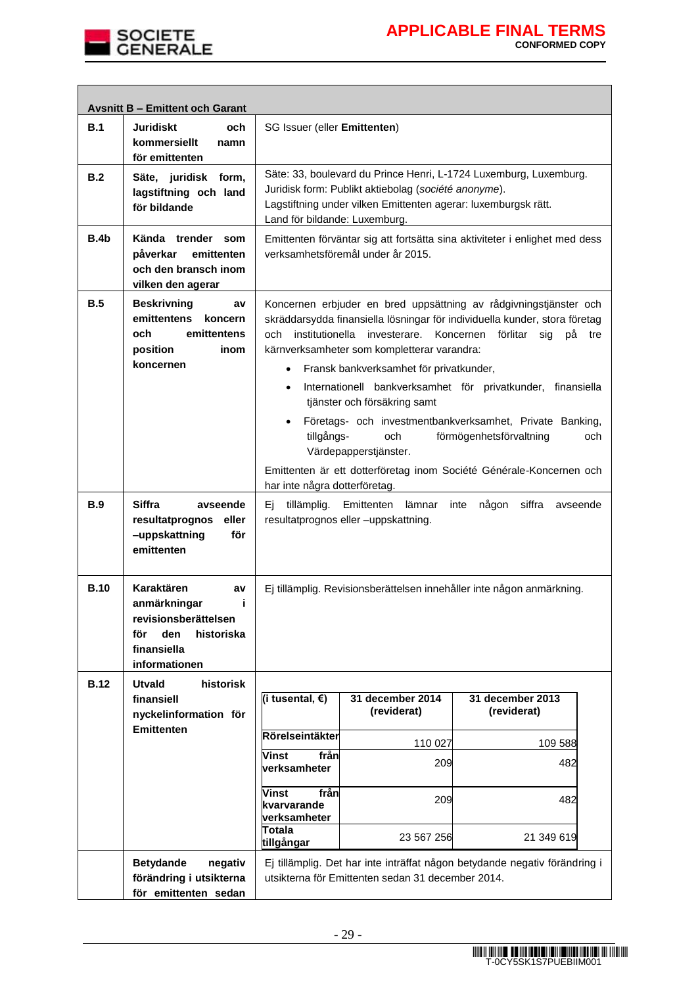

|             | <b>Avsnitt B - Emittent och Garant</b>                                                                                     |                                                                                                                                                                                                                                                                                                                                                                                                                                                                                                                                                                                                                                                                                                                         |                                                   |                                                                            |  |
|-------------|----------------------------------------------------------------------------------------------------------------------------|-------------------------------------------------------------------------------------------------------------------------------------------------------------------------------------------------------------------------------------------------------------------------------------------------------------------------------------------------------------------------------------------------------------------------------------------------------------------------------------------------------------------------------------------------------------------------------------------------------------------------------------------------------------------------------------------------------------------------|---------------------------------------------------|----------------------------------------------------------------------------|--|
| B.1         | Juridiskt<br>och<br>kommersiellt<br>namn<br>för emittenten                                                                 | SG Issuer (eller Emittenten)                                                                                                                                                                                                                                                                                                                                                                                                                                                                                                                                                                                                                                                                                            |                                                   |                                                                            |  |
| B.2         | Säte, juridisk form,<br>lagstiftning och land<br>för bildande                                                              | Säte: 33, boulevard du Prince Henri, L-1724 Luxemburg, Luxemburg.<br>Juridisk form: Publikt aktiebolag (société anonyme).<br>Lagstiftning under vilken Emittenten agerar: luxemburgsk rätt.<br>Land för bildande: Luxemburg.                                                                                                                                                                                                                                                                                                                                                                                                                                                                                            |                                                   |                                                                            |  |
| B.4b        | Kända trender som<br>påverkar<br>emittenten<br>och den bransch inom<br>vilken den agerar                                   | Emittenten förväntar sig att fortsätta sina aktiviteter i enlighet med dess<br>verksamhetsföremål under år 2015.                                                                                                                                                                                                                                                                                                                                                                                                                                                                                                                                                                                                        |                                                   |                                                                            |  |
| B.5         | <b>Beskrivning</b><br>a٧<br>emittentens<br>koncern<br>och<br>emittentens<br>position<br>inom<br>koncernen                  | Koncernen erbjuder en bred uppsättning av rådgivningstjänster och<br>skräddarsydda finansiella lösningar för individuella kunder, stora företag<br>institutionella<br>investerare.<br>Koncernen förlitar<br>och<br>sig<br>рå<br>tre<br>kärnverksamheter som kompletterar varandra:<br>Fransk bankverksamhet för privatkunder,<br>$\bullet$<br>Internationell bankverksamhet för privatkunder, finansiella<br>$\bullet$<br>tjänster och försäkring samt<br>Företags- och investmentbankverksamhet, Private Banking,<br>$\bullet$<br>förmögenhetsförvaltning<br>tillgångs-<br>och<br>och<br>Värdepapperstjänster.<br>Emittenten är ett dotterföretag inom Société Générale-Koncernen och<br>har inte några dotterföretag. |                                                   |                                                                            |  |
| <b>B.9</b>  | <b>Siffra</b><br>avseende<br>resultatprognos<br>eller<br>-uppskattning<br>för<br>emittenten                                | tillämplig.<br>Emittenten<br>lämnar<br>någon<br>siffra<br>inte<br>avseende<br>Ei.<br>resultatprognos eller -uppskattning.                                                                                                                                                                                                                                                                                                                                                                                                                                                                                                                                                                                               |                                                   |                                                                            |  |
| <b>B.10</b> | Karaktären<br>av<br>j.<br>anmärkningar<br>revisionsberättelsen<br>den<br>historiska<br>för<br>finansiella<br>informationen | Ej tillämplig. Revisionsberättelsen innehåller inte någon anmärkning.                                                                                                                                                                                                                                                                                                                                                                                                                                                                                                                                                                                                                                                   |                                                   |                                                                            |  |
| <b>B.12</b> | <b>Utvald</b><br>historisk                                                                                                 |                                                                                                                                                                                                                                                                                                                                                                                                                                                                                                                                                                                                                                                                                                                         |                                                   |                                                                            |  |
|             | finansiell<br>nyckelinformation för<br><b>Emittenten</b>                                                                   | (i tusental, €)                                                                                                                                                                                                                                                                                                                                                                                                                                                                                                                                                                                                                                                                                                         | 31 december 2014<br>(reviderat)                   | 31 december 2013<br>(reviderat)                                            |  |
|             |                                                                                                                            | Rörelseintäkter                                                                                                                                                                                                                                                                                                                                                                                                                                                                                                                                                                                                                                                                                                         | 110 027                                           | 109 588                                                                    |  |
|             |                                                                                                                            | från<br>Vinst<br>verksamheter                                                                                                                                                                                                                                                                                                                                                                                                                                                                                                                                                                                                                                                                                           | 209                                               | 482                                                                        |  |
|             |                                                                                                                            | Vinst<br>från<br>kvarvarande<br>verksamheter                                                                                                                                                                                                                                                                                                                                                                                                                                                                                                                                                                                                                                                                            | 209                                               | 482                                                                        |  |
|             |                                                                                                                            | <b>Totala</b><br>tillgångar                                                                                                                                                                                                                                                                                                                                                                                                                                                                                                                                                                                                                                                                                             | 23 567 256                                        | 21 349 619                                                                 |  |
|             | <b>Betydande</b><br>negativ<br>förändring i utsikterna<br>för emittenten sedan                                             |                                                                                                                                                                                                                                                                                                                                                                                                                                                                                                                                                                                                                                                                                                                         | utsikterna för Emittenten sedan 31 december 2014. | Ej tillämplig. Det har inte inträffat någon betydande negativ förändring i |  |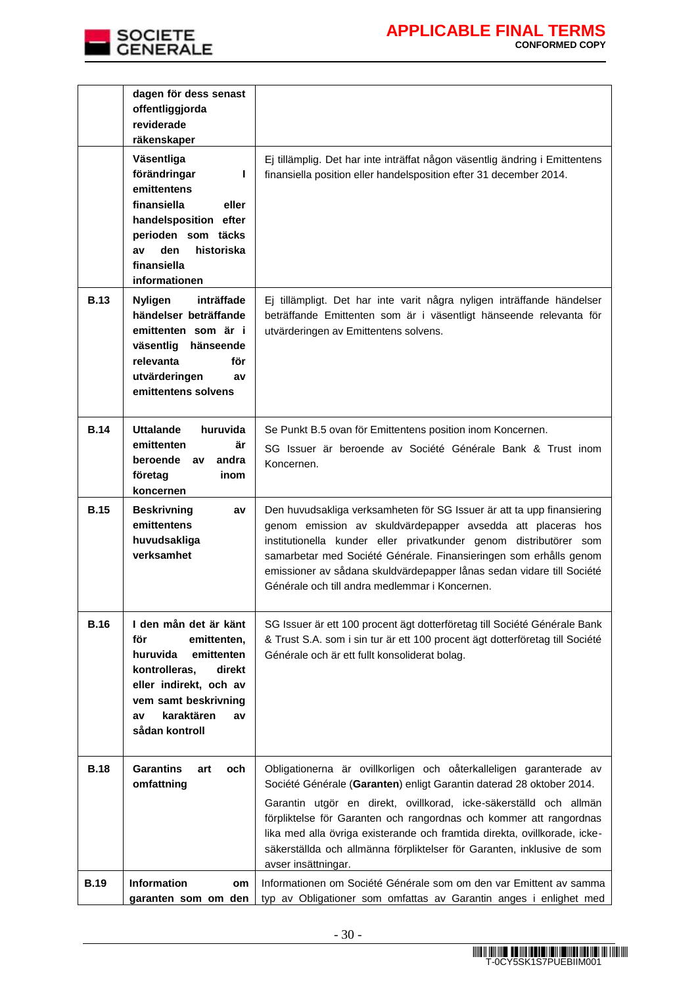

|             | dagen för dess senast<br>offentliggjorda<br>reviderade<br>räkenskaper                                                                                                                          |                                                                                                                                                                                                                                                                                                                                                                                                                                                                     |
|-------------|------------------------------------------------------------------------------------------------------------------------------------------------------------------------------------------------|---------------------------------------------------------------------------------------------------------------------------------------------------------------------------------------------------------------------------------------------------------------------------------------------------------------------------------------------------------------------------------------------------------------------------------------------------------------------|
|             | Väsentliga<br>förändringar<br>L<br>emittentens<br>finansiella<br>eller<br>handelsposition efter<br>perioden som täcks<br>den<br>historiska<br>av<br>finansiella<br>informationen               | Ej tillämplig. Det har inte inträffat någon väsentlig ändring i Emittentens<br>finansiella position eller handelsposition efter 31 december 2014.                                                                                                                                                                                                                                                                                                                   |
| <b>B.13</b> | inträffade<br><b>Nyligen</b><br>händelser beträffande<br>emittenten som är i<br>väsentlig<br>hänseende<br>relevanta<br>för<br>utvärderingen<br>av<br>emittentens solvens                       | Ej tillämpligt. Det har inte varit några nyligen inträffande händelser<br>beträffande Emittenten som är i väsentligt hänseende relevanta för<br>utvärderingen av Emittentens solvens.                                                                                                                                                                                                                                                                               |
| <b>B.14</b> | <b>Uttalande</b><br>huruvida<br>emittenten<br>är<br>beroende av<br>andra<br>företag<br>inom<br>koncernen                                                                                       | Se Punkt B.5 ovan för Emittentens position inom Koncernen.<br>SG Issuer är beroende av Société Générale Bank & Trust inom<br>Koncernen.                                                                                                                                                                                                                                                                                                                             |
| <b>B.15</b> | <b>Beskrivning</b><br>av<br>emittentens<br>huvudsakliga<br>verksamhet                                                                                                                          | Den huvudsakliga verksamheten för SG Issuer är att ta upp finansiering<br>genom emission av skuldvärdepapper avsedda att placeras hos<br>institutionella kunder eller privatkunder genom distributörer som<br>samarbetar med Société Générale. Finansieringen som erhålls genom<br>emissioner av sådana skuldvärdepapper lånas sedan vidare till Société<br>Générale och till andra medlemmar i Koncernen.                                                          |
| <b>B.16</b> | I den mån det är känt<br>för<br>emittenten,<br>huruvida<br>emittenten<br>kontrolleras,<br>direkt<br>eller indirekt, och av<br>vem samt beskrivning<br>karaktären<br>av<br>av<br>sådan kontroll | SG Issuer är ett 100 procent ägt dotterföretag till Société Générale Bank<br>& Trust S.A. som i sin tur är ett 100 procent ägt dotterföretag till Société<br>Générale och är ett fullt konsoliderat bolag.                                                                                                                                                                                                                                                          |
| <b>B.18</b> | <b>Garantins</b><br>art<br>och<br>omfattning                                                                                                                                                   | Obligationerna är ovillkorligen och oåterkalleligen garanterade av<br>Société Générale (Garanten) enligt Garantin daterad 28 oktober 2014.<br>Garantin utgör en direkt, ovillkorad, icke-säkerställd och allmän<br>förpliktelse för Garanten och rangordnas och kommer att rangordnas<br>lika med alla övriga existerande och framtida direkta, ovillkorade, icke-<br>säkerställda och allmänna förpliktelser för Garanten, inklusive de som<br>avser insättningar. |
| <b>B.19</b> | Information<br>om<br>garanten som om den                                                                                                                                                       | Informationen om Société Générale som om den var Emittent av samma<br>typ av Obligationer som omfattas av Garantin anges i enlighet med                                                                                                                                                                                                                                                                                                                             |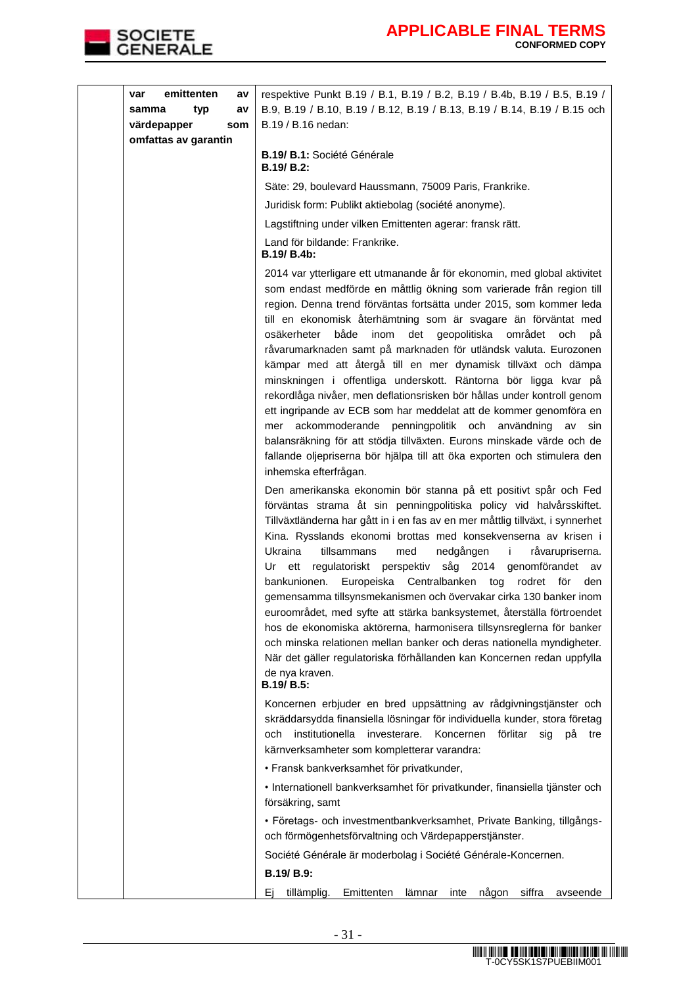

| emittenten<br>var    | av  | respektive Punkt B.19 / B.1, B.19 / B.2, B.19 / B.4b, B.19 / B.5, B.19 /                                                                                                                                                                                                                                                                                                                                                                                                                                                                                                                                                                                                                                                                                                                                                                                                                                                                                              |
|----------------------|-----|-----------------------------------------------------------------------------------------------------------------------------------------------------------------------------------------------------------------------------------------------------------------------------------------------------------------------------------------------------------------------------------------------------------------------------------------------------------------------------------------------------------------------------------------------------------------------------------------------------------------------------------------------------------------------------------------------------------------------------------------------------------------------------------------------------------------------------------------------------------------------------------------------------------------------------------------------------------------------|
| typ<br>samma         | av  | B.9, B.19 / B.10, B.19 / B.12, B.19 / B.13, B.19 / B.14, B.19 / B.15 och                                                                                                                                                                                                                                                                                                                                                                                                                                                                                                                                                                                                                                                                                                                                                                                                                                                                                              |
| värdepapper          | som | B.19 / B.16 nedan:                                                                                                                                                                                                                                                                                                                                                                                                                                                                                                                                                                                                                                                                                                                                                                                                                                                                                                                                                    |
| omfattas av garantin |     | <b>B.19/ B.1: Société Générale</b><br>B.19/ B.2:                                                                                                                                                                                                                                                                                                                                                                                                                                                                                                                                                                                                                                                                                                                                                                                                                                                                                                                      |
|                      |     | Säte: 29, boulevard Haussmann, 75009 Paris, Frankrike.                                                                                                                                                                                                                                                                                                                                                                                                                                                                                                                                                                                                                                                                                                                                                                                                                                                                                                                |
|                      |     | Juridisk form: Publikt aktiebolag (société anonyme).                                                                                                                                                                                                                                                                                                                                                                                                                                                                                                                                                                                                                                                                                                                                                                                                                                                                                                                  |
|                      |     | Lagstiftning under vilken Emittenten agerar: fransk rätt.                                                                                                                                                                                                                                                                                                                                                                                                                                                                                                                                                                                                                                                                                                                                                                                                                                                                                                             |
|                      |     | Land för bildande: Frankrike.<br>B.19/ B.4b:                                                                                                                                                                                                                                                                                                                                                                                                                                                                                                                                                                                                                                                                                                                                                                                                                                                                                                                          |
|                      |     | 2014 var ytterligare ett utmanande år för ekonomin, med global aktivitet<br>som endast medförde en måttlig ökning som varierade från region till<br>region. Denna trend förväntas fortsätta under 2015, som kommer leda<br>till en ekonomisk återhämtning som är svagare än förväntat med<br>osäkerheter<br>både<br>inom<br>det geopolitiska området och<br>рă<br>råvarumarknaden samt på marknaden för utländsk valuta. Eurozonen<br>kämpar med att återgå till en mer dynamisk tillväxt och dämpa<br>minskningen i offentliga underskott. Räntorna bör ligga kvar på<br>rekordlåga nivåer, men deflationsrisken bör hållas under kontroll genom<br>ett ingripande av ECB som har meddelat att de kommer genomföra en<br>mer ackommoderande penningpolitik och användning<br>av<br>sin<br>balansräkning för att stödja tillväxten. Eurons minskade värde och de<br>fallande oljepriserna bör hjälpa till att öka exporten och stimulera den<br>inhemska efterfrågan. |
|                      |     | Den amerikanska ekonomin bör stanna på ett positivt spår och Fed<br>förväntas strama åt sin penningpolitiska policy vid halvårsskiftet.<br>Tillväxtländerna har gått in i en fas av en mer måttlig tillväxt, i synnerhet<br>Kina. Rysslands ekonomi brottas med konsekvenserna av krisen i<br>Ukraina<br>tillsammans<br>med<br>nedgången<br>j.<br>råvarupriserna.<br>regulatoriskt perspektiv såg 2014 genomförandet av<br>ett<br>Ur<br>bankunionen. Europeiska Centralbanken tog<br>rodret för<br>den<br>gemensamma tillsynsmekanismen och övervakar cirka 130 banker inom<br>euroområdet, med syfte att stärka banksystemet, återställa förtroendet<br>hos de ekonomiska aktörerna, harmonisera tillsynsreglerna för banker<br>och minska relationen mellan banker och deras nationella myndigheter.<br>När det gäller regulatoriska förhållanden kan Koncernen redan uppfylla<br>de nya kraven.<br>B.19/ B.5:                                                      |
|                      |     | Koncernen erbjuder en bred uppsättning av rådgivningstjänster och<br>skräddarsydda finansiella lösningar för individuella kunder, stora företag<br>institutionella<br>investerare.<br>Koncernen<br>förlitar<br>och<br>sig<br>рå<br>tre<br>kärnverksamheter som kompletterar varandra:<br>· Fransk bankverksamhet för privatkunder,                                                                                                                                                                                                                                                                                                                                                                                                                                                                                                                                                                                                                                    |
|                      |     | · Internationell bankverksamhet för privatkunder, finansiella tjänster och<br>försäkring, samt                                                                                                                                                                                                                                                                                                                                                                                                                                                                                                                                                                                                                                                                                                                                                                                                                                                                        |
|                      |     | • Företags- och investmentbankverksamhet, Private Banking, tillgångs-<br>och förmögenhetsförvaltning och Värdepapperstjänster.                                                                                                                                                                                                                                                                                                                                                                                                                                                                                                                                                                                                                                                                                                                                                                                                                                        |
|                      |     | Société Générale är moderbolag i Société Générale-Koncernen.                                                                                                                                                                                                                                                                                                                                                                                                                                                                                                                                                                                                                                                                                                                                                                                                                                                                                                          |
|                      |     |                                                                                                                                                                                                                                                                                                                                                                                                                                                                                                                                                                                                                                                                                                                                                                                                                                                                                                                                                                       |
|                      |     | B.19/ B.9:                                                                                                                                                                                                                                                                                                                                                                                                                                                                                                                                                                                                                                                                                                                                                                                                                                                                                                                                                            |
|                      |     | tillämplig. Emittenten lämnar inte någon siffra avseende<br>Εi                                                                                                                                                                                                                                                                                                                                                                                                                                                                                                                                                                                                                                                                                                                                                                                                                                                                                                        |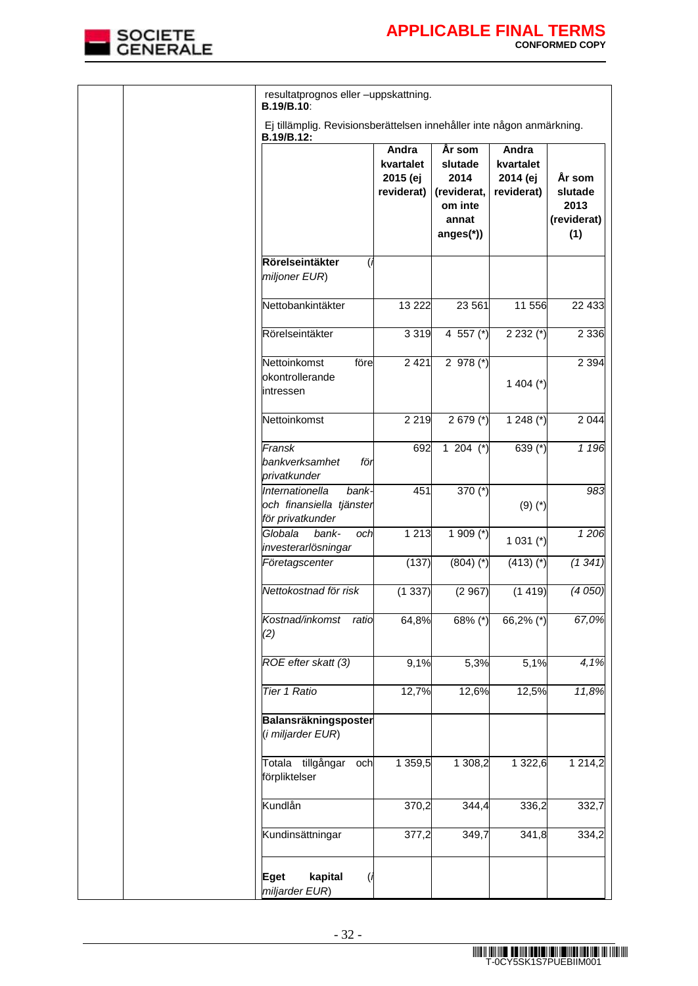

|  | resultatprognos eller -uppskattning.<br>B.19/B.10:                                  |                                              |                                                                           |                                              |                                                 |
|--|-------------------------------------------------------------------------------------|----------------------------------------------|---------------------------------------------------------------------------|----------------------------------------------|-------------------------------------------------|
|  | Ej tillämplig. Revisionsberättelsen innehåller inte någon anmärkning.<br>B.19/B.12: |                                              |                                                                           |                                              |                                                 |
|  |                                                                                     | Andra<br>kvartalet<br>2015 (ej<br>reviderat) | År som<br>slutade<br>2014<br>(reviderat,<br>om inte<br>annat<br>anges(*)) | Andra<br>kvartalet<br>2014 (ej<br>reviderat) | År som<br>slutade<br>2013<br>(reviderat)<br>(1) |
|  | Rörelseintäkter<br>miljoner EUR)                                                    |                                              |                                                                           |                                              |                                                 |
|  | Nettobankintäkter                                                                   | 13 2 22                                      | 23 561                                                                    | 11 556                                       | 22 4 3 3                                        |
|  | Rörelseintäkter                                                                     | 3319                                         | 4 557 $(*)$                                                               | $2232 (*)$                                   | 2 3 3 6                                         |
|  | Nettoinkomst<br>före<br>okontrollerande<br>intressen                                | 2 4 2 1                                      | 2 978 $(*)$                                                               | 1 404 $(*)$                                  | 2 3 9 4                                         |
|  | Nettoinkomst                                                                        | 2 2 1 9                                      | $2679$ (*)                                                                | 1 248 $(*)$                                  | 2 0 4 4                                         |
|  | Fransk<br>bankverksamhet<br>för<br>privatkunder                                     | 692                                          | 1 204 $(*)$                                                               | 639 (*)                                      | 1 1 9 6                                         |
|  | Internationella<br>bank-<br>och finansiella tjänster<br>för privatkunder            | 451                                          | 370 $(*)$                                                                 | $(9)(*)$                                     | 983                                             |
|  | Globala<br>bank-<br>och<br>investerarlösningar                                      | 1 2 1 3                                      | 1 909 $(*)$                                                               | 1 0 31 $(*)$                                 | 1206                                            |
|  | Företagscenter                                                                      | (137)                                        | $(804)$ $(*)$                                                             | $(413)$ (*)                                  | (1341)                                          |
|  | Nettokostnad för risk                                                               | (1337)                                       | (2967)                                                                    | (1419)                                       | (4050)                                          |
|  | Kostnad/inkomst<br>ratio<br>(2)                                                     | 64,8%                                        | $68\%$ (*)                                                                | 66,2% (*)                                    | 67,0%                                           |
|  | ROE efter skatt (3)                                                                 | 9,1%                                         | 5,3%                                                                      | 5,1%                                         | 4,1%                                            |
|  | Tier 1 Ratio                                                                        | 12,7%                                        | 12,6%                                                                     | 12,5%                                        | 11,8%                                           |
|  | Balansräkningsposter<br>(i miljarder EUR)                                           |                                              |                                                                           |                                              |                                                 |
|  | Totala tillgångar<br>och<br>förpliktelser                                           | 1 359,5                                      | 1 308,2                                                                   | 1 322,6                                      | 1 2 1 4 , 2                                     |
|  | Kundlån                                                                             | 370,2                                        | 344,4                                                                     | 336,2                                        | 332,7                                           |
|  | Kundinsättningar                                                                    | 377,2                                        | 349,7                                                                     | 341,8                                        | 334,2                                           |
|  | kapital<br><b>Eget</b><br>miljarder EUR)                                            |                                              |                                                                           |                                              |                                                 |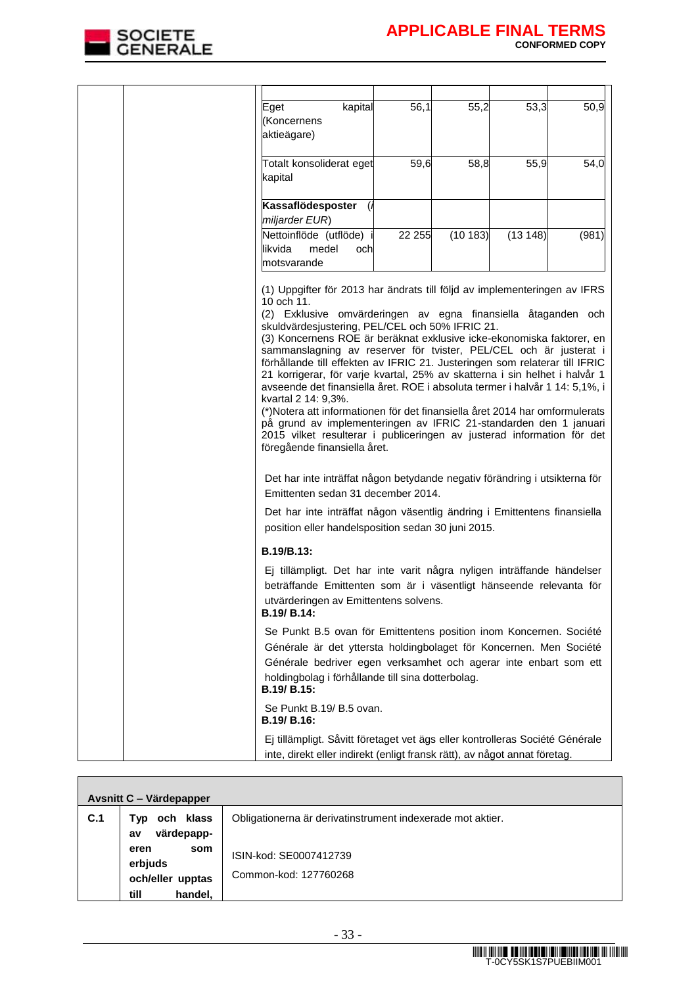

|  | kapital<br>Eget<br>(Koncernens<br>aktieägare)                                                                                                                                                                                                                                                                                                                                                                                                                                                                                                                                                                                                                                                                                                                                                                                                                                                                                                                                                                                                                                                                                                     | 56,1   | 55,2    | 53,3    | 50,9  |
|--|---------------------------------------------------------------------------------------------------------------------------------------------------------------------------------------------------------------------------------------------------------------------------------------------------------------------------------------------------------------------------------------------------------------------------------------------------------------------------------------------------------------------------------------------------------------------------------------------------------------------------------------------------------------------------------------------------------------------------------------------------------------------------------------------------------------------------------------------------------------------------------------------------------------------------------------------------------------------------------------------------------------------------------------------------------------------------------------------------------------------------------------------------|--------|---------|---------|-------|
|  | Totalt konsoliderat eget<br>kapital                                                                                                                                                                                                                                                                                                                                                                                                                                                                                                                                                                                                                                                                                                                                                                                                                                                                                                                                                                                                                                                                                                               | 59,6   | 58,8    | 55,9    | 54,0  |
|  | Kassaflödesposter<br>miljarder EUR)                                                                                                                                                                                                                                                                                                                                                                                                                                                                                                                                                                                                                                                                                                                                                                                                                                                                                                                                                                                                                                                                                                               |        |         |         |       |
|  | Nettoinflöde (utflöde)<br>likvida<br>medel<br>och<br>motsvarande                                                                                                                                                                                                                                                                                                                                                                                                                                                                                                                                                                                                                                                                                                                                                                                                                                                                                                                                                                                                                                                                                  | 22 255 | (10183) | (13148) | (981) |
|  | (1) Uppgifter för 2013 har ändrats till följd av implementeringen av IFRS<br>10 och 11.<br>(2) Exklusive omvärderingen av egna finansiella åtaganden och<br>skuldvärdesjustering, PEL/CEL och 50% IFRIC 21.<br>(3) Koncernens ROE är beräknat exklusive icke-ekonomiska faktorer, en<br>sammanslagning av reserver för tvister, PEL/CEL och är justerat i<br>förhållande till effekten av IFRIC 21. Justeringen som relaterar till IFRIC<br>21 korrigerar, för varje kvartal, 25% av skatterna i sin helhet i halvår 1<br>avseende det finansiella året. ROE i absoluta termer i halvår 1 14: 5,1%, i<br>kvartal 2 14: 9,3%.<br>(*) Notera att informationen för det finansiella året 2014 har omformulerats<br>på grund av implementeringen av IFRIC 21-standarden den 1 januari<br>2015 vilket resulterar i publiceringen av justerad information för det<br>föregående finansiella året.<br>Det har inte inträffat någon betydande negativ förändring i utsikterna för<br>Emittenten sedan 31 december 2014.<br>Det har inte inträffat någon väsentlig ändring i Emittentens finansiella<br>position eller handelsposition sedan 30 juni 2015. |        |         |         |       |
|  | B.19/B.13:                                                                                                                                                                                                                                                                                                                                                                                                                                                                                                                                                                                                                                                                                                                                                                                                                                                                                                                                                                                                                                                                                                                                        |        |         |         |       |
|  | Ej tillämpligt. Det har inte varit några nyligen inträffande händelser<br>beträffande Emittenten som är i väsentligt hänseende relevanta för<br>utvärderingen av Emittentens solvens.<br><b>B.19/ B.14:</b>                                                                                                                                                                                                                                                                                                                                                                                                                                                                                                                                                                                                                                                                                                                                                                                                                                                                                                                                       |        |         |         |       |
|  | Se Punkt B.5 ovan för Emittentens position inom Koncernen. Société<br>Générale är det yttersta holdingbolaget för Koncernen. Men Société<br>Générale bedriver egen verksamhet och agerar inte enbart som ett<br>holdingbolag i förhållande till sina dotterbolag.<br>B.19/ B.15:                                                                                                                                                                                                                                                                                                                                                                                                                                                                                                                                                                                                                                                                                                                                                                                                                                                                  |        |         |         |       |
|  | Se Punkt B.19/ B.5 ovan.<br>B.19/ B.16:                                                                                                                                                                                                                                                                                                                                                                                                                                                                                                                                                                                                                                                                                                                                                                                                                                                                                                                                                                                                                                                                                                           |        |         |         |       |
|  | Ej tillämpligt. Såvitt företaget vet ägs eller kontrolleras Société Générale<br>inte, direkt eller indirekt (enligt fransk rätt), av något annat företag.                                                                                                                                                                                                                                                                                                                                                                                                                                                                                                                                                                                                                                                                                                                                                                                                                                                                                                                                                                                         |        |         |         |       |

| Avsnitt C - Värdepapper |                                                               |                                                            |  |  |  |
|-------------------------|---------------------------------------------------------------|------------------------------------------------------------|--|--|--|
| C.1                     | och klass<br>Typ<br>värdepapp-<br>av                          | Obligationerna är derivatinstrument indexerade mot aktier. |  |  |  |
|                         | som<br>eren<br>erbjuds<br>och/eller upptas<br>handel,<br>till | ISIN-kod: SE0007412739<br>Common-kod: 127760268            |  |  |  |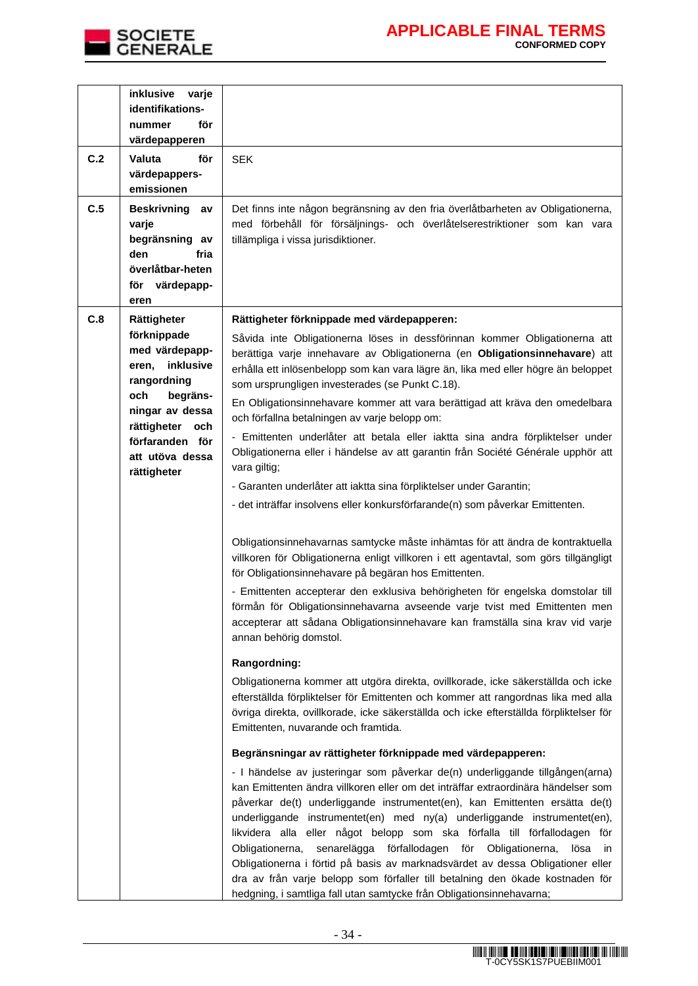

|     | inklusive<br>varje<br>identifikations-                                                                                                                                           |                                                                                                                                                                                                                                                                                                                                                                                                                                                                                                                                                                                                                                                                                                                                            |
|-----|----------------------------------------------------------------------------------------------------------------------------------------------------------------------------------|--------------------------------------------------------------------------------------------------------------------------------------------------------------------------------------------------------------------------------------------------------------------------------------------------------------------------------------------------------------------------------------------------------------------------------------------------------------------------------------------------------------------------------------------------------------------------------------------------------------------------------------------------------------------------------------------------------------------------------------------|
|     | för<br>nummer                                                                                                                                                                    |                                                                                                                                                                                                                                                                                                                                                                                                                                                                                                                                                                                                                                                                                                                                            |
|     | värdepapperen                                                                                                                                                                    |                                                                                                                                                                                                                                                                                                                                                                                                                                                                                                                                                                                                                                                                                                                                            |
| C.2 | <b>Valuta</b><br>för<br>värdepappers-<br>emissionen                                                                                                                              | <b>SEK</b>                                                                                                                                                                                                                                                                                                                                                                                                                                                                                                                                                                                                                                                                                                                                 |
| C.5 | <b>Beskrivning</b><br>av<br>varje<br>begränsning av<br>den<br>fria<br>överlåtbar-heten<br>värdepapp-<br>för<br>eren                                                              | Det finns inte någon begränsning av den fria överlåtbarheten av Obligationerna,<br>med förbehåll för försäljnings- och överlåtelserestriktioner som kan vara<br>tillämpliga i vissa jurisdiktioner.                                                                                                                                                                                                                                                                                                                                                                                                                                                                                                                                        |
| C.8 | Rättigheter                                                                                                                                                                      | Rättigheter förknippade med värdepapperen:                                                                                                                                                                                                                                                                                                                                                                                                                                                                                                                                                                                                                                                                                                 |
|     | förknippade<br>med värdepapp-<br>inklusive<br>eren,<br>rangordning<br>och<br>begräns-<br>ningar av dessa<br>rättigheter och<br>förfaranden för<br>att utöva dessa<br>rättigheter | Såvida inte Obligationerna löses in dessförinnan kommer Obligationerna att<br>berättiga varje innehavare av Obligationerna (en Obligationsinnehavare) att<br>erhålla ett inlösenbelopp som kan vara lägre än, lika med eller högre än beloppet<br>som ursprungligen investerades (se Punkt C.18).                                                                                                                                                                                                                                                                                                                                                                                                                                          |
|     |                                                                                                                                                                                  | En Obligationsinnehavare kommer att vara berättigad att kräva den omedelbara<br>och förfallna betalningen av varje belopp om:                                                                                                                                                                                                                                                                                                                                                                                                                                                                                                                                                                                                              |
|     |                                                                                                                                                                                  | - Emittenten underlåter att betala eller iaktta sina andra förpliktelser under<br>Obligationerna eller i händelse av att garantin från Société Générale upphör att<br>vara giltig;                                                                                                                                                                                                                                                                                                                                                                                                                                                                                                                                                         |
|     |                                                                                                                                                                                  | - Garanten underlåter att iaktta sina förpliktelser under Garantin;                                                                                                                                                                                                                                                                                                                                                                                                                                                                                                                                                                                                                                                                        |
|     |                                                                                                                                                                                  | - det inträffar insolvens eller konkursförfarande(n) som påverkar Emittenten.                                                                                                                                                                                                                                                                                                                                                                                                                                                                                                                                                                                                                                                              |
|     |                                                                                                                                                                                  | Obligationsinnehavarnas samtycke måste inhämtas för att ändra de kontraktuella<br>villkoren för Obligationerna enligt villkoren i ett agentavtal, som görs tillgängligt<br>för Obligationsinnehavare på begäran hos Emittenten.                                                                                                                                                                                                                                                                                                                                                                                                                                                                                                            |
|     |                                                                                                                                                                                  | - Emittenten accepterar den exklusiva behörigheten för engelska domstolar till<br>förmån för Obligationsinnehavarna avseende varje tvist med Emittenten men<br>accepterar att sådana Obligationsinnehavare kan framställa sina krav vid varje<br>annan behörig domstol.                                                                                                                                                                                                                                                                                                                                                                                                                                                                    |
|     |                                                                                                                                                                                  | Rangordning:                                                                                                                                                                                                                                                                                                                                                                                                                                                                                                                                                                                                                                                                                                                               |
|     |                                                                                                                                                                                  | Obligationerna kommer att utgöra direkta, ovillkorade, icke säkerställda och icke<br>efterställda förpliktelser för Emittenten och kommer att rangordnas lika med alla<br>övriga direkta, ovillkorade, icke säkerställda och icke efterställda förpliktelser för<br>Emittenten, nuvarande och framtida.                                                                                                                                                                                                                                                                                                                                                                                                                                    |
|     |                                                                                                                                                                                  | Begränsningar av rättigheter förknippade med värdepapperen:                                                                                                                                                                                                                                                                                                                                                                                                                                                                                                                                                                                                                                                                                |
|     |                                                                                                                                                                                  | - I händelse av justeringar som påverkar de(n) underliggande tillgången(arna)<br>kan Emittenten ändra villkoren eller om det inträffar extraordinära händelser som<br>påverkar de(t) underliggande instrumentet(en), kan Emittenten ersätta de(t)<br>underliggande instrumentet(en) med ny(a) underliggande instrumentet(en),<br>likvidera alla eller något belopp som ska förfalla till förfallodagen för<br>Obligationerna, senarelägga förfallodagen<br>för<br>Obligationerna,<br>lösa<br>in<br>Obligationerna i förtid på basis av marknadsvärdet av dessa Obligationer eller<br>dra av från varje belopp som förfaller till betalning den ökade kostnaden för<br>hedgning, i samtliga fall utan samtycke från Obligationsinnehavarna; |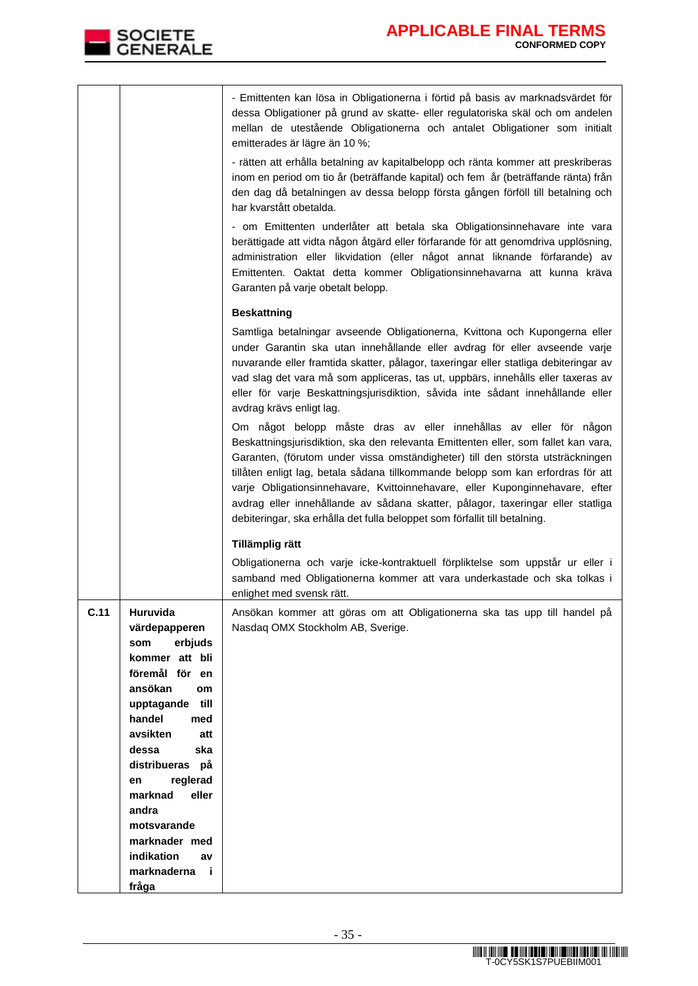

|      |                                   | - Emittenten kan lösa in Obligationerna i förtid på basis av marknadsvärdet för<br>dessa Obligationer på grund av skatte- eller regulatoriska skäl och om andelen<br>mellan de utestående Obligationerna och antalet Obligationer som initialt<br>emitterades är lägre än 10 %;<br>- rätten att erhålla betalning av kapitalbelopp och ränta kommer att preskriberas<br>inom en period om tio år (beträffande kapital) och fem år (beträffande ränta) från<br>den dag då betalningen av dessa belopp första gången förföll till betalning och<br>har kvarstått obetalda.<br>- om Emittenten underlåter att betala ska Obligationsinnehavare inte vara<br>berättigade att vidta någon åtgärd eller förfarande för att genomdriva upplösning,<br>administration eller likvidation (eller något annat liknande förfarande) av<br>Emittenten. Oaktat detta kommer Obligationsinnehavarna att kunna kräva<br>Garanten på varje obetalt belopp. |
|------|-----------------------------------|-------------------------------------------------------------------------------------------------------------------------------------------------------------------------------------------------------------------------------------------------------------------------------------------------------------------------------------------------------------------------------------------------------------------------------------------------------------------------------------------------------------------------------------------------------------------------------------------------------------------------------------------------------------------------------------------------------------------------------------------------------------------------------------------------------------------------------------------------------------------------------------------------------------------------------------------|
|      |                                   |                                                                                                                                                                                                                                                                                                                                                                                                                                                                                                                                                                                                                                                                                                                                                                                                                                                                                                                                           |
|      |                                   | <b>Beskattning</b><br>Samtliga betalningar avseende Obligationerna, Kvittona och Kupongerna eller<br>under Garantin ska utan innehållande eller avdrag för eller avseende varje<br>nuvarande eller framtida skatter, pålagor, taxeringar eller statliga debiteringar av<br>vad slag det vara må som appliceras, tas ut, uppbärs, innehålls eller taxeras av<br>eller för varje Beskattningsjurisdiktion, såvida inte sådant innehållande eller<br>avdrag krävs enligt lag.                                                                                                                                                                                                                                                                                                                                                                                                                                                                |
|      |                                   | Om något belopp måste dras av eller innehållas av eller för någon<br>Beskattningsjurisdiktion, ska den relevanta Emittenten eller, som fallet kan vara,<br>Garanten, (förutom under vissa omständigheter) till den största utsträckningen<br>tillåten enligt lag, betala sådana tillkommande belopp som kan erfordras för att<br>varje Obligationsinnehavare, Kvittoinnehavare, eller Kuponginnehavare, efter<br>avdrag eller innehållande av sådana skatter, pålagor, taxeringar eller statliga<br>debiteringar, ska erhålla det fulla beloppet som förfallit till betalning.                                                                                                                                                                                                                                                                                                                                                            |
|      |                                   | Tillämplig rätt                                                                                                                                                                                                                                                                                                                                                                                                                                                                                                                                                                                                                                                                                                                                                                                                                                                                                                                           |
|      |                                   | Obligationerna och varje icke-kontraktuell förpliktelse som uppstår ur eller i<br>samband med Obligationerna kommer att vara underkastade och ska tolkas i<br>enlighet med svensk rätt.                                                                                                                                                                                                                                                                                                                                                                                                                                                                                                                                                                                                                                                                                                                                                   |
| C.11 | Huruvida<br>värdepapperen         | Ansökan kommer att göras om att Obligationerna ska tas upp till handel på<br>Nasdaq OMX Stockholm AB, Sverige.                                                                                                                                                                                                                                                                                                                                                                                                                                                                                                                                                                                                                                                                                                                                                                                                                            |
|      | erbjuds<br>som                    |                                                                                                                                                                                                                                                                                                                                                                                                                                                                                                                                                                                                                                                                                                                                                                                                                                                                                                                                           |
|      | kommer att bli                    |                                                                                                                                                                                                                                                                                                                                                                                                                                                                                                                                                                                                                                                                                                                                                                                                                                                                                                                                           |
|      | föremål för en                    |                                                                                                                                                                                                                                                                                                                                                                                                                                                                                                                                                                                                                                                                                                                                                                                                                                                                                                                                           |
|      | ansökan<br>om                     |                                                                                                                                                                                                                                                                                                                                                                                                                                                                                                                                                                                                                                                                                                                                                                                                                                                                                                                                           |
|      | till<br>upptagande                |                                                                                                                                                                                                                                                                                                                                                                                                                                                                                                                                                                                                                                                                                                                                                                                                                                                                                                                                           |
|      | handel<br>med<br>avsikten<br>att  |                                                                                                                                                                                                                                                                                                                                                                                                                                                                                                                                                                                                                                                                                                                                                                                                                                                                                                                                           |
|      | dessa<br>ska                      |                                                                                                                                                                                                                                                                                                                                                                                                                                                                                                                                                                                                                                                                                                                                                                                                                                                                                                                                           |
|      | distribueras på                   |                                                                                                                                                                                                                                                                                                                                                                                                                                                                                                                                                                                                                                                                                                                                                                                                                                                                                                                                           |
|      | reglerad<br>en                    |                                                                                                                                                                                                                                                                                                                                                                                                                                                                                                                                                                                                                                                                                                                                                                                                                                                                                                                                           |
|      | marknad<br>eller                  |                                                                                                                                                                                                                                                                                                                                                                                                                                                                                                                                                                                                                                                                                                                                                                                                                                                                                                                                           |
|      | andra                             |                                                                                                                                                                                                                                                                                                                                                                                                                                                                                                                                                                                                                                                                                                                                                                                                                                                                                                                                           |
|      | motsvarande                       |                                                                                                                                                                                                                                                                                                                                                                                                                                                                                                                                                                                                                                                                                                                                                                                                                                                                                                                                           |
|      | marknader med<br>indikation<br>av |                                                                                                                                                                                                                                                                                                                                                                                                                                                                                                                                                                                                                                                                                                                                                                                                                                                                                                                                           |
|      | marknaderna<br>- i                |                                                                                                                                                                                                                                                                                                                                                                                                                                                                                                                                                                                                                                                                                                                                                                                                                                                                                                                                           |
|      | fråga                             |                                                                                                                                                                                                                                                                                                                                                                                                                                                                                                                                                                                                                                                                                                                                                                                                                                                                                                                                           |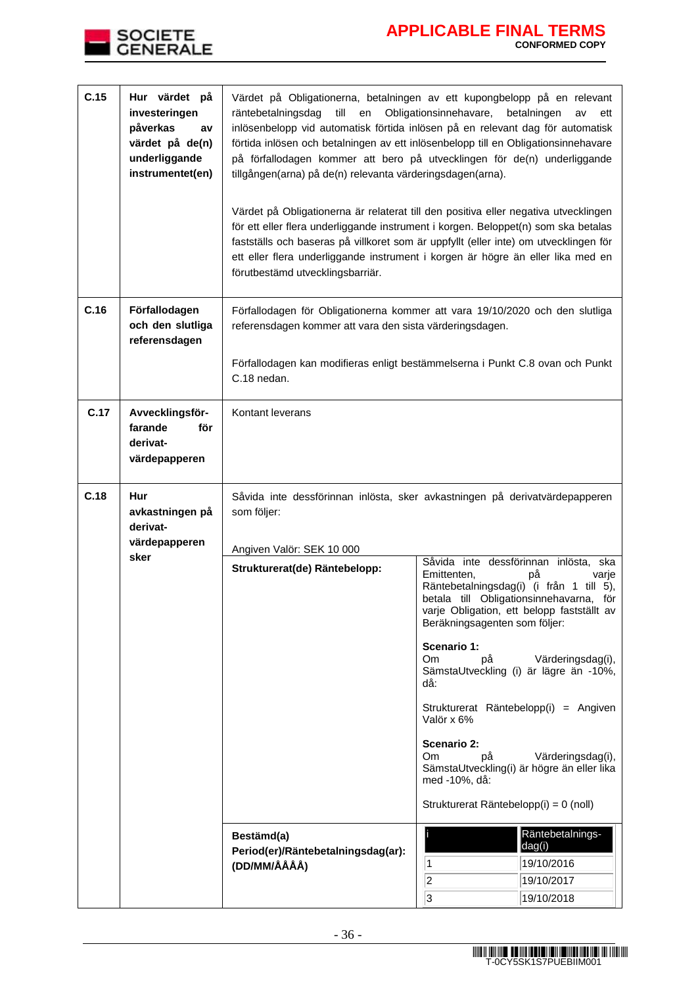

| C.15 | Hur värdet på<br>investeringen<br>påverkas<br>av<br>värdet på de(n)<br>underliggande<br>instrumentet(en) | Värdet på Obligationerna, betalningen av ett kupongbelopp på en relevant<br>Obligationsinnehavare,<br>räntebetalningsdag<br>till<br>en<br>betalningen<br>av<br>ett<br>inlösenbelopp vid automatisk förtida inlösen på en relevant dag för automatisk<br>förtida inlösen och betalningen av ett inlösenbelopp till en Obligationsinnehavare<br>på förfallodagen kommer att bero på utvecklingen för de(n) underliggande<br>tillgången(arna) på de(n) relevanta värderingsdagen(arna).<br>Värdet på Obligationerna är relaterat till den positiva eller negativa utvecklingen<br>för ett eller flera underliggande instrument i korgen. Beloppet(n) som ska betalas<br>fastställs och baseras på villkoret som är uppfyllt (eller inte) om utvecklingen för<br>ett eller flera underliggande instrument i korgen är högre än eller lika med en<br>förutbestämd utvecklingsbarriär. |                                                                                                                                                                                                                                                                                                                                                                                                                                                                                                                                                                                                                 |  |  |
|------|----------------------------------------------------------------------------------------------------------|----------------------------------------------------------------------------------------------------------------------------------------------------------------------------------------------------------------------------------------------------------------------------------------------------------------------------------------------------------------------------------------------------------------------------------------------------------------------------------------------------------------------------------------------------------------------------------------------------------------------------------------------------------------------------------------------------------------------------------------------------------------------------------------------------------------------------------------------------------------------------------|-----------------------------------------------------------------------------------------------------------------------------------------------------------------------------------------------------------------------------------------------------------------------------------------------------------------------------------------------------------------------------------------------------------------------------------------------------------------------------------------------------------------------------------------------------------------------------------------------------------------|--|--|
| C.16 | Förfallodagen<br>och den slutliga<br>referensdagen                                                       | Förfallodagen för Obligationerna kommer att vara 19/10/2020 och den slutliga<br>referensdagen kommer att vara den sista värderingsdagen.<br>Förfallodagen kan modifieras enligt bestämmelserna i Punkt C.8 ovan och Punkt<br>C.18 nedan.                                                                                                                                                                                                                                                                                                                                                                                                                                                                                                                                                                                                                                         |                                                                                                                                                                                                                                                                                                                                                                                                                                                                                                                                                                                                                 |  |  |
| C.17 | Avvecklingsför-<br>farande<br>för<br>derivat-<br>värdepapperen                                           | Kontant leverans                                                                                                                                                                                                                                                                                                                                                                                                                                                                                                                                                                                                                                                                                                                                                                                                                                                                 |                                                                                                                                                                                                                                                                                                                                                                                                                                                                                                                                                                                                                 |  |  |
| C.18 | Hur<br>avkastningen på<br>derivat-<br>värdepapperen                                                      | som följer:<br>Angiven Valör: SEK 10 000                                                                                                                                                                                                                                                                                                                                                                                                                                                                                                                                                                                                                                                                                                                                                                                                                                         | Såvida inte dessförinnan inlösta, sker avkastningen på derivatvärdepapperen                                                                                                                                                                                                                                                                                                                                                                                                                                                                                                                                     |  |  |
|      | sker                                                                                                     | Strukturerat(de) Räntebelopp:<br>Bestämd(a)<br>Period(er)/Räntebetalningsdag(ar):                                                                                                                                                                                                                                                                                                                                                                                                                                                                                                                                                                                                                                                                                                                                                                                                | Såvida inte dessförinnan<br>inlösta, ska<br>Emittenten,<br>рå<br>varje<br>Räntebetalningsdag(i) (i från 1 till 5),<br>betala till Obligationsinnehavarna, för<br>varje Obligation, ett belopp fastställt av<br>Beräkningsagenten som följer:<br>Scenario 1:<br>Värderingsdag(i),<br>Om.<br>рå<br>SämstaUtveckling (i) är lägre än -10%,<br>då:<br>Strukturerat Räntebelopp(i) = Angiven<br>Valör x 6%<br>Scenario 2:<br>Om<br>Värderingsdag(i),<br>рă<br>SämstaUtveckling(i) är högre än eller lika<br>med -10%, då:<br>Strukturerat Räntebelopp(i) = 0 (noll)<br>Räntebetalnings-<br>dag(i)<br>19/10/2016<br>1 |  |  |
|      |                                                                                                          | (DD/MM/ÅÅÅÅ)                                                                                                                                                                                                                                                                                                                                                                                                                                                                                                                                                                                                                                                                                                                                                                                                                                                                     | 2<br>19/10/2017<br>3<br>19/10/2018                                                                                                                                                                                                                                                                                                                                                                                                                                                                                                                                                                              |  |  |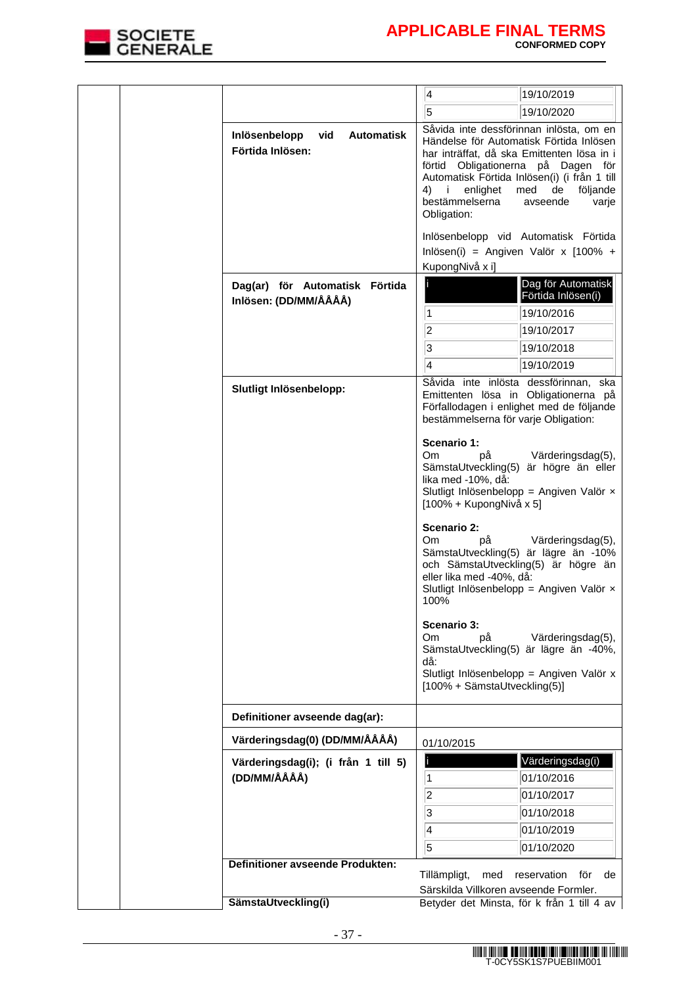

|  |                                                               | 4                                                                         | 19/10/2019                                                                                                                                                                                                                                                                                                                                              |
|--|---------------------------------------------------------------|---------------------------------------------------------------------------|---------------------------------------------------------------------------------------------------------------------------------------------------------------------------------------------------------------------------------------------------------------------------------------------------------------------------------------------------------|
|  |                                                               | $\overline{5}$                                                            | 19/10/2020                                                                                                                                                                                                                                                                                                                                              |
|  | vid<br><b>Automatisk</b><br>Inlösenbelopp<br>Förtida Inlösen: | enlighet<br>4) i<br>bestämmelserna<br>Obligation:                         | Såvida inte dessförinnan inlösta, om en<br>Händelse för Automatisk Förtida Inlösen<br>har inträffat, då ska Emittenten lösa in i<br>förtid Obligationerna på Dagen för<br>Automatisk Förtida Inlösen(i) (i från 1 till<br>med<br>de<br>följande<br>avseende<br>varje<br>Inlösenbelopp vid Automatisk Förtida<br>Inlösen(i) = Angiven Valör x $[100\% +$ |
|  |                                                               | KupongNivå x i]                                                           |                                                                                                                                                                                                                                                                                                                                                         |
|  | Dag(ar) för Automatisk Förtida<br>Inlösen: (DD/MM/ÅÅÅÅ)       | $\overline{1}$<br>$ 2\rangle$<br>$\overline{\mathbf{3}}$<br>4             | Dag för Automatisk<br>Förtida Inlösen(i)<br>19/10/2016<br>19/10/2017<br>19/10/2018<br>19/10/2019                                                                                                                                                                                                                                                        |
|  | Slutligt Inlösenbelopp:                                       | bestämmelserna för varje Obligation:                                      | Såvida inte inlösta dessförinnan, ska<br>Emittenten lösa in Obligationerna på<br>Förfallodagen i enlighet med de följande                                                                                                                                                                                                                               |
|  |                                                               | Scenario 1:<br>Om.<br>рå<br>lika med -10%, då:<br>[100% + KupongNivå x 5] | Värderingsdag(5),<br>SämstaUtveckling(5) är högre än eller<br>Slutligt Inlösenbelopp = Angiven Valör x                                                                                                                                                                                                                                                  |
|  |                                                               | Scenario 2:<br>Om.<br>рå<br>eller lika med -40%, då:<br>100%              | Värderingsdag(5),<br>SämstaUtveckling(5) är lägre än -10%<br>och SämstaUtveckling(5) är högre än<br>Slutligt Inlösenbelopp = Angiven Valör $\times$                                                                                                                                                                                                     |
|  |                                                               | Scenario 3:<br>Om.<br>рă<br>då:<br>[100% + SämstaUtveckling(5)]           | Värderingsdag(5),<br>SämstaUtveckling(5) är lägre än -40%,<br>Slutligt Inlösenbelopp = Angiven Valör x                                                                                                                                                                                                                                                  |
|  | Definitioner avseende dag(ar):                                |                                                                           |                                                                                                                                                                                                                                                                                                                                                         |
|  | Värderingsdag(0) (DD/MM/ÅÅÅÅ)                                 | 01/10/2015                                                                |                                                                                                                                                                                                                                                                                                                                                         |
|  | Värderingsdag(i); (i från 1 till 5)<br>(DD/MM/ÅÅÅÅ)           | $\vert$ 1<br> 2 <br>3<br>$\overline{4}$<br>$\overline{5}$                 | Värderingsdag(i)<br>01/10/2016<br>01/10/2017<br>01/10/2018<br>01/10/2019<br>01/10/2020                                                                                                                                                                                                                                                                  |
|  | <b>Definitioner avseende Produkten:</b>                       |                                                                           | reservation<br>för<br>de                                                                                                                                                                                                                                                                                                                                |
|  |                                                               | Tillämpligt,<br>med<br>Särskilda Villkoren avseende Formler.              |                                                                                                                                                                                                                                                                                                                                                         |
|  | SämstaUtveckling(i)                                           |                                                                           | Betyder det Minsta, för k från 1 till 4 av                                                                                                                                                                                                                                                                                                              |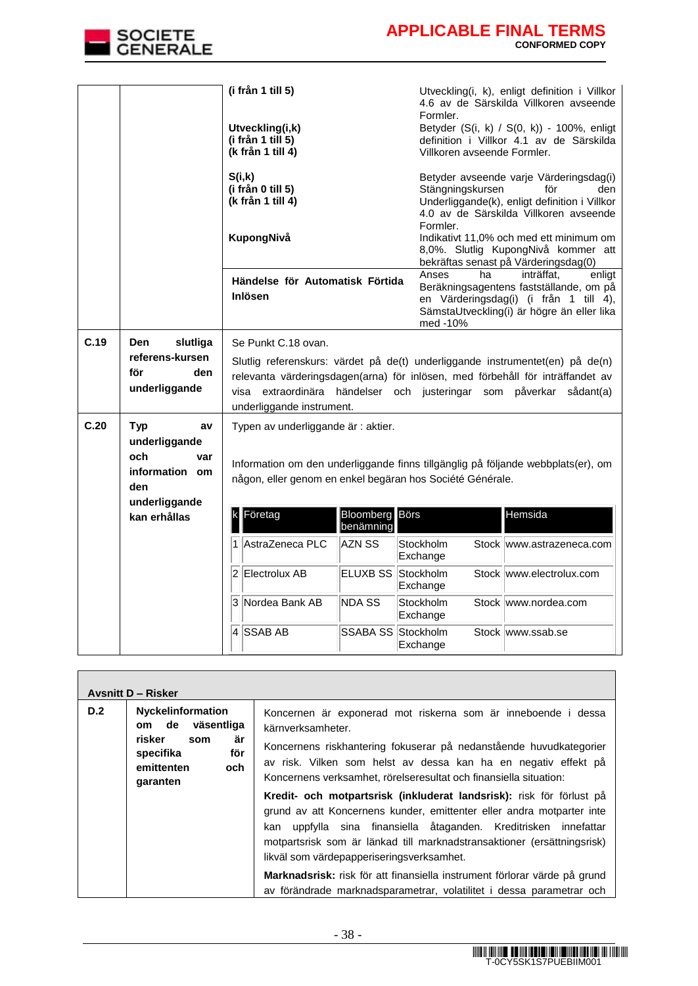

 $\mathbf{r}$ 

|      |                                                                                    | (i från 1 till 5)<br>Utveckling(i,k)<br>(i från 1 till 5)<br>(k från 1 till 4) |                                    | Formler.<br>Villkoren avseende Formler.                   | Utveckling(i, k), enligt definition i Villkor<br>4.6 av de Särskilda Villkoren avseende<br>Betyder (S(i, k) / S(0, k)) - 100%, enligt<br>definition i Villkor 4.1 av de Särskilda                                                                                          |
|------|------------------------------------------------------------------------------------|--------------------------------------------------------------------------------|------------------------------------|-----------------------------------------------------------|----------------------------------------------------------------------------------------------------------------------------------------------------------------------------------------------------------------------------------------------------------------------------|
|      |                                                                                    | S(i,k)<br>(i från 0 till 5)<br>(k från 1 till 4)<br>KupongNivå                 |                                    | Stängningskursen<br>Formler.                              | Betyder avseende varje Värderingsdag(i)<br>för<br>den<br>Underliggande(k), enligt definition i Villkor<br>4.0 av de Särskilda Villkoren avseende<br>Indikativt 11,0% och med ett minimum om<br>8,0%. Slutlig KupongNivå kommer att<br>bekräftas senast på Värderingsdag(0) |
|      |                                                                                    | Händelse för Automatisk Förtida<br><b>Inlösen</b>                              |                                    | Anses<br>ha<br>med -10%                                   | inträffat.<br>enligt<br>Beräkningsagentens fastställande, om på<br>en Värderingsdag(i) (i från 1 till 4),<br>SämstaUtveckling(i) är högre än eller lika                                                                                                                    |
| C.19 | slutliga<br>Den<br>referens-kursen<br>för<br>den<br>underliggande                  | Se Punkt C.18 ovan.<br>underliggande instrument.                               |                                    |                                                           | Slutlig referenskurs: värdet på de(t) underliggande instrumentet(en) på de(n)<br>relevanta värderingsdagen(arna) för inlösen, med förbehåll för inträffandet av<br>visa extraordinära händelser och justeringar som påverkar sådant(a)                                     |
| C.20 | Typ<br>av<br>underliggande<br>och<br>var<br>information om<br>den<br>underliggande | Typen av underliggande är : aktier.                                            |                                    | någon, eller genom en enkel begäran hos Société Générale. | Information om den underliggande finns tillgänglig på följande webbplats(er), om                                                                                                                                                                                           |
|      | kan erhållas                                                                       | Företag                                                                        | <b>Bloomberg</b> Börs<br>benämning |                                                           | Hemsida                                                                                                                                                                                                                                                                    |
|      |                                                                                    | 1 AstraZeneca PLC                                                              | AZN SS                             | Stockholm<br>Exchange                                     | Stock www.astrazeneca.com                                                                                                                                                                                                                                                  |
|      |                                                                                    | 2 Electrolux AB                                                                | ELUXB SS Stockholm                 | Exchange                                                  | Stock www.electrolux.com                                                                                                                                                                                                                                                   |
|      |                                                                                    | 3 Nordea Bank AB                                                               | <b>NDA SS</b>                      | Stockholm<br>Exchange                                     | Stock www.nordea.com                                                                                                                                                                                                                                                       |
|      |                                                                                    | 4 SSAB AB                                                                      | SSABA SS Stockholm                 | Exchange                                                  | Stock www.ssab.se                                                                                                                                                                                                                                                          |

|                                                                                                                                    | <b>Avsnitt D - Risker</b>                                                                                                                                                                                                                                                                       |                                                                                                                                                                                                                                                                                                                                                                                                                                                                                                   |
|------------------------------------------------------------------------------------------------------------------------------------|-------------------------------------------------------------------------------------------------------------------------------------------------------------------------------------------------------------------------------------------------------------------------------------------------|---------------------------------------------------------------------------------------------------------------------------------------------------------------------------------------------------------------------------------------------------------------------------------------------------------------------------------------------------------------------------------------------------------------------------------------------------------------------------------------------------|
| D.2<br><b>Nyckelinformation</b><br>de väsentliga<br>om<br>är<br>risker<br>som<br>för<br>specifika<br>emittenten<br>och<br>garanten | Koncernen är exponerad mot riskerna som är inneboende i dessa<br>kärnverksamheter.<br>Koncernens riskhantering fokuserar på nedanstående huvudkategorier<br>av risk. Vilken som helst av dessa kan ha en negativ effekt på<br>Koncernens verksamhet, rörelseresultat och finansiella situation: |                                                                                                                                                                                                                                                                                                                                                                                                                                                                                                   |
|                                                                                                                                    |                                                                                                                                                                                                                                                                                                 | Kredit- och motpartsrisk (inkluderat landsrisk): risk för förlust på<br>grund av att Koncernens kunder, emittenter eller andra motparter inte<br>uppfylla sina finansiella åtaganden. Kreditrisken innefattar<br>kan<br>motpartsrisk som är länkad till marknadstransaktioner (ersättningsrisk)<br>likväl som värdepapperiseringsverksamhet.<br>Marknadsrisk: risk för att finansiella instrument förlorar värde på grund<br>av förändrade marknadsparametrar, volatilitet i dessa parametrar och |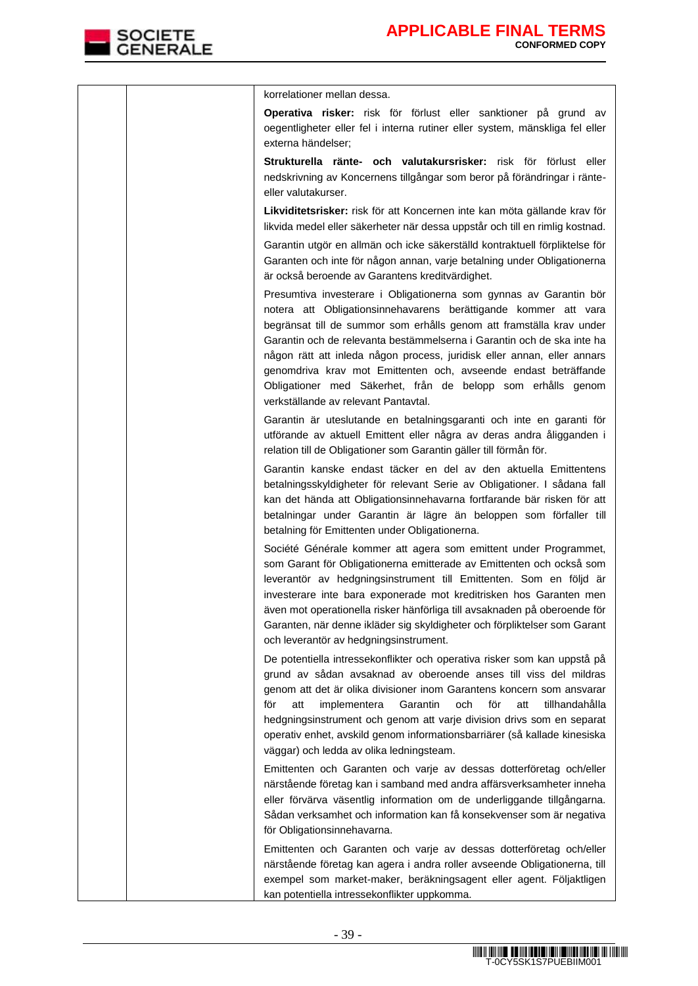|  | korrelationer mellan dessa.                                                                                                                                                                                                                                                                                                                                                                                                                                                                                                                  |
|--|----------------------------------------------------------------------------------------------------------------------------------------------------------------------------------------------------------------------------------------------------------------------------------------------------------------------------------------------------------------------------------------------------------------------------------------------------------------------------------------------------------------------------------------------|
|  | Operativa risker: risk för förlust eller sanktioner på grund av                                                                                                                                                                                                                                                                                                                                                                                                                                                                              |
|  | oegentligheter eller fel i interna rutiner eller system, mänskliga fel eller<br>externa händelser;                                                                                                                                                                                                                                                                                                                                                                                                                                           |
|  | Strukturella ränte- och valutakursrisker: risk för förlust eller<br>nedskrivning av Koncernens tillgångar som beror på förändringar i ränte-<br>eller valutakurser.                                                                                                                                                                                                                                                                                                                                                                          |
|  | Likviditetsrisker: risk för att Koncernen inte kan möta gällande krav för                                                                                                                                                                                                                                                                                                                                                                                                                                                                    |
|  | likvida medel eller säkerheter när dessa uppstår och till en rimlig kostnad.                                                                                                                                                                                                                                                                                                                                                                                                                                                                 |
|  | Garantin utgör en allmän och icke säkerställd kontraktuell förpliktelse för<br>Garanten och inte för någon annan, varje betalning under Obligationerna<br>är också beroende av Garantens kreditvärdighet.                                                                                                                                                                                                                                                                                                                                    |
|  | Presumtiva investerare i Obligationerna som gynnas av Garantin bör<br>notera att Obligationsinnehavarens berättigande kommer att vara<br>begränsat till de summor som erhålls genom att framställa krav under<br>Garantin och de relevanta bestämmelserna i Garantin och de ska inte ha<br>någon rätt att inleda någon process, juridisk eller annan, eller annars<br>genomdriva krav mot Emittenten och, avseende endast beträffande<br>Obligationer med Säkerhet, från de belopp som erhålls genom<br>verkställande av relevant Pantavtal. |
|  | Garantin är uteslutande en betalningsgaranti och inte en garanti för<br>utförande av aktuell Emittent eller några av deras andra åligganden i<br>relation till de Obligationer som Garantin gäller till förmån för.                                                                                                                                                                                                                                                                                                                          |
|  | Garantin kanske endast täcker en del av den aktuella Emittentens<br>betalningsskyldigheter för relevant Serie av Obligationer. I sådana fall<br>kan det hända att Obligationsinnehavarna fortfarande bär risken för att<br>betalningar under Garantin är lägre än beloppen som förfaller till<br>betalning för Emittenten under Obligationerna.                                                                                                                                                                                              |
|  | Société Générale kommer att agera som emittent under Programmet,<br>som Garant för Obligationerna emitterade av Emittenten och också som<br>leverantör av hedgningsinstrument till Emittenten. Som en följd är<br>investerare inte bara exponerade mot kreditrisken hos Garanten men<br>även mot operationella risker hänförliga till avsaknaden på oberoende för<br>Garanten, när denne ikläder sig skyldigheter och förpliktelser som Garant<br>och leverantör av hedgningsinstrument.                                                     |
|  | De potentiella intressekonflikter och operativa risker som kan uppstå på<br>grund av sådan avsaknad av oberoende anses till viss del mildras                                                                                                                                                                                                                                                                                                                                                                                                 |
|  | genom att det är olika divisioner inom Garantens koncern som ansvarar<br>för<br>Garantin<br>och<br>för<br>tillhandahålla<br>att<br>implementera<br>att<br>hedgningsinstrument och genom att varje division drivs som en separat<br>operativ enhet, avskild genom informationsbarriärer (så kallade kinesiska<br>väggar) och ledda av olika ledningsteam.                                                                                                                                                                                     |
|  | Emittenten och Garanten och varje av dessas dotterföretag och/eller<br>närstående företag kan i samband med andra affärsverksamheter inneha<br>eller förvärva väsentlig information om de underliggande tillgångarna.<br>Sådan verksamhet och information kan få konsekvenser som är negativa<br>för Obligationsinnehavarna.                                                                                                                                                                                                                 |
|  | Emittenten och Garanten och varje av dessas dotterföretag och/eller<br>närstående företag kan agera i andra roller avseende Obligationerna, till<br>exempel som market-maker, beräkningsagent eller agent. Följaktligen<br>kan potentiella intressekonflikter uppkomma.                                                                                                                                                                                                                                                                      |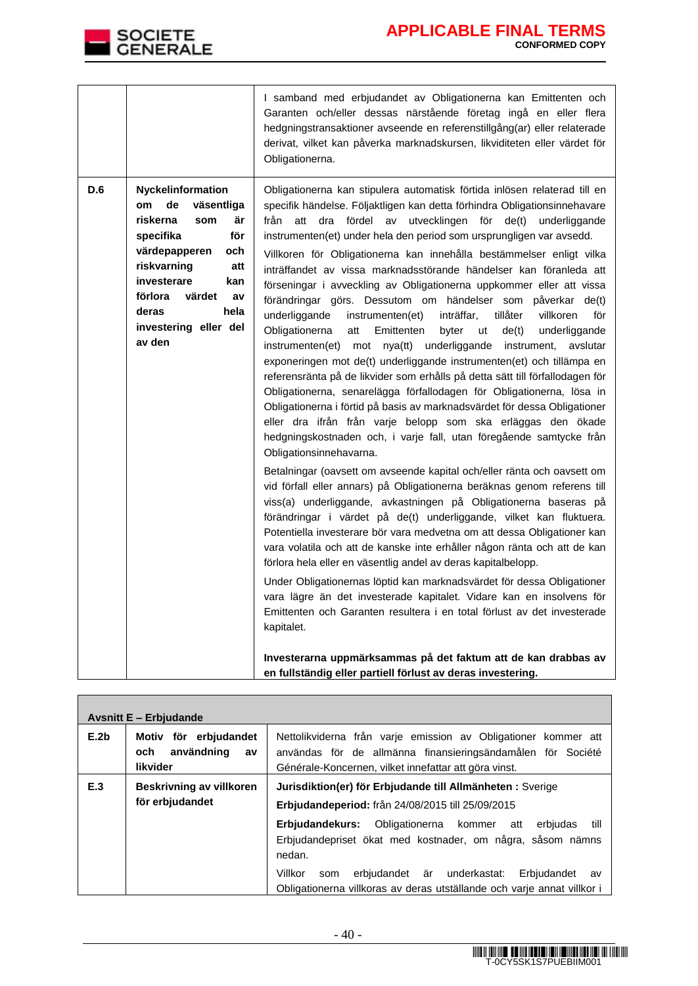

|     |                                                                                                                                                                                                                                                    | I samband med erbjudandet av Obligationerna kan Emittenten och<br>Garanten och/eller dessas närstående företag ingå en eller flera<br>hedgningstransaktioner avseende en referenstillgång(ar) eller relaterade<br>derivat, vilket kan påverka marknadskursen, likviditeten eller värdet för<br>Obligationerna.                                                                                                                                                                                                                                                                                                                                                                                                                                                                                                                                                                                                                                                                                                                                                                                                                                                                                                                                                                                                                                                                                                                                                                                                                                                                                                                                                                                                                                                                                                                                                                                                                                                                                                    |
|-----|----------------------------------------------------------------------------------------------------------------------------------------------------------------------------------------------------------------------------------------------------|-------------------------------------------------------------------------------------------------------------------------------------------------------------------------------------------------------------------------------------------------------------------------------------------------------------------------------------------------------------------------------------------------------------------------------------------------------------------------------------------------------------------------------------------------------------------------------------------------------------------------------------------------------------------------------------------------------------------------------------------------------------------------------------------------------------------------------------------------------------------------------------------------------------------------------------------------------------------------------------------------------------------------------------------------------------------------------------------------------------------------------------------------------------------------------------------------------------------------------------------------------------------------------------------------------------------------------------------------------------------------------------------------------------------------------------------------------------------------------------------------------------------------------------------------------------------------------------------------------------------------------------------------------------------------------------------------------------------------------------------------------------------------------------------------------------------------------------------------------------------------------------------------------------------------------------------------------------------------------------------------------------------|
| D.6 | <b>Nyckelinformation</b><br>de<br>väsentliga<br>om<br>riskerna<br>är<br>som<br>för<br>specifika<br>värdepapperen<br>och<br>riskvarning<br>att<br>investerare<br>kan<br>förlora<br>värdet<br>av<br>deras<br>hela<br>investering eller del<br>av den | Obligationerna kan stipulera automatisk förtida inlösen relaterad till en<br>specifik händelse. Följaktligen kan detta förhindra Obligationsinnehavare<br>fördel<br>utvecklingen<br>från<br>att<br>dra<br>av<br>för<br>de(t)<br>underliggande<br>instrumenten(et) under hela den period som ursprungligen var avsedd.<br>Villkoren för Obligationerna kan innehålla bestämmelser enligt vilka<br>inträffandet av vissa marknadsstörande händelser kan föranleda att<br>förseningar i avveckling av Obligationerna uppkommer eller att vissa<br>förändringar görs. Dessutom om händelser som påverkar de(t)<br>underliggande<br>inträffar,<br>tillåter<br>villkoren<br>för<br>instrumenten(et)<br>Obligationerna<br>Emittenten<br>de(t)<br>att<br>byter<br>ut<br>underliggande<br>instrumenten(et)<br>mot nya(tt) underliggande instrument, avslutar<br>exponeringen mot de(t) underliggande instrumenten(et) och tillämpa en<br>referensränta på de likvider som erhålls på detta sätt till förfallodagen för<br>Obligationerna, senarelägga förfallodagen för Obligationerna, lösa in<br>Obligationerna i förtid på basis av marknadsvärdet för dessa Obligationer<br>eller dra ifrån från varje belopp som ska erläggas den ökade<br>hedgningskostnaden och, i varje fall, utan föregående samtycke från<br>Obligationsinnehavarna.<br>Betalningar (oavsett om avseende kapital och/eller ränta och oavsett om<br>vid förfall eller annars) på Obligationerna beräknas genom referens till<br>viss(a) underliggande, avkastningen på Obligationerna baseras på<br>förändringar i värdet på de(t) underliggande, vilket kan fluktuera.<br>Potentiella investerare bör vara medvetna om att dessa Obligationer kan<br>vara volatila och att de kanske inte erhåller någon ränta och att de kan<br>förlora hela eller en väsentlig andel av deras kapitalbelopp.<br>Under Obligationernas löptid kan marknadsvärdet för dessa Obligationer<br>vara lägre än det investerade kapitalet. Vidare kan en insolvens för |
|     |                                                                                                                                                                                                                                                    | Emittenten och Garanten resultera i en total förlust av det investerade<br>kapitalet.<br>Investerarna uppmärksammas på det faktum att de kan drabbas av<br>en fullständig eller partiell förlust av deras investering.                                                                                                                                                                                                                                                                                                                                                                                                                                                                                                                                                                                                                                                                                                                                                                                                                                                                                                                                                                                                                                                                                                                                                                                                                                                                                                                                                                                                                                                                                                                                                                                                                                                                                                                                                                                            |

|      | <b>Avsnitt E - Erbjudande</b>                                |                                                                                                                                                                                        |  |  |
|------|--------------------------------------------------------------|----------------------------------------------------------------------------------------------------------------------------------------------------------------------------------------|--|--|
| E.2b | Motiv för erbjudandet<br>användning<br>och<br>av<br>likvider | Nettolikviderna från varje emission av Obligationer kommer att<br>användas för de allmänna finansieringsändamålen för Société<br>Générale-Koncernen, vilket innefattar att göra vinst. |  |  |
| E.3  | Beskrivning av villkoren<br>för erbjudandet                  | Jurisdiktion(er) för Erbjudande till Allmänheten : Sverige<br>Erbjudandeperiod: från 24/08/2015 till 25/09/2015                                                                        |  |  |
|      |                                                              | Erbjudandekurs: Obligationerna kommer att<br>till<br>erbiudas<br>Erbjudandepriset ökat med kostnader, om några, såsom nämns<br>nedan.                                                  |  |  |
|      |                                                              | erbjudandet är underkastat:<br>Villkor<br>Erbjudandet<br>som<br>av<br>Obligationerna villkoras av deras utställande och varje annat villkor i                                          |  |  |